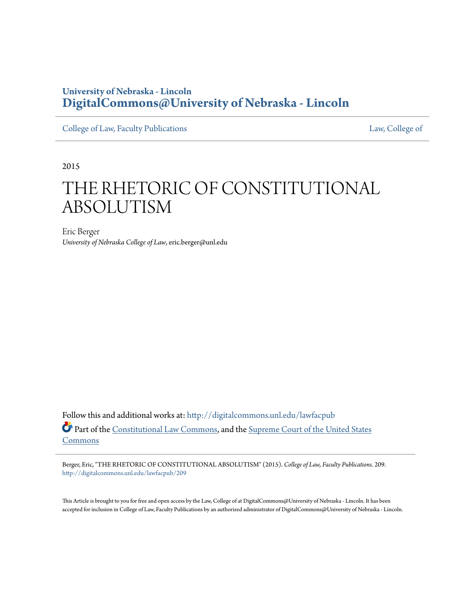### **University of Nebraska - Lincoln [DigitalCommons@University of Nebraska - Lincoln](http://digitalcommons.unl.edu?utm_source=digitalcommons.unl.edu%2Flawfacpub%2F209&utm_medium=PDF&utm_campaign=PDFCoverPages)**

[College of Law, Faculty Publications](http://digitalcommons.unl.edu/lawfacpub?utm_source=digitalcommons.unl.edu%2Flawfacpub%2F209&utm_medium=PDF&utm_campaign=PDFCoverPages) [Law, College of](http://digitalcommons.unl.edu/law?utm_source=digitalcommons.unl.edu%2Flawfacpub%2F209&utm_medium=PDF&utm_campaign=PDFCoverPages) Law, College of

2015

# THE RHETORIC OF CONSTITUTIONAL ABSOLUTISM

Eric Berger *University of Nebraska College of Law*, eric.berger@unl.edu

Follow this and additional works at: [http://digitalcommons.unl.edu/lawfacpub](http://digitalcommons.unl.edu/lawfacpub?utm_source=digitalcommons.unl.edu%2Flawfacpub%2F209&utm_medium=PDF&utm_campaign=PDFCoverPages) Part of the [Constitutional Law Commons,](http://network.bepress.com/hgg/discipline/589?utm_source=digitalcommons.unl.edu%2Flawfacpub%2F209&utm_medium=PDF&utm_campaign=PDFCoverPages) and the [Supreme Court of the United States](http://network.bepress.com/hgg/discipline/1350?utm_source=digitalcommons.unl.edu%2Flawfacpub%2F209&utm_medium=PDF&utm_campaign=PDFCoverPages) [Commons](http://network.bepress.com/hgg/discipline/1350?utm_source=digitalcommons.unl.edu%2Flawfacpub%2F209&utm_medium=PDF&utm_campaign=PDFCoverPages)

Berger, Eric, "THE RHETORIC OF CONSTITUTIONAL ABSOLUTISM" (2015). *College of Law, Faculty Publications*. 209. [http://digitalcommons.unl.edu/lawfacpub/209](http://digitalcommons.unl.edu/lawfacpub/209?utm_source=digitalcommons.unl.edu%2Flawfacpub%2F209&utm_medium=PDF&utm_campaign=PDFCoverPages)

This Article is brought to you for free and open access by the Law, College of at DigitalCommons@University of Nebraska - Lincoln. It has been accepted for inclusion in College of Law, Faculty Publications by an authorized administrator of DigitalCommons@University of Nebraska - Lincoln.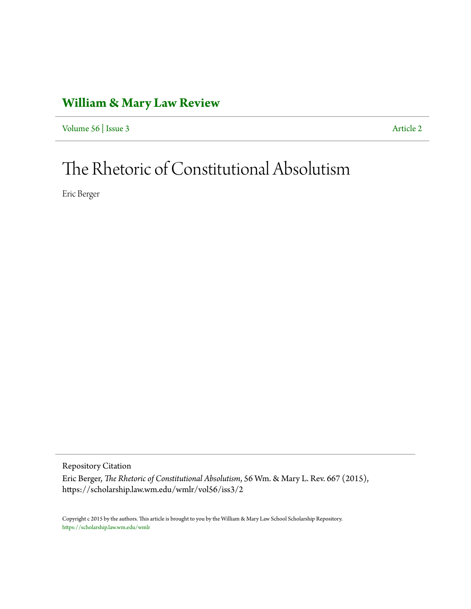### **[William & Mary Law Review](https://scholarship.law.wm.edu/wmlr)**

[Volume 56](https://scholarship.law.wm.edu/wmlr/vol56) | [Issue 3](https://scholarship.law.wm.edu/wmlr/vol56/iss3) [Article 2](https://scholarship.law.wm.edu/wmlr/vol56/iss3/2)

# The Rhetoric of Constitutional Absolutism

Eric Berger

Repository Citation

Eric Berger, *The Rhetoric of Constitutional Absolutism*, 56 Wm. & Mary L. Rev. 667 (2015), https://scholarship.law.wm.edu/wmlr/vol56/iss3/2

Copyright c 2015 by the authors. This article is brought to you by the William & Mary Law School Scholarship Repository. <https://scholarship.law.wm.edu/wmlr>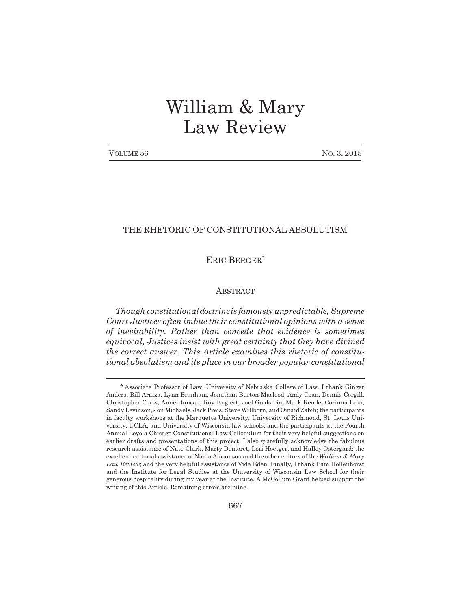## William & Mary Law Review

| VOLUME 56 | No. 3, 2015 |
|-----------|-------------|
|-----------|-------------|

#### THE RHETORIC OF CONSTITUTIONAL ABSOLUTISM

ERIC BERGER\*

#### **ABSTRACT**

*Though constitutional doctrine is famously unpredictable, Supreme Court Justices often imbue their constitutional opinions with a sense of inevitability. Rather than concede that evidence is sometimes equivocal, Justices insist with great certainty that they have divined the correct answer. This Article examines this rhetoric of constitutional absolutism and its place in our broader popular constitutional*

<sup>\*</sup> Associate Professor of Law, University of Nebraska College of Law. I thank Ginger Anders, Bill Araiza, Lynn Branham, Jonathan Burton-Macleod, Andy Coan, Dennis Corgill, Christopher Corts, Anne Duncan, Roy Englert, Joel Goldstein, Mark Kende, Corinna Lain, Sandy Levinson, Jon Michaels, Jack Preis, Steve Willborn, and Omaid Zabih; the participants in faculty workshops at the Marquette University, University of Richmond, St. Louis University, UCLA, and University of Wisconsin law schools; and the participants at the Fourth Annual Loyola Chicago Constitutional Law Colloquium for their very helpful suggestions on earlier drafts and presentations of this project. I also gratefully acknowledge the fabulous research assistance of Nate Clark, Marty Demoret, Lori Hoetger, and Halley Ostergard; the excellent editorial assistance of Nadia Abramson and the other editors of the *William & Mary Law Review*; and the very helpful assistance of Vida Eden. Finally, I thank Pam Hollenhorst and the Institute for Legal Studies at the University of Wisconsin Law School for their generous hospitality during my year at the Institute. A McCollum Grant helped support the writing of this Article. Remaining errors are mine.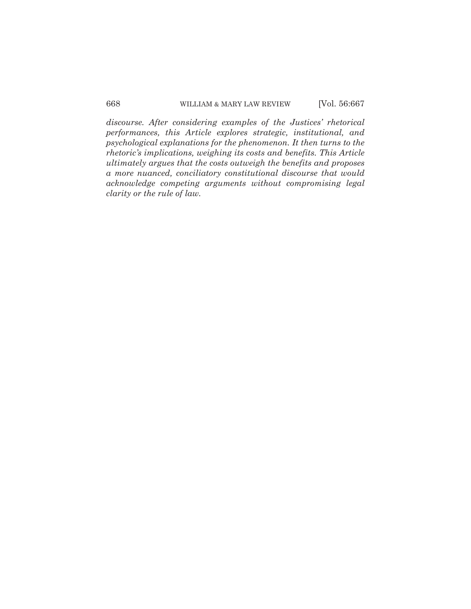*discourse. After considering examples of the Justices' rhetorical performances, this Article explores strategic, institutional, and psychological explanations for the phenomenon. It then turns to the rhetoric's implications, weighing its costs and benefits. This Article ultimately argues that the costs outweigh the benefits and proposes a more nuanced, conciliatory constitutional discourse that would acknowledge competing arguments without compromising legal clarity or the rule of law.*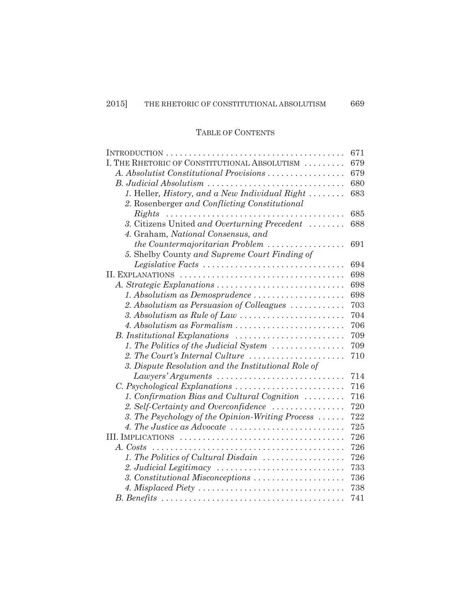### TABLE OF CONTENTS

|                                                                              | 671 |
|------------------------------------------------------------------------------|-----|
| I. THE RHETORIC OF CONSTITUTIONAL ABSOLUTISM                                 | 679 |
| A. Absolutist Constitutional Provisions                                      | 679 |
|                                                                              | 680 |
| 1. Heller, History, and a New Individual Right                               | 683 |
| 2. Rosenberger and Conflicting Constitutional                                |     |
| Rights                                                                       | 685 |
| 3. Citizens United and Overturning Precedent                                 | 688 |
| 4. Graham, National Consensus, and                                           |     |
| the Countermajoritarian Problem $\ldots \ldots \ldots \ldots \ldots$         | 691 |
| 5. Shelby County and Supreme Court Finding of                                |     |
| Legislative Facts                                                            | 694 |
|                                                                              | 698 |
| A. Strategic Explanations                                                    | 698 |
| 1. Absolutism as Demosprudence                                               | 698 |
| 2. Absolutism as Persuasion of Colleagues                                    | 703 |
| 3. Absolutism as Rule of Law $\dots\dots\dots\dots\dots\dots\dots\dots\dots$ | 704 |
|                                                                              | 706 |
| B. Institutional Explanations                                                | 709 |
| 1. The Politics of the Judicial System                                       | 709 |
| 2. The Court's Internal Culture                                              | 710 |
| 3. Dispute Resolution and the Institutional Role of                          |     |
| Lawyers' Arguments                                                           | 714 |
| C. Psychological Explanations                                                | 716 |
| 1. Confirmation Bias and Cultural Cognition                                  | 716 |
| 2. Self-Certainty and Overconfidence                                         | 720 |
| 3. The Psychology of the Opinion-Writing Process                             | 722 |
|                                                                              | 725 |
|                                                                              | 726 |
| A. Costs                                                                     | 726 |
| 1. The Politics of Cultural Disdain                                          | 726 |
|                                                                              | 733 |
| 3. Constitutional Misconceptions                                             | 736 |
|                                                                              | 738 |
|                                                                              | 741 |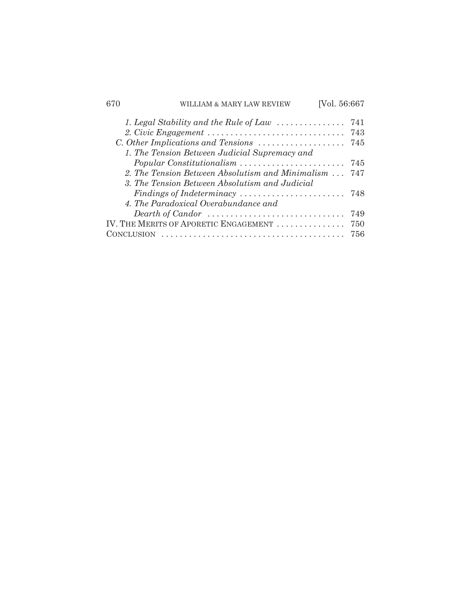| 670 | LIAM & MARY LAW REVIEW                                                          | [Vol. 56:667 |     |
|-----|---------------------------------------------------------------------------------|--------------|-----|
|     | 1. Legal Stability and the Rule of Law $\dots\dots\dots\dots\dots$              |              | 741 |
|     |                                                                                 |              | 743 |
|     | C. Other Implications and Tensions                                              |              | 745 |
|     | 1. The Tension Between Judicial Supremacy and                                   |              |     |
|     | Popular Constitutionalism                                                       |              | 745 |
|     | 2. The Tension Between Absolutism and Minimalism                                |              | 747 |
|     | 3. The Tension Between Absolutism and Judicial                                  |              |     |
|     | Findings of Indeterminacy $\ldots \ldots \ldots \ldots \ldots \ldots$           |              | 748 |
|     | 4. The Paradoxical Overabundance and                                            |              |     |
|     | Dearth of Candor $\dots\dots\dots\dots\dots\dots\dots\dots\dots\dots\dots\dots$ |              | 749 |
|     | IV. THE MERITS OF APORETIC ENGAGEMENT                                           |              | 750 |
|     | NCLUSION                                                                        |              | 756 |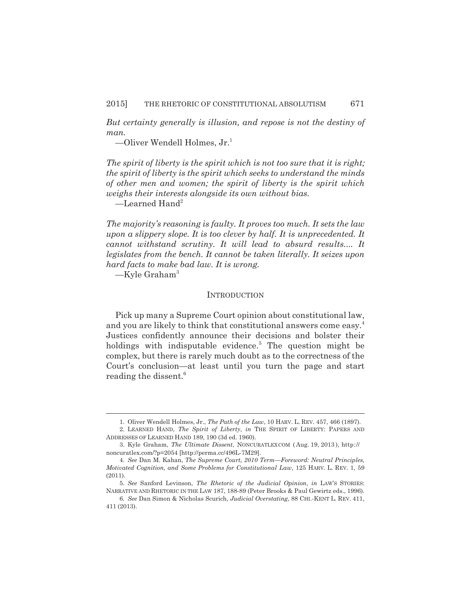*But certainty generally is illusion, and repose is not the destiny of man.*

—Oliver Wendell Holmes, Jr.1

*The spirit of liberty is the spirit which is not too sure that it is right; the spirit of liberty is the spirit which seeks to understand the minds of other men and women; the spirit of liberty is the spirit which weighs their interests alongside its own without bias.*

 $\equiv$ Learned Hand<sup>2</sup>

*The majority's reasoning is faulty. It proves too much. It sets the law upon a slippery slope. It is too clever by half. It is unprecedented. It cannot withstand scrutiny. It will lead to absurd results.... It legislates from the bench. It cannot be taken literally. It seizes upon hard facts to make bad law. It is wrong.*

 $-Kyle$  Graham<sup>3</sup>

#### **INTRODUCTION**

Pick up many a Supreme Court opinion about constitutional law, and you are likely to think that constitutional answers come easy.4 Justices confidently announce their decisions and bolster their holdings with indisputable evidence.<sup>5</sup> The question might be complex, but there is rarely much doubt as to the correctness of the Court's conclusion—at least until you turn the page and start reading the dissent.<sup>6</sup>

<sup>1.</sup> Oliver Wendell Holmes, Jr., *The Path of the Law*, 10 HARV. L. REV. 457, 466 (1897).

<sup>2.</sup> LEARNED HAND, *The Spirit of Liberty*, *in* THE SPIRIT OF LIBERTY: PAPERS AND ADDRESSES OF LEARNED HAND 189, 190 (3d ed. 1960).

<sup>3.</sup> Kyle Graham, *The Ultimate Dissent*, NONCURATLEXCOM ( Aug. 19, 2013 ), http:// noncuratlex.com/?p=2054 [http://perma.cc/496L-7M29].

<sup>4.</sup> *See* Dan M. Kahan, *The Supreme Court, 2010 Term—Foreword: Neutral Principles, Motivated Cognition, and Some Problems for Constitutional Law*, 125 HARV. L. REV. 1, 59 (2011).

<sup>5.</sup> *See* Sanford Levinson, *The Rhetoric of the Judicial Opinion*, *in* LAW'S STORIES: NARRATIVE AND RHETORIC IN THE LAW 187, 188-89 (Peter Brooks & Paul Gewirtz eds., 1996).

<sup>6.</sup> *See* Dan Simon & Nicholas Scurich, *Judicial Overstating*, 88 CHI.-KENT L. REV. 411, 411 (2013).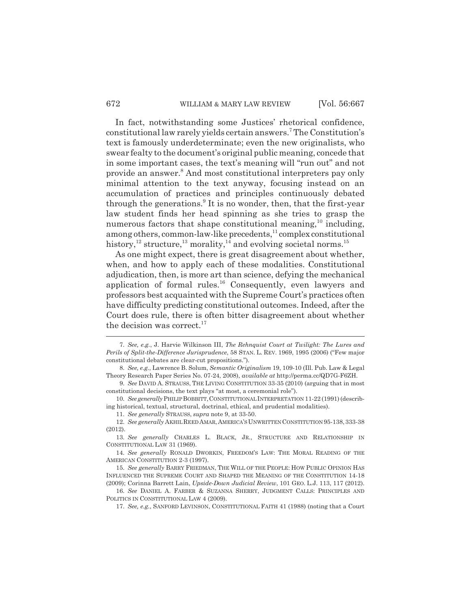In fact, notwithstanding some Justices' rhetorical confidence, constitutional law rarely yields certain answers.7 The Constitution's text is famously underdeterminate; even the new originalists, who swear fealty to the document's original public meaning, concede that in some important cases, the text's meaning will "run out" and not provide an answer.<sup>8</sup> And most constitutional interpreters pay only minimal attention to the text anyway, focusing instead on an accumulation of practices and principles continuously debated through the generations.<sup>9</sup> It is no wonder, then, that the first-year law student finds her head spinning as she tries to grasp the numerous factors that shape constitutional meaning, $10$  including, among others, common-law-like precedents, $11$  complex constitutional history,<sup>12</sup> structure,<sup>13</sup> morality,<sup>14</sup> and evolving societal norms.<sup>15</sup>

As one might expect, there is great disagreement about whether, when, and how to apply each of these modalities. Constitutional adjudication, then, is more art than science, defying the mechanical application of formal rules.<sup>16</sup> Consequently, even lawyers and professors best acquainted with the Supreme Court's practices often have difficulty predicting constitutional outcomes. Indeed, after the Court does rule, there is often bitter disagreement about whether the decision was correct.<sup>17</sup>

<sup>7.</sup> *See, e.g.*, J. Harvie Wilkinson III, *The Rehnquist Court at Twilight: The Lures and Perils of Split-the-Difference Jurisprudence*, 58 STAN. L. REV. 1969, 1995 (2006) ("Few major constitutional debates are clear-cut propositions.").

<sup>8.</sup> *See, e.g.*, Lawrence B. Solum, *Semantic Originalism* 19, 109-10 (Ill. Pub. Law & Legal Theory Research Paper Series No. 07-24, 2008), *available at* http://perma.cc/QD7G-F6ZH.

<sup>9.</sup> *See* DAVID A. STRAUSS, THE LIVING CONSTITUTION 33-35 (2010) (arguing that in most constitutional decisions, the text plays "at most, a ceremonial role").

<sup>10.</sup> *See generally* PHILIP BOBBITT,CONSTITUTIONAL INTERPRETATION 11-22 (1991) (describing historical, textual, structural, doctrinal, ethical, and prudential modalities).

<sup>11.</sup> *See generally* STRAUSS, *supra* note 9, at 33-50.

<sup>12.</sup> *See generally* AKHIL REED AMAR,AMERICA'S UNWRITTEN CONSTITUTION 95-138, 333-38 (2012).

<sup>13.</sup> *See generally* CHARLES L. BLACK, JR., STRUCTURE AND RELATIONSHIP IN CONSTITUTIONAL LAW 31 (1969).

<sup>14.</sup> *See generally* RONALD DWORKIN, FREEDOM'S LAW: THE MORAL READING OF THE AMERICAN CONSTITUTION 2-3 (1997).

<sup>15.</sup> *See generally* BARRY FRIEDMAN, THE WILL OF THE PEOPLE: HOW PUBLIC OPINION HAS INFLUENCED THE SUPREME COURT AND SHAPED THE MEANING OF THE CONSTITUTION 14-18 (2009); Corinna Barrett Lain, *Upside-Down Judicial Review*, 101 GEO. L.J. 113, 117 (2012).

<sup>16.</sup> *See* DANIEL A. FARBER & SUZANNA SHERRY, JUDGMENT CALLS: PRINCIPLES AND POLITICS IN CONSTITUTIONAL LAW 4 (2009).

<sup>17.</sup> *See, e.g.*, SANFORD LEVINSON, CONSTITUTIONAL FAITH 41 (1988) (noting that a Court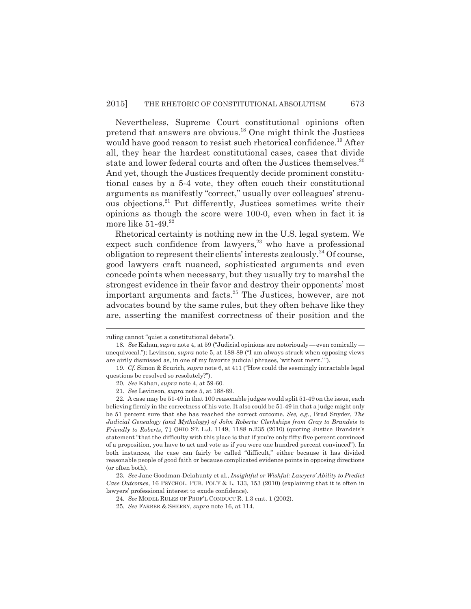Nevertheless, Supreme Court constitutional opinions often pretend that answers are obvious.18 One might think the Justices would have good reason to resist such rhetorical confidence.<sup>19</sup> After all, they hear the hardest constitutional cases, cases that divide state and lower federal courts and often the Justices themselves.<sup>20</sup> And yet, though the Justices frequently decide prominent constitutional cases by a 5-4 vote, they often couch their constitutional arguments as manifestly "correct," usually over colleagues' strenuous objections.21 Put differently, Justices sometimes write their opinions as though the score were 100-0, even when in fact it is more like  $51-49.<sup>22</sup>$ 

Rhetorical certainty is nothing new in the U.S. legal system. We expect such confidence from lawyers,<sup>23</sup> who have a professional obligation to represent their clients' interests zealously.<sup>24</sup> Of course, good lawyers craft nuanced, sophisticated arguments and even concede points when necessary, but they usually try to marshal the strongest evidence in their favor and destroy their opponents' most important arguments and facts.<sup>25</sup> The Justices, however, are not advocates bound by the same rules, but they often behave like they are, asserting the manifest correctness of their position and the

22. A case may be 51-49 in that 100 reasonable judges would split 51-49 on the issue, each believing firmly in the correctness of his vote. It also could be 51-49 in that a judge might only be 51 percent sure that she has reached the correct outcome. *See, e.g.*, Brad Snyder, *The Judicial Genealogy (and Mythology) of John Roberts: Clerkships from Gray to Brandeis to Friendly to Roberts*, 71 OHIO ST. L.J. 1149, 1188 n.235 (2010) (quoting Justice Brandeis's statement "that the difficulty with this place is that if you're only fifty-five percent convinced of a proposition, you have to act and vote as if you were one hundred percent convinced"). In both instances, the case can fairly be called "difficult," either because it has divided reasonable people of good faith or because complicated evidence points in opposing directions (or often both).

23. *See* Jane Goodman-Delahunty et al., *Insightful or Wishful: Lawyers' Ability to Predict Case Outcomes*, 16 PSYCHOL. PUB. POL'Y & L. 133, 153 (2010) (explaining that it is often in lawyers' professional interest to exude confidence).

24. *See* MODEL RULES OF PROF'L CONDUCT R. 1.3 cmt. 1 (2002).

ruling cannot "quiet a constitutional debate").

<sup>18.</sup> *See* Kahan, *supra* note 4, at 59 ("Judicial opinions are notoriously — even comically unequivocal."); Levinson, *supra* note 5, at 188-89 ("I am always struck when opposing views are airily dismissed as, in one of my favorite judicial phrases, 'without merit.' ").

<sup>19.</sup> *Cf.* Simon & Scurich, *supra* note 6, at 411 ("How could the seemingly intractable legal questions be resolved so resolutely?").

<sup>20.</sup> *See* Kahan, *supra* note 4, at 59-60.

<sup>21.</sup> *See* Levinson, *supra* note 5, at 188-89.

<sup>25.</sup> *See* FARBER & SHERRY, *supra* note 16, at 114.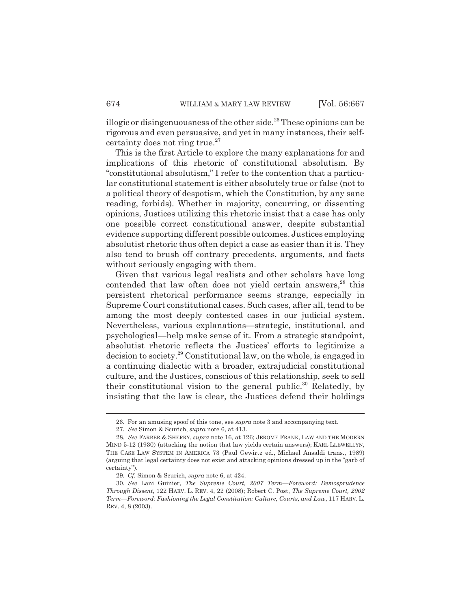illogic or disingenuousness of the other side.<sup>26</sup> These opinions can be rigorous and even persuasive, and yet in many instances, their selfcertainty does not ring true. $27$ 

This is the first Article to explore the many explanations for and implications of this rhetoric of constitutional absolutism. By "constitutional absolutism," I refer to the contention that a particular constitutional statement is either absolutely true or false (not to a political theory of despotism, which the Constitution, by any sane reading, forbids). Whether in majority, concurring, or dissenting opinions, Justices utilizing this rhetoric insist that a case has only one possible correct constitutional answer, despite substantial evidence supporting different possible outcomes. Justices employing absolutist rhetoric thus often depict a case as easier than it is. They also tend to brush off contrary precedents, arguments, and facts without seriously engaging with them.

Given that various legal realists and other scholars have long contended that law often does not yield certain answers, $28$  this persistent rhetorical performance seems strange, especially in Supreme Court constitutional cases. Such cases, after all, tend to be among the most deeply contested cases in our judicial system. Nevertheless, various explanations—strategic, institutional, and psychological—help make sense of it. From a strategic standpoint, absolutist rhetoric reflects the Justices' efforts to legitimize a decision to society.29 Constitutional law, on the whole, is engaged in a continuing dialectic with a broader, extrajudicial constitutional culture, and the Justices, conscious of this relationship, seek to sell their constitutional vision to the general public.<sup>30</sup> Relatedly, by insisting that the law is clear, the Justices defend their holdings

<sup>26.</sup> For an amusing spoof of this tone, see *supra* note 3 and accompanying text.

<sup>27.</sup> *See* Simon & Scurich, *supra* note 6, at 413.

<sup>28.</sup> *See* FARBER & SHERRY, *supra* note 16, at 126; JEROME FRANK, LAW AND THE MODERN MIND 5-12 (1930) (attacking the notion that law yields certain answers); KARL LLEWELLYN, THE CASE LAW SYSTEM IN AMERICA 73 (Paul Gewirtz ed., Michael Ansaldi trans., 1989) (arguing that legal certainty does not exist and attacking opinions dressed up in the "garb of certainty").

<sup>29.</sup> *Cf.* Simon & Scurich, *supra* note 6, at 424.

<sup>30.</sup> *See* Lani Guinier, *The Supreme Court, 2007 Term—Foreword: Demosprudence Through Dissent*, 122 HARV. L. REV. 4, 22 (2008); Robert C. Post, *The Supreme Court, 2002 Term—Foreword: Fashioning the Legal Constitution: Culture, Courts, and Law*, 117 HARV. L. REV. 4, 8 (2003).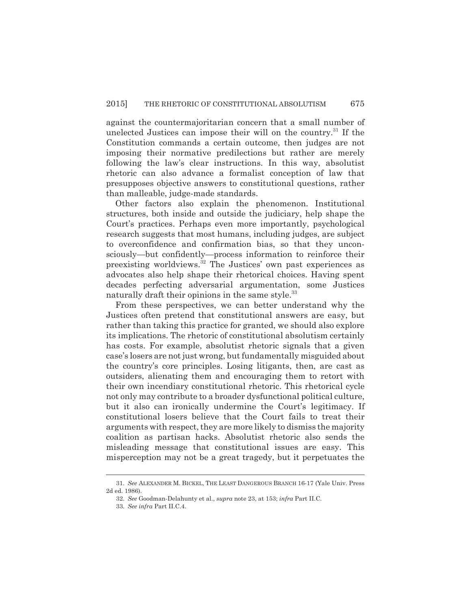against the countermajoritarian concern that a small number of unelected Justices can impose their will on the country.31 If the Constitution commands a certain outcome, then judges are not imposing their normative predilections but rather are merely following the law's clear instructions. In this way, absolutist rhetoric can also advance a formalist conception of law that presupposes objective answers to constitutional questions, rather than malleable, judge-made standards.

Other factors also explain the phenomenon. Institutional structures, both inside and outside the judiciary, help shape the Court's practices. Perhaps even more importantly, psychological research suggests that most humans, including judges, are subject to overconfidence and confirmation bias, so that they unconsciously—but confidently—process information to reinforce their preexisting worldviews.32 The Justices' own past experiences as advocates also help shape their rhetorical choices. Having spent decades perfecting adversarial argumentation, some Justices naturally draft their opinions in the same style.<sup>33</sup>

From these perspectives, we can better understand why the Justices often pretend that constitutional answers are easy, but rather than taking this practice for granted, we should also explore its implications. The rhetoric of constitutional absolutism certainly has costs. For example, absolutist rhetoric signals that a given case's losers are not just wrong, but fundamentally misguided about the country's core principles. Losing litigants, then, are cast as outsiders, alienating them and encouraging them to retort with their own incendiary constitutional rhetoric. This rhetorical cycle not only may contribute to a broader dysfunctional political culture, but it also can ironically undermine the Court's legitimacy. If constitutional losers believe that the Court fails to treat their arguments with respect, they are more likely to dismiss the majority coalition as partisan hacks. Absolutist rhetoric also sends the misleading message that constitutional issues are easy. This misperception may not be a great tragedy, but it perpetuates the

<sup>31.</sup> *See* ALEXANDER M. BICKEL, THE LEAST DANGEROUS BRANCH 16-17 (Yale Univ. Press 2d ed. 1986).

<sup>32.</sup> *See* Goodman-Delahunty et al., *supra* note 23, at 153; *infra* Part II.C.

<sup>33.</sup> *See infra* Part II.C.4.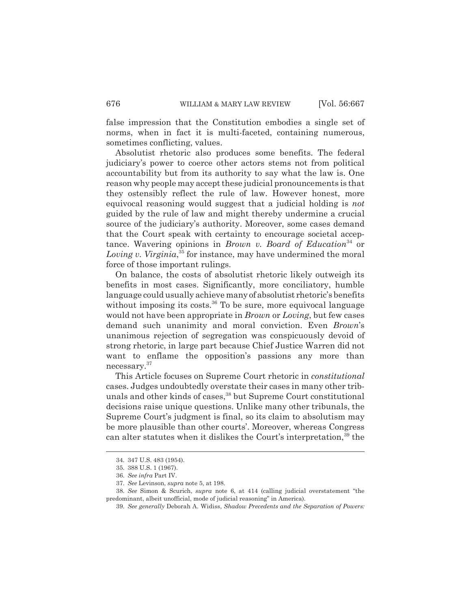false impression that the Constitution embodies a single set of norms, when in fact it is multi-faceted, containing numerous, sometimes conflicting, values.

Absolutist rhetoric also produces some benefits. The federal judiciary's power to coerce other actors stems not from political accountability but from its authority to say what the law is. One reason why people may accept these judicial pronouncements is that they ostensibly reflect the rule of law. However honest, more equivocal reasoning would suggest that a judicial holding is *not* guided by the rule of law and might thereby undermine a crucial source of the judiciary's authority. Moreover, some cases demand that the Court speak with certainty to encourage societal acceptance. Wavering opinions in *Brown v. Board of Education*<sup>34</sup> or *Loving v. Virginia*, 35 for instance, may have undermined the moral force of those important rulings.

On balance, the costs of absolutist rhetoric likely outweigh its benefits in most cases. Significantly, more conciliatory, humble language could usually achieve many of absolutist rhetoric's benefits without imposing its costs.<sup>36</sup> To be sure, more equivocal language would not have been appropriate in *Brown* or *Loving*, but few cases demand such unanimity and moral conviction. Even *Brown*'s unanimous rejection of segregation was conspicuously devoid of strong rhetoric, in large part because Chief Justice Warren did not want to enflame the opposition's passions any more than necessary.37

This Article focuses on Supreme Court rhetoric in *constitutional* cases. Judges undoubtedly overstate their cases in many other tribunals and other kinds of cases,<sup>38</sup> but Supreme Court constitutional decisions raise unique questions. Unlike many other tribunals, the Supreme Court's judgment is final, so its claim to absolutism may be more plausible than other courts'. Moreover, whereas Congress can alter statutes when it dislikes the Court's interpretation,<sup>39</sup> the

<sup>34. 347</sup> U.S. 483 (1954).

<sup>35. 388</sup> U.S. 1 (1967).

<sup>36.</sup> *See infra* Part IV.

<sup>37.</sup> *See* Levinson, *supra* note 5, at 198.

<sup>38.</sup> *See* Simon & Scurich, *supra* note 6, at 414 (calling judicial overstatement "the predominant, albeit unofficial, mode of judicial reasoning" in America).

<sup>39.</sup> *See generally* Deborah A. Widiss, *Shadow Precedents and the Separation of Powers:*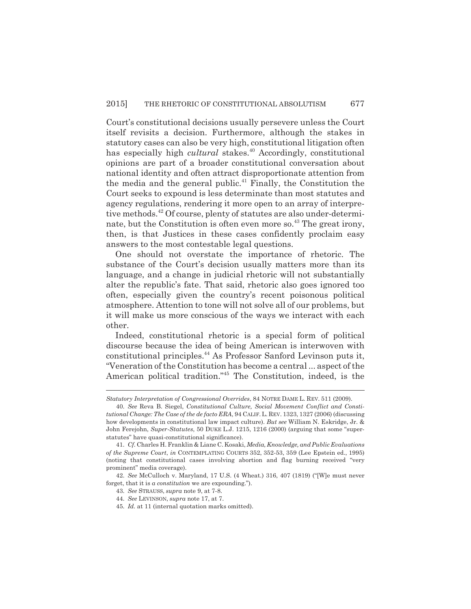Court's constitutional decisions usually persevere unless the Court itself revisits a decision. Furthermore, although the stakes in statutory cases can also be very high, constitutional litigation often has especially high *cultural* stakes.<sup>40</sup> Accordingly, constitutional opinions are part of a broader constitutional conversation about national identity and often attract disproportionate attention from the media and the general public.<sup>41</sup> Finally, the Constitution the Court seeks to expound is less determinate than most statutes and agency regulations, rendering it more open to an array of interpretive methods.<sup>42</sup> Of course, plenty of statutes are also under-determinate, but the Constitution is often even more so. $^{43}$  The great irony, then, is that Justices in these cases confidently proclaim easy answers to the most contestable legal questions.

One should not overstate the importance of rhetoric. The substance of the Court's decision usually matters more than its language, and a change in judicial rhetoric will not substantially alter the republic's fate. That said, rhetoric also goes ignored too often, especially given the country's recent poisonous political atmosphere. Attention to tone will not solve all of our problems, but it will make us more conscious of the ways we interact with each other.

Indeed, constitutional rhetoric is a special form of political discourse because the idea of being American is interwoven with constitutional principles.44 As Professor Sanford Levinson puts it, "Veneration of the Constitution has become a central ... aspect of the American political tradition."45 The Constitution, indeed, is the

*Statutory Interpretation of Congressional Overrides*, 84 NOTRE DAME L. REV. 511 (2009).

<sup>40.</sup> *See* Reva B. Siegel, *Constitutional Culture, Social Movement Conflict and Constitutional Change: The Case of the de facto ERA*, 94 CALIF.L. REV. 1323, 1327 (2006) (discussing how developments in constitutional law impact culture). *But see* William N. Eskridge, Jr. & John Ferejohn, *Super-Statutes*, 50 DUKE L.J. 1215, 1216 (2000) (arguing that some "superstatutes" have quasi-constitutional significance).

<sup>41.</sup> *Cf.* Charles H. Franklin & Liane C. Kosaki, *Media, Knowledge, and Public Evaluations of the Supreme Court*, *in* CONTEMPLATING COURTS 352, 352-53, 359 (Lee Epstein ed., 1995) (noting that constitutional cases involving abortion and flag burning received "very prominent" media coverage).

<sup>42.</sup> *See* McCulloch v. Maryland, 17 U.S. (4 Wheat.) 316, 407 (1819) ("[W]e must never forget, that it is *a constitution* we are expounding.").

<sup>43.</sup> *See* STRAUSS, *supra* note 9, at 7-8.

<sup>44.</sup> *See* LEVINSON, *supra* note 17, at 7.

<sup>45.</sup> *Id.* at 11 (internal quotation marks omitted).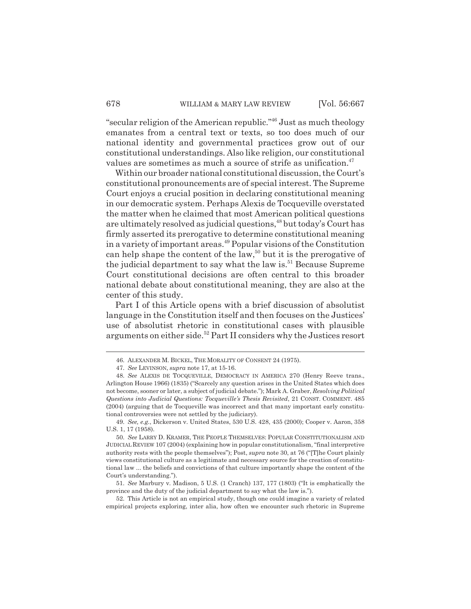"secular religion of the American republic."46 Just as much theology emanates from a central text or texts, so too does much of our national identity and governmental practices grow out of our constitutional understandings. Also like religion, our constitutional values are sometimes as much a source of strife as unification.<sup>47</sup>

Within our broader national constitutional discussion, the Court's constitutional pronouncements are of special interest. The Supreme Court enjoys a crucial position in declaring constitutional meaning in our democratic system. Perhaps Alexis de Tocqueville overstated the matter when he claimed that most American political questions are ultimately resolved as judicial questions,<sup>48</sup> but today's Court has firmly asserted its prerogative to determine constitutional meaning in a variety of important areas.<sup>49</sup> Popular visions of the Constitution can help shape the content of the law,<sup>50</sup> but it is the prerogative of the judicial department to say what the law is.<sup>51</sup> Because Supreme Court constitutional decisions are often central to this broader national debate about constitutional meaning, they are also at the center of this study.

Part I of this Article opens with a brief discussion of absolutist language in the Constitution itself and then focuses on the Justices' use of absolutist rhetoric in constitutional cases with plausible arguments on either side.<sup>52</sup> Part II considers why the Justices resort

52. This Article is not an empirical study, though one could imagine a variety of related empirical projects exploring, inter alia, how often we encounter such rhetoric in Supreme

<sup>46.</sup> ALEXANDER M. BICKEL, THE MORALITY OF CONSENT 24 (1975).

<sup>47.</sup> *See* LEVINSON, *supra* note 17, at 15-16.

<sup>48.</sup> *See* ALEXIS DE TOCQUEVILLE, DEMOCRACY IN AMERICA 270 (Henry Reeve trans., Arlington House 1966) (1835) ("Scarcely any question arises in the United States which does not become, sooner or later, a subject of judicial debate."); Mark A. Graber, *Resolving Political Questions into Judicial Questions: Tocqueville's Thesis Revisited*, 21 CONST. COMMENT. 485 (2004) (arguing that de Tocqueville was incorrect and that many important early constitutional controversies were not settled by the judiciary).

<sup>49.</sup> *See, e.g.*, Dickerson v. United States, 530 U.S. 428, 435 (2000); Cooper v. Aaron, 358 U.S. 1, 17 (1958).

<sup>50.</sup> *See* LARRY D. KRAMER, THE PEOPLE THEMSELVES: POPULAR CONSTITUTIONALISM AND JUDICIAL REVIEW 107 (2004) (explaining how in popular constitutionalism, "final interpretive authority rests with the people themselves"); Post, *supra* note 30, at 76 ("[T]he Court plainly views constitutional culture as a legitimate and necessary source for the creation of constitutional law ... the beliefs and convictions of that culture importantly shape the content of the Court's understanding.").

<sup>51.</sup> *See* Marbury v. Madison, 5 U.S. (1 Cranch) 137, 177 (1803) ("It is emphatically the province and the duty of the judicial department to say what the law is.").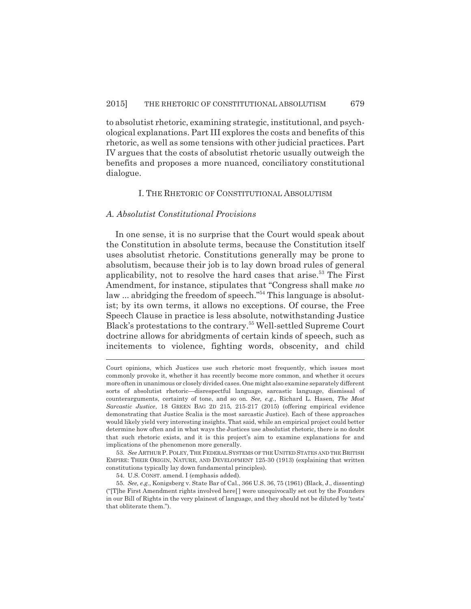to absolutist rhetoric, examining strategic, institutional, and psychological explanations. Part III explores the costs and benefits of this rhetoric, as well as some tensions with other judicial practices. Part IV argues that the costs of absolutist rhetoric usually outweigh the benefits and proposes a more nuanced, conciliatory constitutional dialogue.

#### I. THE RHETORIC OF CONSTITUTIONAL ABSOLUTISM

#### *A. Absolutist Constitutional Provisions*

In one sense, it is no surprise that the Court would speak about the Constitution in absolute terms, because the Constitution itself uses absolutist rhetoric. Constitutions generally may be prone to absolutism, because their job is to lay down broad rules of general applicability, not to resolve the hard cases that arise.<sup>53</sup> The First Amendment, for instance, stipulates that "Congress shall make *no* law ... abridging the freedom of speech."<sup>54</sup> This language is absolutist; by its own terms, it allows no exceptions. Of course, the Free Speech Clause in practice is less absolute, notwithstanding Justice Black's protestations to the contrary.55 Well-settled Supreme Court doctrine allows for abridgments of certain kinds of speech, such as incitements to violence, fighting words, obscenity, and child

Court opinions, which Justices use such rhetoric most frequently, which issues most commonly provoke it, whether it has recently become more common, and whether it occurs more often in unanimous or closely divided cases. One might also examine separately different sorts of absolutist rhetoric—disrespectful language, sarcastic language, dismissal of counterarguments, certainty of tone, and so on. *See, e.g.*, Richard L. Hasen, *The Most Sarcastic Justice*, 18 GREEN BAG 2D 215, 215-217 (2015) (offering empirical evidence demonstrating that Justice Scalia is the most sarcastic Justice). Each of these approaches would likely yield very interesting insights. That said, while an empirical project could better determine how often and in what ways the Justices use absolutist rhetoric, there is no doubt that such rhetoric exists, and it is this project's aim to examine explanations for and implications of the phenomenon more generally.

<sup>53.</sup> *See* ARTHUR P.POLEY, THE FEDERAL SYSTEMS OF THE UNITED STATES AND THE BRITISH EMPIRE: THEIR ORIGIN, NATURE, AND DEVELOPMENT 125-30 (1913) (explaining that written constitutions typically lay down fundamental principles).

<sup>54.</sup> U.S. CONST. amend. I (emphasis added).

<sup>55.</sup> *See, e.g.*, Konigsberg v. State Bar of Cal., 366 U.S. 36, 75 (1961) (Black, J., dissenting) ("[T]he First Amendment rights involved here[ ] were unequivocally set out by the Founders in our Bill of Rights in the very plainest of language, and they should not be diluted by 'tests' that obliterate them.").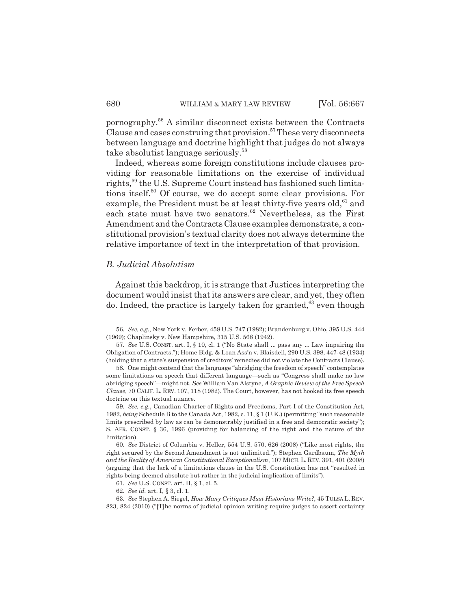pornography.56 A similar disconnect exists between the Contracts Clause and cases construing that provision.<sup>57</sup> These very disconnects between language and doctrine highlight that judges do not always take absolutist language seriously.<sup>58</sup>

Indeed, whereas some foreign constitutions include clauses providing for reasonable limitations on the exercise of individual rights,<sup>59</sup> the U.S. Supreme Court instead has fashioned such limitations itself.<sup>60</sup> Of course, we do accept some clear provisions. For example, the President must be at least thirty-five years old, $61$  and each state must have two senators. $62$  Nevertheless, as the First Amendment and the Contracts Clause examples demonstrate, a constitutional provision's textual clarity does not always determine the relative importance of text in the interpretation of that provision.

#### *B. Judicial Absolutism*

Against this backdrop, it is strange that Justices interpreting the document would insist that its answers are clear, and yet, they often do. Indeed, the practice is largely taken for granted,<sup>63</sup> even though

61. *See* U.S. CONST. art. II, § 1, cl. 5.

<sup>56.</sup> *See, e.g.*, New York v. Ferber, 458 U.S. 747 (1982); Brandenburg v. Ohio, 395 U.S. 444 (1969); Chaplinsky v. New Hampshire, 315 U.S. 568 (1942).

<sup>57.</sup> *See* U.S. CONST. art. I, § 10, cl. 1 ("No State shall ... pass any ... Law impairing the Obligation of Contracts."); Home Bldg. & Loan Ass'n v. Blaisdell, 290 U.S. 398, 447-48 (1934) (holding that a state's suspension of creditors' remedies did not violate the Contracts Clause).

<sup>58.</sup> One might contend that the language "abridging the freedom of speech" contemplates some limitations on speech that different language—such as "Congress shall make no law abridging speech"—might not. *See* William Van Alstyne, *A Graphic Review of the Free Speech Clause*, 70 CALIF. L. REV. 107, 118 (1982). The Court, however, has not hooked its free speech doctrine on this textual nuance.

<sup>59.</sup> *See, e.g.*, Canadian Charter of Rights and Freedoms, Part I of the Constitution Act, 1982, *being* Schedule B to the Canada Act, 1982, c. 11, § 1 (U.K.) (permitting "such reasonable limits prescribed by law as can be demonstrably justified in a free and democratic society"); S. AFR. CONST. § 36, 1996 (providing for balancing of the right and the nature of the limitation).

<sup>60.</sup> *See* District of Columbia v. Heller, 554 U.S. 570, 626 (2008) ("Like most rights, the right secured by the Second Amendment is not unlimited."); Stephen Gardbaum, *The Myth and the Reality of American Constitutional Exceptionalism*, 107 MICH.L. REV. 391, 401 (2008) (arguing that the lack of a limitations clause in the U.S. Constitution has not "resulted in rights being deemed absolute but rather in the judicial implication of limits").

<sup>62.</sup> *See id.* art. I, § 3, cl. 1.

<sup>63.</sup> *See* Stephen A. Siegel, *How Many Critiques Must Historians Write?*, 45 TULSA L. REV. 823, 824 (2010) ("[T]he norms of judicial-opinion writing require judges to assert certainty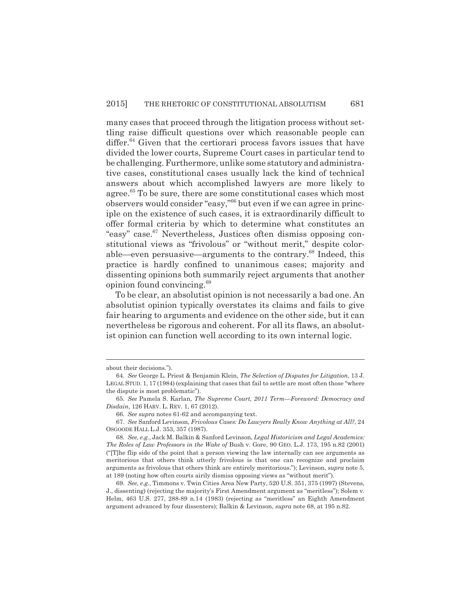many cases that proceed through the litigation process without settling raise difficult questions over which reasonable people can differ.<sup>64</sup> Given that the certiorari process favors issues that have divided the lower courts, Supreme Court cases in particular tend to be challenging. Furthermore, unlike some statutory and administrative cases, constitutional cases usually lack the kind of technical answers about which accomplished lawyers are more likely to agree.<sup>65</sup> To be sure, there are some constitutional cases which most observers would consider "easy,"66 but even if we can agree in principle on the existence of such cases, it is extraordinarily difficult to offer formal criteria by which to determine what constitutes an "easy" case.67 Nevertheless, Justices often dismiss opposing constitutional views as "frivolous" or "without merit," despite colorable—even persuasive—arguments to the contrary.68 Indeed, this practice is hardly confined to unanimous cases; majority and dissenting opinions both summarily reject arguments that another opinion found convincing.69

To be clear, an absolutist opinion is not necessarily a bad one. An absolutist opinion typically overstates its claims and fails to give fair hearing to arguments and evidence on the other side, but it can nevertheless be rigorous and coherent. For all its flaws, an absolutist opinion can function well according to its own internal logic.

about their decisions.").

<sup>64.</sup> *See* George L. Priest & Benjamin Klein, *The Selection of Disputes for Litigation*, 13 J. LEGAL STUD. 1, 17 (1984) (explaining that cases that fail to settle are most often those "where the dispute is most problematic").

<sup>65.</sup> *See* Pamela S. Karlan, *The Supreme Court, 2011 Term—Foreword: Democracy and Disdain*, 126 HARV. L. REV. 1, 67 (2012).

<sup>66.</sup> *See supra* notes 61-62 and accompanying text.

<sup>67.</sup> *See* Sanford Levinson, *Frivolous Cases: Do Lawyers Really Know Anything at All?*, 24 OSGOODE HALL L.J. 353, 357 (1987).

<sup>68.</sup> *See, e.g.*, Jack M. Balkin & Sanford Levinson, *Legal Historicism and Legal Academics: The Roles of Law Professors in the Wake of* Bush v. Gore, 90 GEO. L.J. 173, 195 n.82 (2001) ("[T]he flip side of the point that a person viewing the law internally can see arguments as meritorious that others think utterly frivolous is that one can recognize and proclaim arguments as frivolous that others think are entirely meritorious."); Levinson, *supra* note 5, at 189 (noting how often courts airily dismiss opposing views as "without merit").

<sup>69.</sup> *See, e.g.*, Timmons v. Twin Cities Area New Party, 520 U.S. 351, 375 (1997) (Stevens, J., dissenting) (rejecting the majority's First Amendment argument as "meritless"); Solem v. Helm, 463 U.S. 277, 288-89 n.14 (1983) (rejecting as "meritless" an Eighth Amendment argument advanced by four dissenters); Balkin & Levinson, *supra* note 68, at 195 n.82.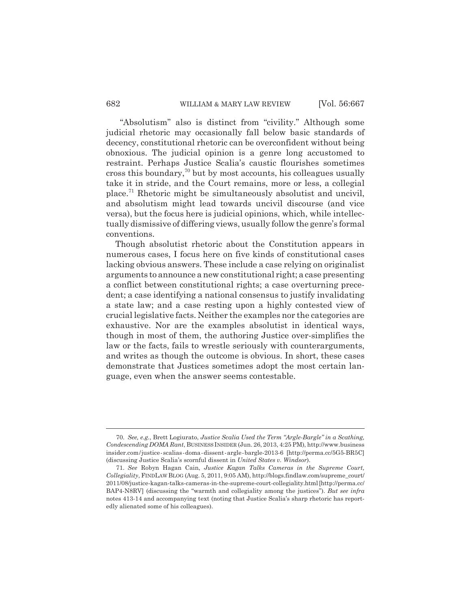"Absolutism" also is distinct from "civility." Although some judicial rhetoric may occasionally fall below basic standards of decency, constitutional rhetoric can be overconfident without being obnoxious. The judicial opinion is a genre long accustomed to restraint. Perhaps Justice Scalia's caustic flourishes sometimes cross this boundary, $\frac{70}{10}$  but by most accounts, his colleagues usually take it in stride, and the Court remains, more or less, a collegial place.71 Rhetoric might be simultaneously absolutist and uncivil, and absolutism might lead towards uncivil discourse (and vice versa), but the focus here is judicial opinions, which, while intellectually dismissive of differing views, usually follow the genre's formal conventions.

Though absolutist rhetoric about the Constitution appears in numerous cases, I focus here on five kinds of constitutional cases lacking obvious answers. These include a case relying on originalist arguments to announce a new constitutional right; a case presenting a conflict between constitutional rights; a case overturning precedent; a case identifying a national consensus to justify invalidating a state law; and a case resting upon a highly contested view of crucial legislative facts. Neither the examples nor the categories are exhaustive. Nor are the examples absolutist in identical ways, though in most of them, the authoring Justice over-simplifies the law or the facts, fails to wrestle seriously with counterarguments, and writes as though the outcome is obvious. In short, these cases demonstrate that Justices sometimes adopt the most certain language, even when the answer seems contestable.

<sup>70.</sup> *See, e.g.*, Brett Logiurato, *Justice Scalia Used the Term "Argle-Bargle" in a Scathing, Condescending DOMA Rant*, BUSINESS INSIDER (Jun. 26, 2013, 4:25 PM), http://www.business insider.com/justice-scalias-doma-dissent-argle-bargle-2013-6 [http://perma.cc/5G5-BR5C] (discussing Justice Scalia's scornful dissent in *United States v. Windsor*).

<sup>71.</sup> *See* Robyn Hagan Cain, *Justice Kagan Talks Cameras in the Supreme Court, Collegiality*, FINDLAW BLOG (Aug. 5, 2011, 9:05 AM), http://blogs.findlaw.com/supreme\_court/ 2011/08/justice-kagan-talks-cameras-in-the-supreme-court-collegiality.html [http://perma.cc/ BAP4-N8RV] (discussing the "warmth and collegiality among the justices"). *But see infra* notes 413-14 and accompanying text (noting that Justice Scalia's sharp rhetoric has reportedly alienated some of his colleagues).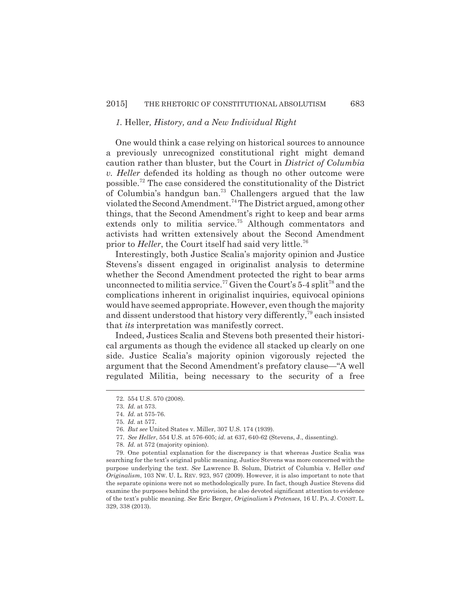#### *1.* Heller*, History, and a New Individual Right*

One would think a case relying on historical sources to announce a previously unrecognized constitutional right might demand caution rather than bluster, but the Court in *District of Columbia v. Heller* defended its holding as though no other outcome were possible.72 The case considered the constitutionality of the District of Columbia's handgun ban.<sup>73</sup> Challengers argued that the law violated the Second Amendment.74 The District argued, among other things, that the Second Amendment's right to keep and bear arms extends only to militia service.<sup>75</sup> Although commentators and activists had written extensively about the Second Amendment prior to *Heller*, the Court itself had said very little.<sup>76</sup>

Interestingly, both Justice Scalia's majority opinion and Justice Stevens's dissent engaged in originalist analysis to determine whether the Second Amendment protected the right to bear arms unconnected to militia service.<sup>77</sup> Given the Court's 5-4 split<sup>78</sup> and the complications inherent in originalist inquiries, equivocal opinions would have seemed appropriate. However, even though the majority and dissent understood that history very differently,<sup>79</sup> each insisted that *its* interpretation was manifestly correct.

Indeed, Justices Scalia and Stevens both presented their historical arguments as though the evidence all stacked up clearly on one side. Justice Scalia's majority opinion vigorously rejected the argument that the Second Amendment's prefatory clause—"A well regulated Militia, being necessary to the security of a free

<sup>72. 554</sup> U.S. 570 (2008).

<sup>73.</sup> *Id.* at 573.

<sup>74.</sup> *Id.* at 575-76.

<sup>75.</sup> *Id.* at 577.

<sup>76.</sup> *But see* United States v. Miller, 307 U.S. 174 (1939).

<sup>77.</sup> *See Heller*, 554 U.S. at 576-605; *id.* at 637, 640-62 (Stevens, J., dissenting).

<sup>78.</sup> *Id.* at 572 (majority opinion).

<sup>79.</sup> One potential explanation for the discrepancy is that whereas Justice Scalia was searching for the text's original public meaning, Justice Stevens was more concerned with the purpose underlying the text. *See* Lawrence B. Solum, District of Columbia v. Heller *and Originalism*, 103 NW. U. L. REV. 923, 957 (2009). However, it is also important to note that the separate opinions were not so methodologically pure. In fact, though Justice Stevens did examine the purposes behind the provision, he also devoted significant attention to evidence of the text's public meaning. *See* Eric Berger, *Originalism's Pretenses*, 16 U. PA. J. CONST. L. 329, 338 (2013).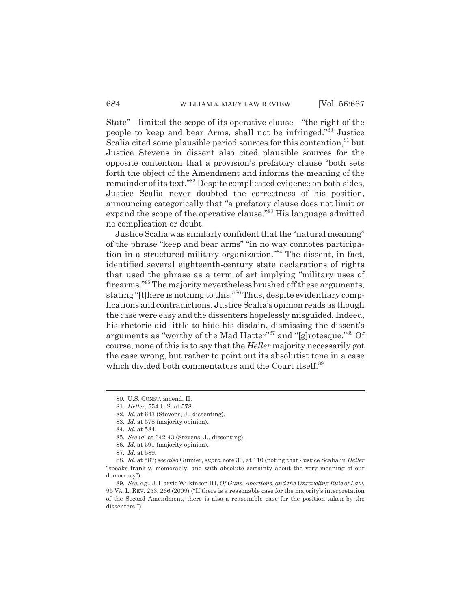State"—limited the scope of its operative clause—"the right of the people to keep and bear Arms, shall not be infringed."80 Justice Scalia cited some plausible period sources for this contention, $81$  but Justice Stevens in dissent also cited plausible sources for the opposite contention that a provision's prefatory clause "both sets forth the object of the Amendment and informs the meaning of the remainder of its text."82 Despite complicated evidence on both sides, Justice Scalia never doubted the correctness of his position, announcing categorically that "a prefatory clause does not limit or expand the scope of the operative clause.<sup>383</sup> His language admitted no complication or doubt.

Justice Scalia was similarly confident that the "natural meaning" of the phrase "keep and bear arms" "in no way connotes participation in a structured military organization."84 The dissent, in fact, identified several eighteenth-century state declarations of rights that used the phrase as a term of art implying "military uses of firearms."85 The majority nevertheless brushed off these arguments, stating "[t]here is nothing to this."86 Thus, despite evidentiary complications and contradictions, Justice Scalia's opinion reads as though the case were easy and the dissenters hopelessly misguided. Indeed, his rhetoric did little to hide his disdain, dismissing the dissent's arguments as "worthy of the Mad Hatter"87 and "[g]rotesque."88 Of course, none of this is to say that the *Heller* majority necessarily got the case wrong, but rather to point out its absolutist tone in a case which divided both commentators and the Court itself.<sup>89</sup>

<sup>80.</sup> U.S. CONST. amend. II.

<sup>81.</sup> *Heller*, 554 U.S. at 578.

<sup>82.</sup> *Id.* at 643 (Stevens, J., dissenting).

<sup>83.</sup> *Id.* at 578 (majority opinion).

<sup>84.</sup> *Id.* at 584.

<sup>85.</sup> *See id.* at 642-43 (Stevens, J., dissenting).

<sup>86.</sup> *Id.* at 591 (majority opinion).

<sup>87.</sup> *Id.* at 589.

<sup>88.</sup> *Id.* at 587; *see also* Guinier, *supra* note 30, at 110 (noting that Justice Scalia in *Heller* "speaks frankly, memorably, and with absolute certainty about the very meaning of our democracy").

<sup>89.</sup> *See, e.g.*, J. Harvie Wilkinson III, *Of Guns, Abortions, and the Unraveling Rule of Law*, 95 VA. L. REV. 253, 266 (2009) ("If there is a reasonable case for the majority's interpretation of the Second Amendment, there is also a reasonable case for the position taken by the dissenters.").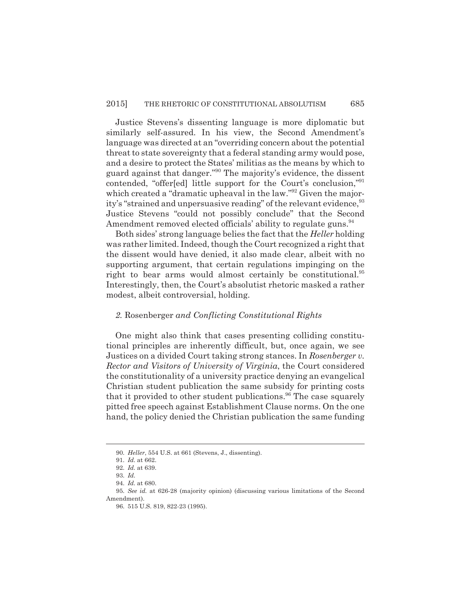Justice Stevens's dissenting language is more diplomatic but similarly self-assured. In his view, the Second Amendment's language was directed at an "overriding concern about the potential threat to state sovereignty that a federal standing army would pose, and a desire to protect the States' militias as the means by which to guard against that danger."90 The majority's evidence, the dissent contended, "offer[ed] little support for the Court's conclusion,"91 which created a "dramatic upheaval in the law."<sup>92</sup> Given the majority's "strained and unpersuasive reading" of the relevant evidence, <sup>93</sup> Justice Stevens "could not possibly conclude" that the Second Amendment removed elected officials' ability to regulate guns.<sup>94</sup>

Both sides' strong language belies the fact that the *Heller* holding was rather limited. Indeed, though the Court recognized a right that the dissent would have denied, it also made clear, albeit with no supporting argument, that certain regulations impinging on the right to bear arms would almost certainly be constitutional.<sup>95</sup> Interestingly, then, the Court's absolutist rhetoric masked a rather modest, albeit controversial, holding.

#### *2.* Rosenberger *and Conflicting Constitutional Rights*

One might also think that cases presenting colliding constitutional principles are inherently difficult, but, once again, we see Justices on a divided Court taking strong stances. In *Rosenberger v. Rector and Visitors of University of Virginia*, the Court considered the constitutionality of a university practice denying an evangelical Christian student publication the same subsidy for printing costs that it provided to other student publications.<sup>96</sup> The case squarely pitted free speech against Establishment Clause norms. On the one hand, the policy denied the Christian publication the same funding

<sup>90.</sup> *Heller*, 554 U.S. at 661 (Stevens, J., dissenting).

<sup>91.</sup> *Id.* at 662.

<sup>92.</sup> *Id.* at 639.

<sup>93.</sup> *Id.*

<sup>94.</sup> *Id.* at 680.

<sup>95.</sup> *See id.* at 626-28 (majority opinion) (discussing various limitations of the Second Amendment).

<sup>96. 515</sup> U.S. 819, 822-23 (1995).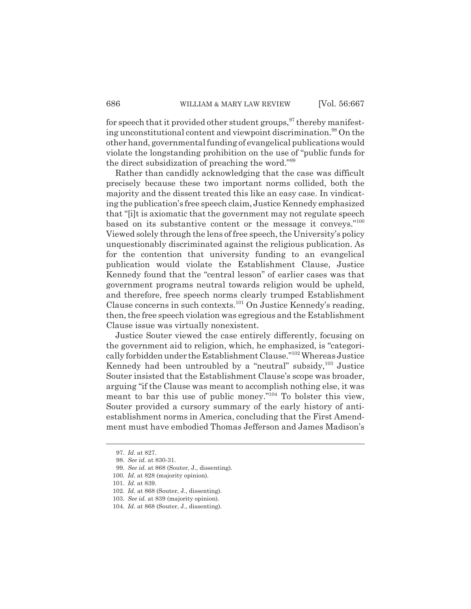for speech that it provided other student groups,  $\frac{97}{3}$  thereby manifesting unconstitutional content and viewpoint discrimination.<sup>98</sup> On the other hand, governmental funding of evangelical publications would violate the longstanding prohibition on the use of "public funds for the direct subsidization of preaching the word."99

Rather than candidly acknowledging that the case was difficult precisely because these two important norms collided, both the majority and the dissent treated this like an easy case. In vindicating the publication's free speech claim, Justice Kennedy emphasized that "[i]t is axiomatic that the government may not regulate speech based on its substantive content or the message it conveys."100 Viewed solely through the lens of free speech, the University's policy unquestionably discriminated against the religious publication. As for the contention that university funding to an evangelical publication would violate the Establishment Clause, Justice Kennedy found that the "central lesson" of earlier cases was that government programs neutral towards religion would be upheld, and therefore, free speech norms clearly trumped Establishment Clause concerns in such contexts.101 On Justice Kennedy's reading, then, the free speech violation was egregious and the Establishment Clause issue was virtually nonexistent.

Justice Souter viewed the case entirely differently, focusing on the government aid to religion, which, he emphasized, is "categorically forbidden under the Establishment Clause."102 Whereas Justice Kennedy had been untroubled by a "neutral" subsidy,  $^{103}$  Justice Souter insisted that the Establishment Clause's scope was broader, arguing "if the Clause was meant to accomplish nothing else, it was meant to bar this use of public money."<sup>104</sup> To bolster this view, Souter provided a cursory summary of the early history of antiestablishment norms in America, concluding that the First Amendment must have embodied Thomas Jefferson and James Madison's

<sup>97.</sup> *Id.* at 827.

<sup>98.</sup> *See id.* at 830-31.

<sup>99.</sup> *See id.* at 868 (Souter, J., dissenting).

<sup>100.</sup> *Id.* at 828 (majority opinion).

<sup>101.</sup> *Id.* at 839.

<sup>102.</sup> *Id.* at 868 (Souter, J., dissenting).

<sup>103.</sup> *See id.* at 839 (majority opinion).

<sup>104.</sup> *Id.* at 868 (Souter, J., dissenting).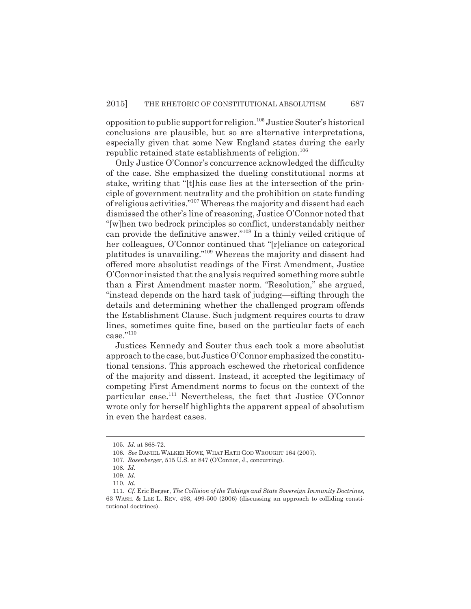opposition to public support for religion.<sup>105</sup> Justice Souter's historical conclusions are plausible, but so are alternative interpretations, especially given that some New England states during the early republic retained state establishments of religion.<sup>106</sup>

Only Justice O'Connor's concurrence acknowledged the difficulty of the case. She emphasized the dueling constitutional norms at stake, writing that "[t]his case lies at the intersection of the principle of government neutrality and the prohibition on state funding of religious activities."107 Whereas the majority and dissent had each dismissed the other's line of reasoning, Justice O'Connor noted that "[w]hen two bedrock principles so conflict, understandably neither can provide the definitive answer."108 In a thinly veiled critique of her colleagues, O'Connor continued that "[r]eliance on categorical platitudes is unavailing."109 Whereas the majority and dissent had offered more absolutist readings of the First Amendment, Justice O'Connor insisted that the analysis required something more subtle than a First Amendment master norm. "Resolution," she argued, "instead depends on the hard task of judging—sifting through the details and determining whether the challenged program offends the Establishment Clause. Such judgment requires courts to draw lines, sometimes quite fine, based on the particular facts of each  $case.$ "110

Justices Kennedy and Souter thus each took a more absolutist approach to the case, but Justice O'Connor emphasized the constitutional tensions. This approach eschewed the rhetorical confidence of the majority and dissent. Instead, it accepted the legitimacy of competing First Amendment norms to focus on the context of the particular case.<sup>111</sup> Nevertheless, the fact that Justice O'Connor wrote only for herself highlights the apparent appeal of absolutism in even the hardest cases.

<sup>105.</sup> *Id.* at 868-72.

<sup>106.</sup> *See* DANIEL WALKER HOWE, WHAT HATH GOD WROUGHT 164 (2007).

<sup>107.</sup> *Rosenberger*, 515 U.S. at 847 (O'Connor, J., concurring).

<sup>108.</sup> *Id.*

<sup>109.</sup> *Id.*

<sup>110.</sup> *Id.*

<sup>111.</sup> *Cf.* Eric Berger, *The Collision of the Takings and State Sovereign Immunity Doctrines*, 63 WASH. & LEE L. REV. 493, 499-500 (2006) (discussing an approach to colliding constitutional doctrines).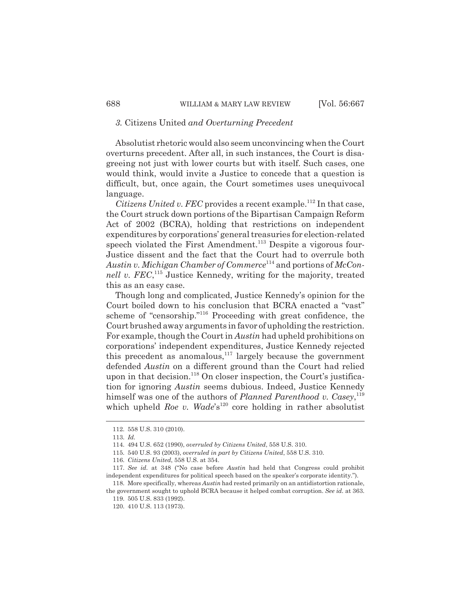#### *3.* Citizens United *and Overturning Precedent*

Absolutist rhetoric would also seem unconvincing when the Court overturns precedent. After all, in such instances, the Court is disagreeing not just with lower courts but with itself. Such cases, one would think, would invite a Justice to concede that a question is difficult, but, once again, the Court sometimes uses unequivocal language.

*Citizens United v. FEC* provides a recent example.<sup>112</sup> In that case, the Court struck down portions of the Bipartisan Campaign Reform Act of 2002 (BCRA), holding that restrictions on independent expenditures by corporations' general treasuries for election-related speech violated the First Amendment.<sup>113</sup> Despite a vigorous four-Justice dissent and the fact that the Court had to overrule both *Austin v. Michigan Chamber of Commerce*114 and portions of *McCon*nell v. FEC,<sup>115</sup> Justice Kennedy, writing for the majority, treated this as an easy case.

Though long and complicated, Justice Kennedy's opinion for the Court boiled down to his conclusion that BCRA enacted a "vast" scheme of "censorship."116 Proceeding with great confidence, the Court brushed away arguments in favor of upholding the restriction. For example, though the Court in *Austin* had upheld prohibitions on corporations' independent expenditures, Justice Kennedy rejected this precedent as anomalous, $117$  largely because the government defended *Austin* on a different ground than the Court had relied upon in that decision.<sup>118</sup> On closer inspection, the Court's justification for ignoring *Austin* seems dubious. Indeed, Justice Kennedy himself was one of the authors of *Planned Parenthood v. Casey*,<sup>119</sup> which upheld *Roe v. Wade*'s<sup>120</sup> core holding in rather absolutist

<sup>112. 558</sup> U.S. 310 (2010).

<sup>113.</sup> *Id.*

<sup>114. 494</sup> U.S. 652 (1990), *overruled by Citizens United*, 558 U.S. 310.

<sup>115. 540</sup> U.S. 93 (2003), *overruled in part by Citizens United*, 558 U.S. 310.

<sup>116.</sup> *Citizens United*, 558 U.S. at 354.

<sup>117.</sup> *See id.* at 348 ("No case before *Austin* had held that Congress could prohibit independent expenditures for political speech based on the speaker's corporate identity.").

<sup>118.</sup> More specifically, whereas *Austin* had rested primarily on an antidistortion rationale, the government sought to uphold BCRA because it helped combat corruption. *See id.* at 363.

<sup>119. 505</sup> U.S. 833 (1992).

<sup>120. 410</sup> U.S. 113 (1973).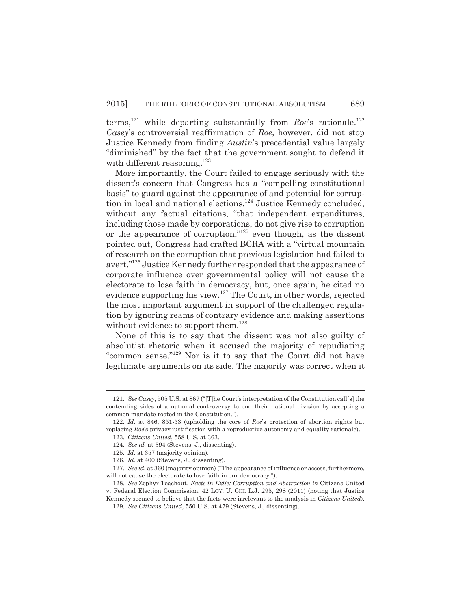terms,<sup>121</sup> while departing substantially from *Roe*'s rationale.<sup>122</sup> *Casey*'s controversial reaffirmation of *Roe*, however, did not stop Justice Kennedy from finding *Austin*'s precedential value largely "diminished" by the fact that the government sought to defend it with different reasoning.<sup>123</sup>

More importantly, the Court failed to engage seriously with the dissent's concern that Congress has a "compelling constitutional basis" to guard against the appearance of and potential for corruption in local and national elections.<sup>124</sup> Justice Kennedy concluded, without any factual citations, "that independent expenditures, including those made by corporations, do not give rise to corruption or the appearance of corruption," $125$  even though, as the dissent pointed out, Congress had crafted BCRA with a "virtual mountain of research on the corruption that previous legislation had failed to avert."126 Justice Kennedy further responded that the appearance of corporate influence over governmental policy will not cause the electorate to lose faith in democracy, but, once again, he cited no evidence supporting his view.127 The Court, in other words, rejected the most important argument in support of the challenged regulation by ignoring reams of contrary evidence and making assertions without evidence to support them.<sup>128</sup>

None of this is to say that the dissent was not also guilty of absolutist rhetoric when it accused the majority of repudiating "common sense."129 Nor is it to say that the Court did not have legitimate arguments on its side. The majority was correct when it

<sup>121.</sup> *See Casey*, 505 U.S. at 867 ("[T]he Court's interpretation of the Constitution call[s] the contending sides of a national controversy to end their national division by accepting a common mandate rooted in the Constitution.").

<sup>122.</sup> *Id.* at 846, 851-53 (upholding the core of *Roe*'s protection of abortion rights but replacing *Roe*'s privacy justification with a reproductive autonomy and equality rationale).

<sup>123.</sup> *Citizens United*, 558 U.S. at 363.

<sup>124.</sup> *See id.* at 394 (Stevens, J., dissenting).

<sup>125.</sup> *Id.* at 357 (majority opinion).

<sup>126.</sup> *Id.* at 400 (Stevens, J., dissenting).

<sup>127.</sup> *See id.* at 360 (majority opinion) ("The appearance of influence or access, furthermore, will not cause the electorate to lose faith in our democracy.").

<sup>128.</sup> *See* Zephyr Teachout, *Facts in Exile: Corruption and Abstraction in* Citizens United v. Federal Election Commission, 42 LOY. U. CHI. L.J. 295, 298 (2011) (noting that Justice Kennedy seemed to believe that the facts were irrelevant to the analysis in *Citizens United*).

<sup>129.</sup> *See Citizens United*, 550 U.S. at 479 (Stevens, J., dissenting).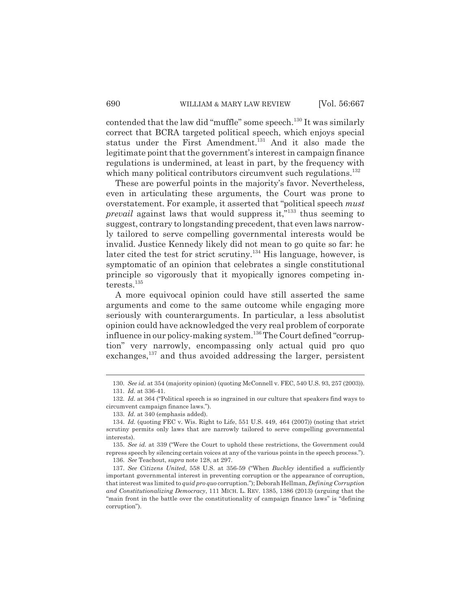contended that the law did "muffle" some speech.<sup>130</sup> It was similarly correct that BCRA targeted political speech, which enjoys special status under the First Amendment.<sup>131</sup> And it also made the legitimate point that the government's interest in campaign finance regulations is undermined, at least in part, by the frequency with which many political contributors circumvent such regulations.<sup>132</sup>

These are powerful points in the majority's favor. Nevertheless, even in articulating these arguments, the Court was prone to overstatement. For example, it asserted that "political speech *must prevail* against laws that would suppress it,"<sup>133</sup> thus seeming to suggest, contrary to longstanding precedent, that even laws narrowly tailored to serve compelling governmental interests would be invalid. Justice Kennedy likely did not mean to go quite so far: he later cited the test for strict scrutiny.<sup>134</sup> His language, however, is symptomatic of an opinion that celebrates a single constitutional principle so vigorously that it myopically ignores competing interests.<sup>135</sup>

A more equivocal opinion could have still asserted the same arguments and come to the same outcome while engaging more seriously with counterarguments. In particular, a less absolutist opinion could have acknowledged the very real problem of corporate influence in our policy-making system.<sup>136</sup> The Court defined "corruption" very narrowly, encompassing only actual quid pro quo exchanges,<sup>137</sup> and thus avoided addressing the larger, persistent

<sup>130.</sup> *See id.* at 354 (majority opinion) (quoting McConnell v. FEC, 540 U.S. 93, 257 (2003)).

<sup>131.</sup> *Id.* at 336-41.

<sup>132.</sup> *Id.* at 364 ("Political speech is so ingrained in our culture that speakers find ways to circumvent campaign finance laws.").

<sup>133.</sup> *Id.* at 340 (emphasis added).

<sup>134.</sup> *Id.* (quoting FEC v. Wis. Right to Life, 551 U.S. 449, 464 (2007)) (noting that strict scrutiny permits only laws that are narrowly tailored to serve compelling governmental interests).

<sup>135.</sup> *See id.* at 339 ("Were the Court to uphold these restrictions, the Government could repress speech by silencing certain voices at any of the various points in the speech process."). 136. *See* Teachout, *supra* note 128, at 297.

<sup>137.</sup> *See Citizens United*, 558 U.S. at 356-59 ("When *Buckley* identified a sufficiently important governmental interest in preventing corruption or the appearance of corruption, that interest was limited to *quid pro quo* corruption."); Deborah Hellman, *Defining Corruption and Constitutionalizing Democracy*, 111 MICH. L. REV. 1385, 1386 (2013) (arguing that the "main front in the battle over the constitutionality of campaign finance laws" is "defining corruption").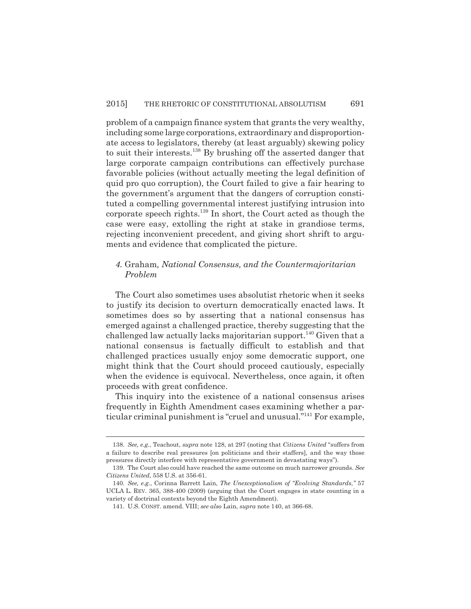problem of a campaign finance system that grants the very wealthy, including some large corporations, extraordinary and disproportionate access to legislators, thereby (at least arguably) skewing policy to suit their interests.138 By brushing off the asserted danger that large corporate campaign contributions can effectively purchase favorable policies (without actually meeting the legal definition of quid pro quo corruption), the Court failed to give a fair hearing to the government's argument that the dangers of corruption constituted a compelling governmental interest justifying intrusion into corporate speech rights.<sup>139</sup> In short, the Court acted as though the case were easy, extolling the right at stake in grandiose terms, rejecting inconvenient precedent, and giving short shrift to arguments and evidence that complicated the picture.

#### *4.* Graham*, National Consensus, and the Countermajoritarian Problem*

The Court also sometimes uses absolutist rhetoric when it seeks to justify its decision to overturn democratically enacted laws. It sometimes does so by asserting that a national consensus has emerged against a challenged practice, thereby suggesting that the challenged law actually lacks majoritarian support.<sup>140</sup> Given that a national consensus is factually difficult to establish and that challenged practices usually enjoy some democratic support, one might think that the Court should proceed cautiously, especially when the evidence is equivocal. Nevertheless, once again, it often proceeds with great confidence.

This inquiry into the existence of a national consensus arises frequently in Eighth Amendment cases examining whether a particular criminal punishment is "cruel and unusual."141 For example,

<sup>138.</sup> *See, e.g.*, Teachout, *supra* note 128, at 297 (noting that *Citizens United* "suffers from a failure to describe real pressures [on politicians and their staffers], and the way those pressures directly interfere with representative government in devastating ways").

<sup>139.</sup> The Court also could have reached the same outcome on much narrower grounds. *See Citizens United*, 558 U.S. at 356-61.

<sup>140.</sup> *See, e.g.*, Corinna Barrett Lain, *The Unexceptionalism of "Evolving Standards*,*"* 57 UCLA L. REV. 365, 388-400 (2009) (arguing that the Court engages in state counting in a variety of doctrinal contexts beyond the Eighth Amendment).

<sup>141.</sup> U.S. CONST. amend. VIII; *see also* Lain, *supra* note 140, at 366-68.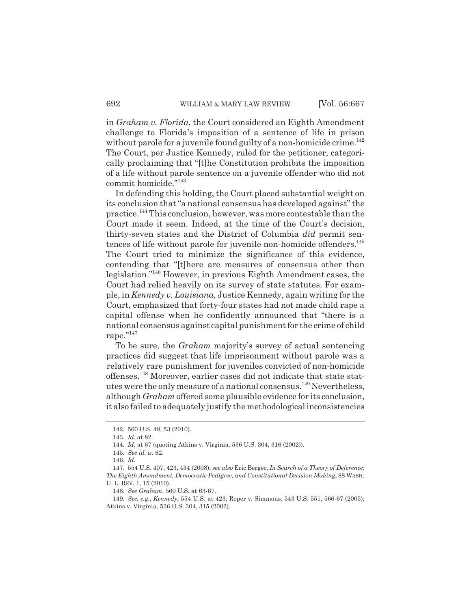in *Graham v. Florida*, the Court considered an Eighth Amendment challenge to Florida's imposition of a sentence of life in prison without parole for a juvenile found guilty of a non-homicide crime.<sup>142</sup> The Court, per Justice Kennedy, ruled for the petitioner, categorically proclaiming that "[t]he Constitution prohibits the imposition of a life without parole sentence on a juvenile offender who did not commit homicide."143

In defending this holding, the Court placed substantial weight on its conclusion that "a national consensus has developed against" the practice.144 This conclusion, however, was more contestable than the Court made it seem. Indeed, at the time of the Court's decision, thirty-seven states and the District of Columbia *did* permit sentences of life without parole for juvenile non-homicide offenders.145 The Court tried to minimize the significance of this evidence, contending that "[t]here are measures of consensus other than legislation."146 However, in previous Eighth Amendment cases, the Court had relied heavily on its survey of state statutes. For example, in *Kennedy v. Louisiana*, Justice Kennedy, again writing for the Court, emphasized that forty-four states had not made child rape a capital offense when he confidently announced that "there is a national consensus against capital punishment for the crime of child rape."147

To be sure, the *Graham* majority's survey of actual sentencing practices did suggest that life imprisonment without parole was a relatively rare punishment for juveniles convicted of non-homicide offenses.148 Moreover, earlier cases did not indicate that state statutes were the only measure of a national consensus.<sup>149</sup> Nevertheless, although *Graham* offered some plausible evidence for its conclusion, it also failed to adequately justify the methodological inconsistencies

<sup>142. 560</sup> U.S. 48, 53 (2010).

<sup>143.</sup> *Id.* at 82.

<sup>144.</sup> *Id.* at 67 (quoting Atkins v. Virginia, 536 U.S. 304, 316 (2002)).

<sup>145.</sup> *See id.* at 62.

<sup>146.</sup> *Id.*

<sup>147. 554</sup> U.S. 407, 423, 434 (2008); *see also* Eric Berger, *In Search of a Theory of Deference: The Eighth Amendment, Democratic Pedigree, and Constitutional Decision Making*, 88 WASH. U. L. REV. 1, 15 (2010).

<sup>148.</sup> *See Graham*, 560 U.S. at 63-67.

<sup>149.</sup> *See, e.g.*, *Kennedy*, 554 U.S. at 423; Roper v. Simmons, 543 U.S. 551, 566-67 (2005); Atkins v. Virginia, 536 U.S. 304, 315 (2002).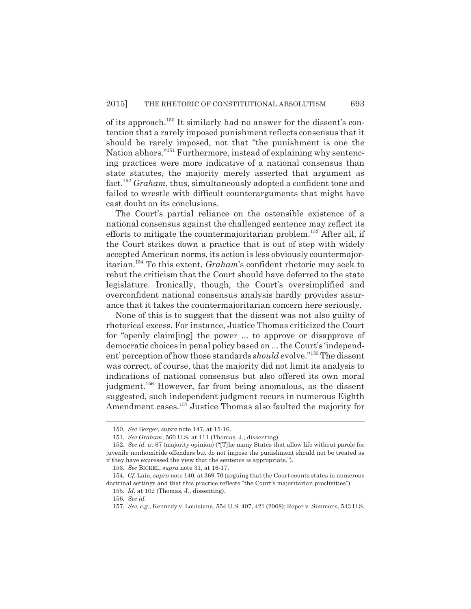of its approach.150 It similarly had no answer for the dissent's contention that a rarely imposed punishment reflects consensus that it should be rarely imposed, not that "the punishment is one the Nation abhors."151 Furthermore, instead of explaining why sentencing practices were more indicative of a national consensus than state statutes, the majority merely asserted that argument as fact.152 *Graham*, thus, simultaneously adopted a confident tone and failed to wrestle with difficult counterarguments that might have cast doubt on its conclusions.

The Court's partial reliance on the ostensible existence of a national consensus against the challenged sentence may reflect its efforts to mitigate the countermajoritarian problem.<sup>153</sup> After all, if the Court strikes down a practice that is out of step with widely accepted American norms, its action is less obviously countermajoritarian.154 To this extent, *Graham*'s confident rhetoric may seek to rebut the criticism that the Court should have deferred to the state legislature. Ironically, though, the Court's oversimplified and overconfident national consensus analysis hardly provides assurance that it takes the countermajoritarian concern here seriously.

None of this is to suggest that the dissent was not also guilty of rhetorical excess. For instance, Justice Thomas criticized the Court for "openly claim[ing] the power ... to approve or disapprove of democratic choices in penal policy based on ... the Court's 'independent' perception of how those standards *should* evolve."<sup>155</sup> The dissent was correct, of course, that the majority did not limit its analysis to indications of national consensus but also offered its own moral judgment.156 However, far from being anomalous, as the dissent suggested, such independent judgment recurs in numerous Eighth Amendment cases.157 Justice Thomas also faulted the majority for

<sup>150.</sup> *See* Berger, *supra* note 147, at 15-16.

<sup>151.</sup> *See Graham*, 560 U.S. at 111 (Thomas, J., dissenting).

<sup>152.</sup> *See id.* at 67 (majority opinion) ("[T]he many States that allow life without parole for juvenile nonhomicide offenders but do not impose the punishment should not be treated as if they have expressed the view that the sentence is appropriate.").

<sup>153.</sup> *See* BICKEL, *supra* note 31, at 16-17.

<sup>154.</sup> *Cf.* Lain, *supra* note 140, at 369-70 (arguing that the Court counts states in numerous doctrinal settings and that this practice reflects "the Court's majoritarian proclivities"). 155. *Id.* at 102 (Thomas, J., dissenting).

<sup>156.</sup> *See id.*

<sup>157.</sup> *See, e.g.*, Kennedy v. Louisiana, 554 U.S. 407, 421 (2008); Roper v. Simmons, 543 U.S.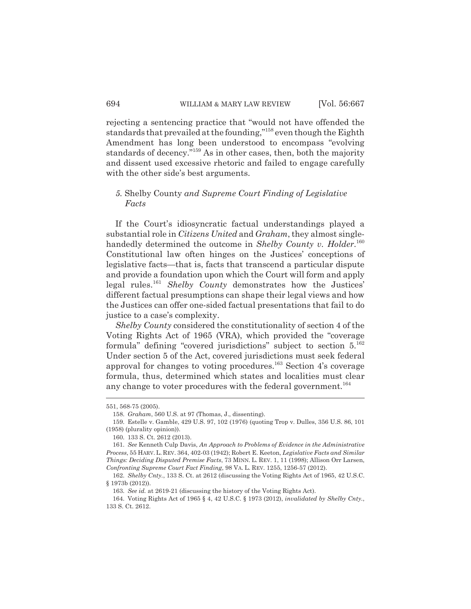rejecting a sentencing practice that "would not have offended the standards that prevailed at the founding,"158 even though the Eighth Amendment has long been understood to encompass "evolving standards of decency."<sup>159</sup> As in other cases, then, both the majority and dissent used excessive rhetoric and failed to engage carefully with the other side's best arguments.

#### *5.* Shelby County *and Supreme Court Finding of Legislative Facts*

If the Court's idiosyncratic factual understandings played a substantial role in *Citizens United* and *Graham*, they almost singlehandedly determined the outcome in *Shelby County v. Holder*. 160 Constitutional law often hinges on the Justices' conceptions of legislative facts—that is, facts that transcend a particular dispute and provide a foundation upon which the Court will form and apply legal rules.161 *Shelby County* demonstrates how the Justices' different factual presumptions can shape their legal views and how the Justices can offer one-sided factual presentations that fail to do justice to a case's complexity.

*Shelby County* considered the constitutionality of section 4 of the Voting Rights Act of 1965 (VRA), which provided the "coverage formula" defining "covered jurisdictions" subject to section 5.162 Under section 5 of the Act, covered jurisdictions must seek federal approval for changes to voting procedures.<sup>163</sup> Section 4's coverage formula, thus, determined which states and localities must clear any change to voter procedures with the federal government.<sup>164</sup>

<sup>551, 568-75 (2005).</sup>

<sup>158.</sup> *Graham*, 560 U.S. at 97 (Thomas, J., dissenting).

<sup>159.</sup> Estelle v. Gamble, 429 U.S. 97, 102 (1976) (quoting Trop v. Dulles, 356 U.S. 86, 101 (1958) (plurality opinion)).

<sup>160. 133</sup> S. Ct. 2612 (2013).

<sup>161.</sup> *See* Kenneth Culp Davis, *An Approach to Problems of Evidence in the Administrative Process*, 55 HARV.L. REV. 364, 402-03 (1942); Robert E. Keeton, *Legislative Facts and Similar Things: Deciding Disputed Premise Facts*, 73 MINN. L. REV. 1, 11 (1998); Allison Orr Larsen, *Confronting Supreme Court Fact Finding*, 98 VA. L. REV. 1255, 1256-57 (2012).

<sup>162.</sup> *Shelby Cnty.*, 133 S. Ct. at 2612 (discussing the Voting Rights Act of 1965, 42 U.S.C. § 1973b (2012)).

<sup>163.</sup> *See id.* at 2619-21 (discussing the history of the Voting Rights Act).

<sup>164.</sup> Voting Rights Act of 1965 § 4, 42 U.S.C. § 1973 (2012), *invalidated by Shelby Cnty.*, 133 S. Ct. 2612.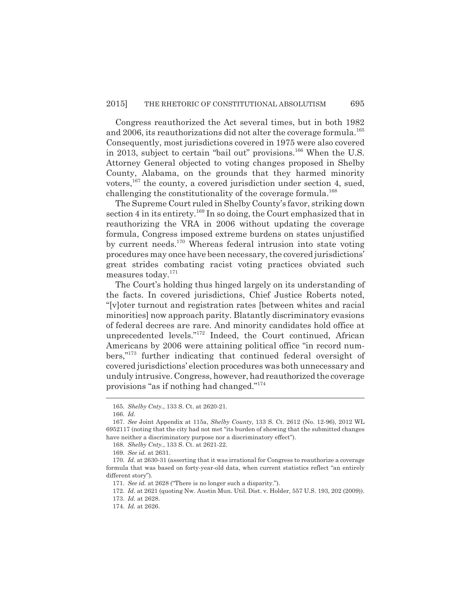Congress reauthorized the Act several times, but in both 1982 and 2006, its reauthorizations did not alter the coverage formula.<sup>165</sup> Consequently, most jurisdictions covered in 1975 were also covered in 2013, subject to certain "bail out" provisions.<sup>166</sup> When the U.S. Attorney General objected to voting changes proposed in Shelby County, Alabama, on the grounds that they harmed minority voters,<sup>167</sup> the county, a covered jurisdiction under section 4, sued, challenging the constitutionality of the coverage formula.<sup>168</sup>

The Supreme Court ruled in Shelby County's favor, striking down section 4 in its entirety.<sup>169</sup> In so doing, the Court emphasized that in reauthorizing the VRA in 2006 without updating the coverage formula, Congress imposed extreme burdens on states unjustified by current needs.170 Whereas federal intrusion into state voting procedures may once have been necessary, the covered jurisdictions' great strides combating racist voting practices obviated such measures today.171

The Court's holding thus hinged largely on its understanding of the facts. In covered jurisdictions, Chief Justice Roberts noted, "[v]oter turnout and registration rates [between whites and racial minorities] now approach parity. Blatantly discriminatory evasions of federal decrees are rare. And minority candidates hold office at unprecedented levels."172 Indeed, the Court continued, African Americans by 2006 were attaining political office "in record numbers,"173 further indicating that continued federal oversight of covered jurisdictions' election procedures was both unnecessary and unduly intrusive. Congress, however, had reauthorized the coverage provisions "as if nothing had changed."174

<sup>165.</sup> *Shelby Cnty.*, 133 S. Ct. at 2620-21.

<sup>166.</sup> *Id.*

<sup>167.</sup> *See* Joint Appendix at 115a, *Shelby County*, 133 S. Ct. 2612 (No. 12-96), 2012 WL 6952117 (noting that the city had not met "its burden of showing that the submitted changes have neither a discriminatory purpose nor a discriminatory effect").

<sup>168.</sup> *Shelby Cnty.*, 133 S. Ct. at 2621-22.

<sup>169.</sup> *See id.* at 2631.

<sup>170.</sup> *Id.* at 2630-31 (asserting that it was irrational for Congress to reauthorize a coverage formula that was based on forty-year-old data, when current statistics reflect "an entirely different story").

<sup>171.</sup> *See id.* at 2628 ("There is no longer such a disparity.").

<sup>172.</sup> *Id.* at 2621 (quoting Nw. Austin Mun. Util. Dist. v. Holder, 557 U.S. 193, 202 (2009)).

<sup>173.</sup> *Id.* at 2628.

<sup>174.</sup> *Id.* at 2626.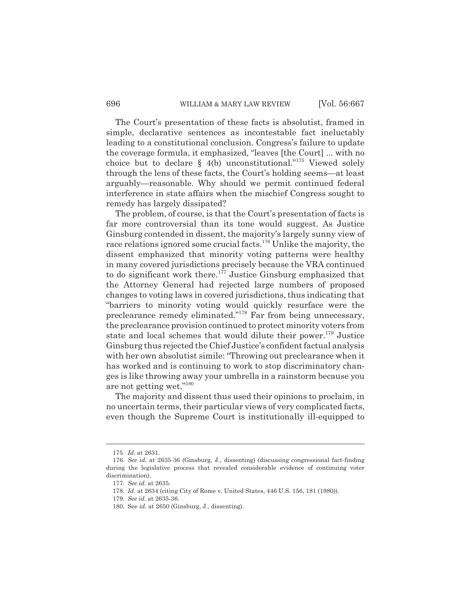The Court's presentation of these facts is absolutist, framed in simple, declarative sentences as incontestable fact ineluctably leading to a constitutional conclusion. Congress's failure to update the coverage formula, it emphasized, "leaves [the Court] ... with no choice but to declare  $\S$  4(b) unconstitutional."<sup>175</sup> Viewed solely through the lens of these facts, the Court's holding seems—at least arguably—reasonable. Why should we permit continued federal interference in state affairs when the mischief Congress sought to remedy has largely dissipated?

The problem, of course, is that the Court's presentation of facts is far more controversial than its tone would suggest. As Justice Ginsburg contended in dissent, the majority's largely sunny view of race relations ignored some crucial facts.<sup>176</sup> Unlike the majority, the dissent emphasized that minority voting patterns were healthy in many covered jurisdictions precisely because the VRA continued to do significant work there.<sup>177</sup> Justice Ginsburg emphasized that the Attorney General had rejected large numbers of proposed changes to voting laws in covered jurisdictions, thus indicating that "barriers to minority voting would quickly resurface were the preclearance remedy eliminated."178 Far from being unnecessary, the preclearance provision continued to protect minority voters from state and local schemes that would dilute their power.<sup>179</sup> Justice Ginsburg thus rejected the Chief Justice's confident factual analysis with her own absolutist simile: "Throwing out preclearance when it has worked and is continuing to work to stop discriminatory changes is like throwing away your umbrella in a rainstorm because you are not getting wet."180

The majority and dissent thus used their opinions to proclaim, in no uncertain terms, their particular views of very complicated facts, even though the Supreme Court is institutionally ill-equipped to

<sup>175.</sup> *Id.* at 2631.

<sup>176.</sup> *See id.* at 2635-36 (Ginsburg, J., dissenting) (discussing congressional fact-finding during the legislative process that revealed considerable evidence of continuing voter discrimination).

<sup>177.</sup> *See id.* at 2635.

<sup>178.</sup> *Id.* at 2634 (citing City of Rome v. United States, 446 U.S. 156, 181 (1980)).

<sup>179.</sup> *See id.* at 2635-36.

<sup>180.</sup> See *id.* at 2650 (Ginsburg, J., dissenting).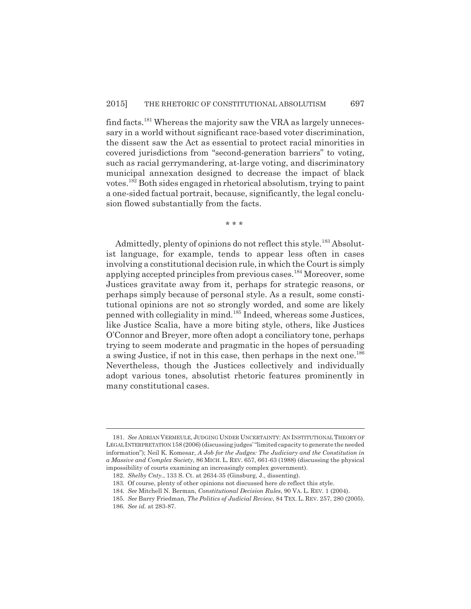find facts.<sup>181</sup> Whereas the majority saw the VRA as largely unnecessary in a world without significant race-based voter discrimination, the dissent saw the Act as essential to protect racial minorities in covered jurisdictions from "second-generation barriers" to voting, such as racial gerrymandering, at-large voting, and discriminatory municipal annexation designed to decrease the impact of black votes.182 Both sides engaged in rhetorical absolutism, trying to paint a one-sided factual portrait, because, significantly, the legal conclusion flowed substantially from the facts.

\* \* \*

Admittedly, plenty of opinions do not reflect this style.<sup>183</sup> Absolutist language, for example, tends to appear less often in cases involving a constitutional decision rule, in which the Court is simply applying accepted principles from previous cases.<sup>184</sup> Moreover, some Justices gravitate away from it, perhaps for strategic reasons, or perhaps simply because of personal style. As a result, some constitutional opinions are not so strongly worded, and some are likely penned with collegiality in mind.185 Indeed, whereas some Justices, like Justice Scalia, have a more biting style, others, like Justices O'Connor and Breyer, more often adopt a conciliatory tone, perhaps trying to seem moderate and pragmatic in the hopes of persuading a swing Justice, if not in this case, then perhaps in the next one.<sup>186</sup> Nevertheless, though the Justices collectively and individually adopt various tones, absolutist rhetoric features prominently in many constitutional cases.

<sup>181.</sup> *See* ADRIAN VERMEULE, JUDGING UNDER UNCERTAINTY: AN INSTITUTIONAL THEORY OF LEGAL INTERPRETATION 158 (2006) (discussing judges' "limited capacity to generate the needed information"); Neil K. Komesar, *A Job for the Judges: The Judiciary and the Constitution in a Massive and Complex Society*, 86 MICH. L. REV. 657, 661-63 (1988) (discussing the physical impossibility of courts examining an increasingly complex government).

<sup>182.</sup> *Shelby Cnty.*, 133 S. Ct. at 2634-35 (Ginsburg, J., dissenting).

<sup>183.</sup> Of course, plenty of other opinions not discussed here *do* reflect this style.

<sup>184.</sup> *See* Mitchell N. Berman, *Constitutional Decision Rules*, 90 VA. L. REV. 1 (2004).

<sup>185.</sup> *See* Barry Friedman, *The Politics of Judicial Review*, 84 TEX. L. REV. 257, 280 (2005).

<sup>186.</sup> *See id.* at 283-87.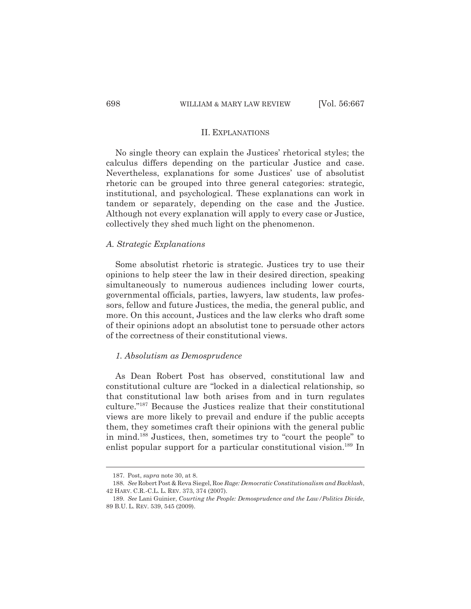#### II. EXPLANATIONS

No single theory can explain the Justices' rhetorical styles; the calculus differs depending on the particular Justice and case. Nevertheless, explanations for some Justices' use of absolutist rhetoric can be grouped into three general categories: strategic, institutional, and psychological. These explanations can work in tandem or separately, depending on the case and the Justice. Although not every explanation will apply to every case or Justice, collectively they shed much light on the phenomenon.

#### *A. Strategic Explanations*

Some absolutist rhetoric is strategic. Justices try to use their opinions to help steer the law in their desired direction, speaking simultaneously to numerous audiences including lower courts, governmental officials, parties, lawyers, law students, law professors, fellow and future Justices, the media, the general public, and more. On this account, Justices and the law clerks who draft some of their opinions adopt an absolutist tone to persuade other actors of the correctness of their constitutional views.

#### *1. Absolutism as Demosprudence*

As Dean Robert Post has observed, constitutional law and constitutional culture are "locked in a dialectical relationship, so that constitutional law both arises from and in turn regulates culture."187 Because the Justices realize that their constitutional views are more likely to prevail and endure if the public accepts them, they sometimes craft their opinions with the general public in mind.188 Justices, then, sometimes try to "court the people" to enlist popular support for a particular constitutional vision.<sup>189</sup> In

<sup>187.</sup> Post, *supra* note 30, at 8.

<sup>188.</sup> *See* Robert Post & Reva Siegel, Roe *Rage: Democratic Constitutionalism and Backlash*, 42 HARV. C.R.-C.L. L. REV. 373, 374 (2007).

<sup>189.</sup> *See* Lani Guinier, *Courting the People: Demosprudence and the Law/Politics Divide*, 89 B.U. L. REV. 539, 545 (2009).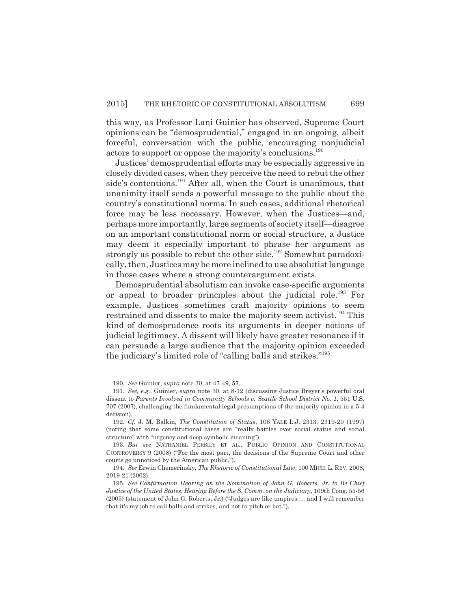this way, as Professor Lani Guinier has observed, Supreme Court opinions can be "demosprudential," engaged in an ongoing, albeit forceful, conversation with the public, encouraging nonjudicial actors to support or oppose the majority's conclusions.<sup>190</sup>

Justices' demosprudential efforts may be especially aggressive in closely divided cases, when they perceive the need to rebut the other side's contentions.<sup>191</sup> After all, when the Court is unanimous, that unanimity itself sends a powerful message to the public about the country's constitutional norms. In such cases, additional rhetorical force may be less necessary. However, when the Justices—and, perhaps more importantly, large segments of society itself—disagree on an important constitutional norm or social structure, a Justice may deem it especially important to phrase her argument as strongly as possible to rebut the other side.<sup>192</sup> Somewhat paradoxically, then, Justices may be more inclined to use absolutist language in those cases where a strong counterargument exists.

Demosprudential absolutism can invoke case-specific arguments or appeal to broader principles about the judicial role.<sup>193</sup> For example, Justices sometimes craft majority opinions to seem restrained and dissents to make the majority seem activist.<sup>194</sup> This kind of demosprudence roots its arguments in deeper notions of judicial legitimacy. A dissent will likely have greater resonance if it can persuade a large audience that the majority opinion exceeded the judiciary's limited role of "calling balls and strikes."195

<sup>190.</sup> *See* Guinier, *supra* note 30, at 47-49, 57.

<sup>191.</sup> *See, e.g.*, Guinier, *supra* note 30, at 8-12 (discussing Justice Breyer's powerful oral dissent to *Parents Involved in Community Schools v. Seattle School District No. 1*, 551 U.S. 707 (2007), challenging the fundamental legal presumptions of the majority opinion in a 5-4 decision).

<sup>192.</sup> *Cf.* J. M. Balkin, *The Constitution of Status*, 106 YALE L.J. 2313, 2319-20 (1997) (noting that some constitutional cases are "really battles over social status and social structure" with "urgency and deep symbolic meaning").

<sup>193.</sup> *But see* NATHANIEL PERSILY ET AL., PUBLIC OPINION AND CONSTITUTIONAL CONTROVERSY 9 (2008) ("For the most part, the decisions of the Supreme Court and other courts go unnoticed by the American public.").

<sup>194.</sup> *See* Erwin Chemerinsky, *The Rhetoric of Constitutional Law*, 100 MICH. L. REV. 2008, 2019-21 (2002).

<sup>195.</sup> *See Confirmation Hearing on the Nomination of John G. Roberts, Jr. to Be Chief Justice of the United States: Hearing Before the S. Comm. on the Judiciary*, 109th Cong. 55-56 (2005) (statement of John G. Roberts, Jr.) ("Judges are like umpires … and I will remember that it's my job to call balls and strikes, and not to pitch or bat.").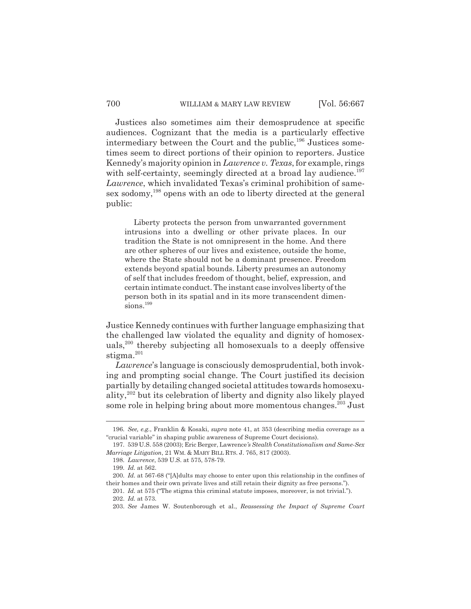Justices also sometimes aim their demosprudence at specific audiences. Cognizant that the media is a particularly effective intermediary between the Court and the public,<sup>196</sup> Justices sometimes seem to direct portions of their opinion to reporters. Justice Kennedy's majority opinion in *Lawrence v. Texas*, for example, rings with self-certainty, seemingly directed at a broad lay audience.<sup>197</sup> *Lawrence*, which invalidated Texas's criminal prohibition of samesex sodomy,<sup>198</sup> opens with an ode to liberty directed at the general public:

Liberty protects the person from unwarranted government intrusions into a dwelling or other private places. In our tradition the State is not omnipresent in the home. And there are other spheres of our lives and existence, outside the home, where the State should not be a dominant presence. Freedom extends beyond spatial bounds. Liberty presumes an autonomy of self that includes freedom of thought, belief, expression, and certain intimate conduct. The instant case involves liberty of the person both in its spatial and in its more transcendent dimensions.<sup>199</sup>

Justice Kennedy continues with further language emphasizing that the challenged law violated the equality and dignity of homosexuals,200 thereby subjecting all homosexuals to a deeply offensive stigma.<sup>201</sup>

*Lawrence*'s language is consciously demosprudential, both invoking and prompting social change. The Court justified its decision partially by detailing changed societal attitudes towards homosexuality,202 but its celebration of liberty and dignity also likely played some role in helping bring about more momentous changes.<sup>203</sup> Just

<sup>196.</sup> *See, e.g.*, Franklin & Kosaki, *supra* note 41, at 353 (describing media coverage as a "crucial variable" in shaping public awareness of Supreme Court decisions).

<sup>197. 539</sup> U.S. 558 (2003); Eric Berger, Lawrence*'s Stealth Constitutionalism and Same-Sex Marriage Litigation*, 21 WM. & MARY BILL RTS. J. 765, 817 (2003).

<sup>198.</sup> *Lawrence*, 539 U.S. at 575, 578-79.

<sup>199.</sup> *Id.* at 562.

<sup>200.</sup> *Id.* at 567-68 ("[A]dults may choose to enter upon this relationship in the confines of their homes and their own private lives and still retain their dignity as free persons.").

<sup>201.</sup> *Id.* at 575 ("The stigma this criminal statute imposes, moreover, is not trivial."). 202. *Id.* at 573.

<sup>203.</sup> *See* James W. Soutenborough et al., *Reassessing the Impact of Supreme Court*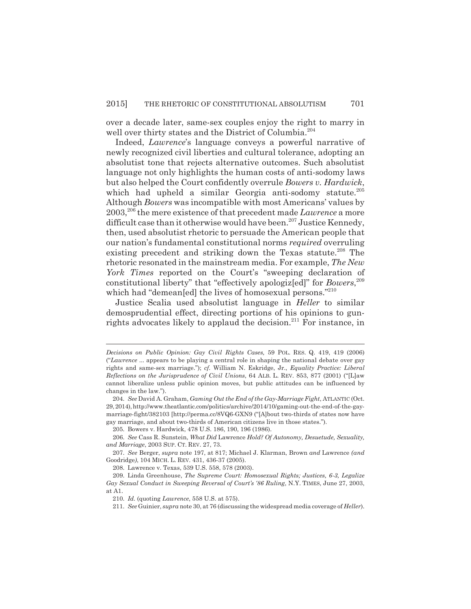over a decade later, same-sex couples enjoy the right to marry in well over thirty states and the District of Columbia.204

Indeed, *Lawrence*'s language conveys a powerful narrative of newly recognized civil liberties and cultural tolerance, adopting an absolutist tone that rejects alternative outcomes. Such absolutist language not only highlights the human costs of anti-sodomy laws but also helped the Court confidently overrule *Bowers v. Hardwick*, which had upheld a similar Georgia anti-sodomy statute.<sup>205</sup> Although *Bowers* was incompatible with most Americans' values by 2003,206 the mere existence of that precedent made *Lawrence* a more difficult case than it otherwise would have been.<sup>207</sup> Justice Kennedy, then, used absolutist rhetoric to persuade the American people that our nation's fundamental constitutional norms *required* overruling existing precedent and striking down the Texas statute.<sup>208</sup> The rhetoric resonated in the mainstream media. For example, *The New York Times* reported on the Court's "sweeping declaration of constitutional liberty" that "effectively apologiz[ed]" for *Bowers*, 209 which had "demean[ed] the lives of homosexual persons."210

Justice Scalia used absolutist language in *Heller* to similar demosprudential effect, directing portions of his opinions to gunrights advocates likely to applaud the decision.<sup>211</sup> For instance, in

205. Bowers v. Hardwick, 478 U.S. 186, 190, 196 (1986).

*Decisions on Public Opinion: Gay Civil Rights Cases,* 59 POL. RES. Q. 419, 419 (2006) ("*Lawrence* ... appears to be playing a central role in shaping the national debate over gay rights and same-sex marriage."); *cf.* William N. Eskridge, Jr., *Equality Practice: Liberal Reflections on the Jurisprudence of Civil Unions*, 64 ALB. L. REV. 853, 877 (2001) ("[L]aw cannot liberalize unless public opinion moves, but public attitudes can be influenced by changes in the law.").

<sup>204.</sup> *See* David A. Graham, *Gaming Out the End of the Gay-Marriage Fight*, ATLANTIC (Oct. 29, 2014), http://www.theatlantic.com/politics/archive/2014/10/gaming-out-the-end-of-the-gaymarriage-fight/382103 [http://perma.cc/8VQ6-GXN9 ("[A]bout two-thirds of states now have gay marriage, and about two-thirds of American citizens live in those states.").

<sup>206.</sup> *See* Cass R. Sunstein, *What Did* Lawrence *Hold? Of Autonomy, Desuetude, Sexuality, and Marriage*, 2003 SUP. CT. REV. 27, 73.

<sup>207.</sup> *See* Berger, *supra* note 197, at 817; Michael J. Klarman, Brown *and* Lawrence *(and* Goodridge*)*, 104 MICH. L. REV. 431, 436-37 (2005).

<sup>208.</sup> Lawrence v. Texas, 539 U.S. 558, 578 (2003).

<sup>209.</sup> Linda Greenhouse, *The Supreme Court: Homosexual Rights; Justices, 6-3, Legalize Gay Sexual Conduct in Sweeping Reversal of Court's '86 Ruling*, N.Y. TIMES, June 27, 2003, at A1.

<sup>210.</sup> *Id.* (quoting *Lawrence*, 558 U.S. at 575).

<sup>211.</sup> *See* Guinier, *supra* note 30, at 76 (discussing the widespread media coverage of *Heller*).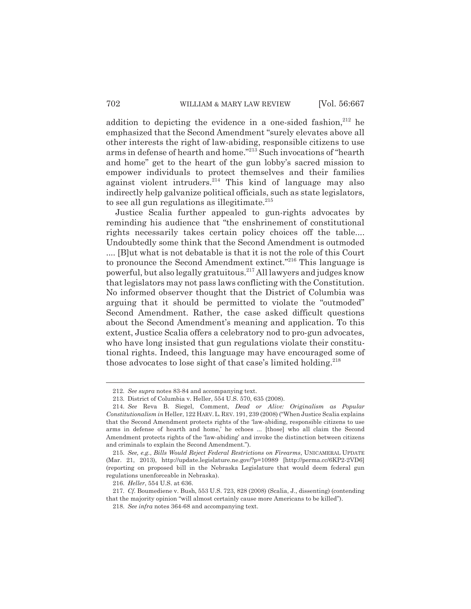addition to depicting the evidence in a one-sided fashion, $212$  he emphasized that the Second Amendment "surely elevates above all other interests the right of law-abiding, responsible citizens to use arms in defense of hearth and home."213 Such invocations of "hearth and home" get to the heart of the gun lobby's sacred mission to empower individuals to protect themselves and their families against violent intruders. $2^{14}$  This kind of language may also indirectly help galvanize political officials, such as state legislators, to see all gun regulations as illegitimate. $215$ 

Justice Scalia further appealed to gun-rights advocates by reminding his audience that "the enshrinement of constitutional rights necessarily takes certain policy choices off the table.... Undoubtedly some think that the Second Amendment is outmoded .... [B]ut what is not debatable is that it is not the role of this Court to pronounce the Second Amendment extinct."216 This language is powerful, but also legally gratuitous.217 All lawyers and judges know that legislators may not pass laws conflicting with the Constitution. No informed observer thought that the District of Columbia was arguing that it should be permitted to violate the "outmoded" Second Amendment. Rather, the case asked difficult questions about the Second Amendment's meaning and application. To this extent, Justice Scalia offers a celebratory nod to pro-gun advocates, who have long insisted that gun regulations violate their constitutional rights. Indeed, this language may have encouraged some of those advocates to lose sight of that case's limited holding.<sup>218</sup>

<sup>212.</sup> *See supra* notes 83-84 and accompanying text.

<sup>213.</sup> District of Columbia v. Heller, 554 U.S. 570, 635 (2008).

<sup>214.</sup> *See* Reva B. Siegel, Comment, *Dead or Alive: Originalism as Popular Constitutionalism in* Heller, 122 HARV.L.REV. 191, 239 (2008) ("When Justice Scalia explains that the Second Amendment protects rights of the 'law-abiding, responsible citizens to use arms in defense of hearth and home,' he echoes ... [those] who all claim the Second Amendment protects rights of the 'law-abiding' and invoke the distinction between citizens and criminals to explain the Second Amendment.").

<sup>215.</sup> *See, e.g.*, *Bills Would Reject Federal Restrictions on Firearms*, UNICAMERAL UPDATE (Mar. 21, 2013), http://update.legislature.ne.gov/?p=10989 [http://perma.cc/6KP2-2VD6] (reporting on proposed bill in the Nebraska Legislature that would deem federal gun regulations unenforceable in Nebraska).

<sup>216.</sup> *Heller*, 554 U.S. at 636.

<sup>217.</sup> *Cf.* Boumediene v. Bush, 553 U.S. 723, 828 (2008) (Scalia, J., dissenting) (contending that the majority opinion "will almost certainly cause more Americans to be killed").

<sup>218.</sup> *See infra* notes 364-68 and accompanying text.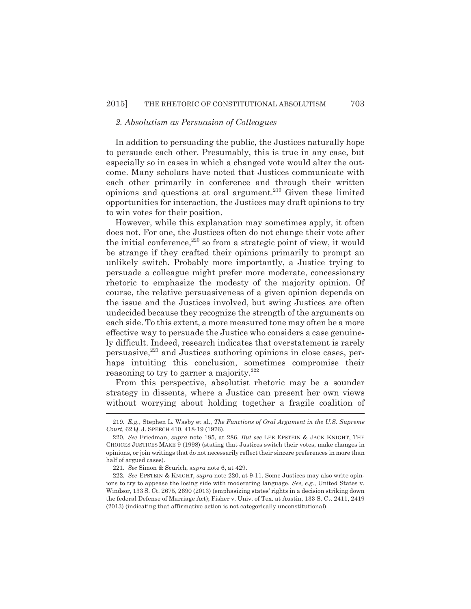### *2. Absolutism as Persuasion of Colleagues*

In addition to persuading the public, the Justices naturally hope to persuade each other. Presumably, this is true in any case, but especially so in cases in which a changed vote would alter the outcome. Many scholars have noted that Justices communicate with each other primarily in conference and through their written opinions and questions at oral argument.<sup>219</sup> Given these limited opportunities for interaction, the Justices may draft opinions to try to win votes for their position.

However, while this explanation may sometimes apply, it often does not. For one, the Justices often do not change their vote after the initial conference, $220$  so from a strategic point of view, it would be strange if they crafted their opinions primarily to prompt an unlikely switch. Probably more importantly, a Justice trying to persuade a colleague might prefer more moderate, concessionary rhetoric to emphasize the modesty of the majority opinion. Of course, the relative persuasiveness of a given opinion depends on the issue and the Justices involved, but swing Justices are often undecided because they recognize the strength of the arguments on each side. To this extent, a more measured tone may often be a more effective way to persuade the Justice who considers a case genuinely difficult. Indeed, research indicates that overstatement is rarely persuasive, $221$  and Justices authoring opinions in close cases, perhaps intuiting this conclusion, sometimes compromise their reasoning to try to garner a majority.<sup>222</sup>

From this perspective, absolutist rhetoric may be a sounder strategy in dissents, where a Justice can present her own views without worrying about holding together a fragile coalition of

<sup>219.</sup> *E.g.*, Stephen L. Wasby et al., *The Functions of Oral Argument in the U.S. Supreme Court,* 62 Q. J. SPEECH 410, 418-19 (1976).

<sup>220.</sup> *See* Friedman, *supra* note 185, at 286. *But see* LEE EPSTEIN & JACK KNIGHT, THE CHOICES JUSTICES MAKE 9 (1998) (stating that Justices switch their votes, make changes in opinions, or join writings that do not necessarily reflect their sincere preferences in more than half of argued cases).

<sup>221.</sup> *See* Simon & Scurich, *supra* note 6, at 429.

<sup>222.</sup> *See* EPSTEIN & KNIGHT, *supra* note 220, at 9-11. Some Justices may also write opinions to try to appease the losing side with moderating language. *See, e.g.*, United States v. Windsor, 133 S. Ct. 2675, 2690 (2013) (emphasizing states' rights in a decision striking down the federal Defense of Marriage Act); Fisher v. Univ. of Tex. at Austin, 133 S. Ct. 2411, 2419 (2013) (indicating that affirmative action is not categorically unconstitutional).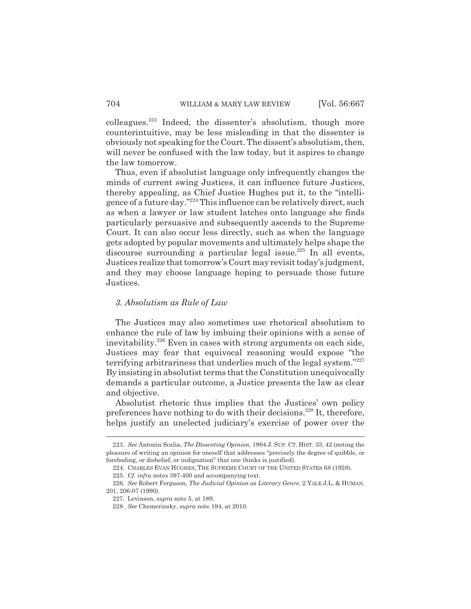colleagues.223 Indeed, the dissenter's absolutism, though more counterintuitive, may be less misleading in that the dissenter is obviously not speaking for the Court. The dissent's absolutism, then, will never be confused with the law today, but it aspires to change the law tomorrow.

Thus, even if absolutist language only infrequently changes the minds of current swing Justices, it can influence future Justices, thereby appealing, as Chief Justice Hughes put it, to the "intelligence of a future day."224 This influence can be relatively direct, such as when a lawyer or law student latches onto language she finds particularly persuasive and subsequently ascends to the Supreme Court. It can also occur less directly, such as when the language gets adopted by popular movements and ultimately helps shape the discourse surrounding a particular legal issue.<sup>225</sup> In all events, Justices realize that tomorrow's Court may revisit today's judgment, and they may choose language hoping to persuade those future Justices.

#### *3. Absolutism as Rule of Law*

The Justices may also sometimes use rhetorical absolutism to enhance the rule of law by imbuing their opinions with a sense of inevitability.<sup>226</sup> Even in cases with strong arguments on each side, Justices may fear that equivocal reasoning would expose "the terrifying arbitrariness that underlies much of the legal system."227 By insisting in absolutist terms that the Constitution unequivocally demands a particular outcome, a Justice presents the law as clear and objective.

Absolutist rhetoric thus implies that the Justices' own policy preferences have nothing to do with their decisions.<sup>228</sup> It, therefore, helps justify an unelected judiciary's exercise of power over the

<sup>223.</sup> *See* Antonin Scalia, *The Dissenting Opinion*, 1994 J. SUP. CT. HIST. 33, 42 (noting the pleasure of writing an opinion for oneself that addresses "precisely the degree of quibble, or foreboding, or disbelief, or indignation" that one thinks is justified).

<sup>224.</sup> CHARLES EVAN HUGHES, THE SUPREME COURT OF THE UNITED STATES 68 (1928).

<sup>225.</sup> *Cf. infra* notes 397-400 and accompanying text.

<sup>226.</sup> *See* Robert Ferguson, *The Judicial Opinion as Literary Genre*, 2 YALE J.L. & HUMAN. 201, 206-07 (1990).

<sup>227.</sup> Levinson, *supra* note 5, at 189.

<sup>228.</sup> *See* Chemerinsky, *supra* note 194, at 2010.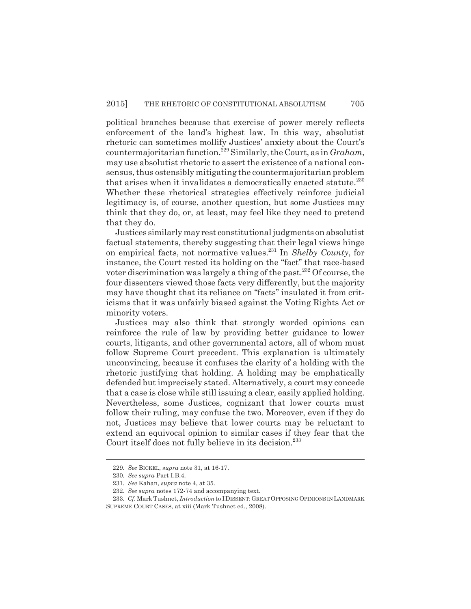political branches because that exercise of power merely reflects enforcement of the land's highest law. In this way, absolutist rhetoric can sometimes mollify Justices' anxiety about the Court's countermajoritarian function.229 Similarly, the Court, as in *Graham*, may use absolutist rhetoric to assert the existence of a national consensus, thus ostensibly mitigating the countermajoritarian problem that arises when it invalidates a democratically enacted statute. $^{230}$ Whether these rhetorical strategies effectively reinforce judicial legitimacy is, of course, another question, but some Justices may think that they do, or, at least, may feel like they need to pretend that they do.

Justices similarly may rest constitutional judgments on absolutist factual statements, thereby suggesting that their legal views hinge on empirical facts, not normative values.231 In *Shelby County*, for instance, the Court rested its holding on the "fact" that race-based voter discrimination was largely a thing of the past.<sup>232</sup> Of course, the four dissenters viewed those facts very differently, but the majority may have thought that its reliance on "facts" insulated it from criticisms that it was unfairly biased against the Voting Rights Act or minority voters.

Justices may also think that strongly worded opinions can reinforce the rule of law by providing better guidance to lower courts, litigants, and other governmental actors, all of whom must follow Supreme Court precedent. This explanation is ultimately unconvincing, because it confuses the clarity of a holding with the rhetoric justifying that holding. A holding may be emphatically defended but imprecisely stated. Alternatively, a court may concede that a case is close while still issuing a clear, easily applied holding. Nevertheless, some Justices, cognizant that lower courts must follow their ruling, may confuse the two. Moreover, even if they do not, Justices may believe that lower courts may be reluctant to extend an equivocal opinion to similar cases if they fear that the Court itself does not fully believe in its decision.<sup>233</sup>

<sup>229.</sup> *See* BICKEL, *supra* note 31, at 16-17.

<sup>230.</sup> *See supra* Part I.B.4.

<sup>231.</sup> *See* Kahan, *supra* note 4, at 35.

<sup>232.</sup> *See supra* notes 172-74 and accompanying text.

<sup>233.</sup> *Cf.* Mark Tushnet, *Introduction* to IDISSENT:GREAT OPPOSING OPINIONS IN LANDMARK SUPREME COURT CASES, at xiii (Mark Tushnet ed., 2008).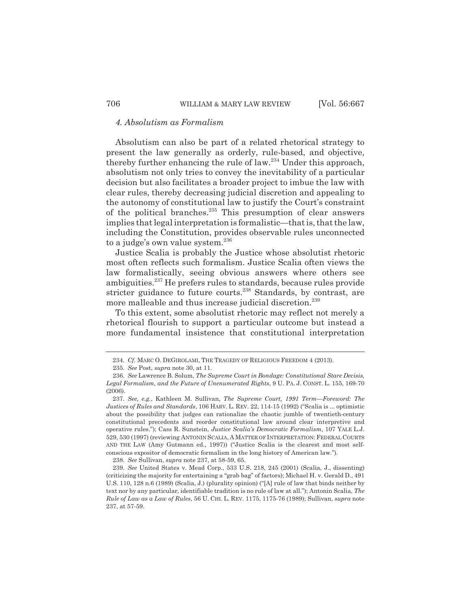# *4. Absolutism as Formalism*

Absolutism can also be part of a related rhetorical strategy to present the law generally as orderly, rule-based, and objective, thereby further enhancing the rule of law.234 Under this approach, absolutism not only tries to convey the inevitability of a particular decision but also facilitates a broader project to imbue the law with clear rules, thereby decreasing judicial discretion and appealing to the autonomy of constitutional law to justify the Court's constraint of the political branches.<sup>235</sup> This presumption of clear answers implies that legal interpretation is formalistic—that is, that the law, including the Constitution, provides observable rules unconnected to a judge's own value system.<sup>236</sup>

Justice Scalia is probably the Justice whose absolutist rhetoric most often reflects such formalism. Justice Scalia often views the law formalistically, seeing obvious answers where others see ambiguities.<sup>237</sup> He prefers rules to standards, because rules provide stricter guidance to future courts.<sup>238</sup> Standards, by contrast, are more malleable and thus increase judicial discretion.<sup>239</sup>

To this extent, some absolutist rhetoric may reflect not merely a rhetorical flourish to support a particular outcome but instead a more fundamental insistence that constitutional interpretation

238. *See* Sullivan, *supra* note 237, at 58-59, 65.

<sup>234.</sup> *Cf.* MARC O. DEGIROLAMI, THE TRAGEDY OF RELIGIOUS FREEDOM 4 (2013).

<sup>235.</sup> *See* Post, *supra* note 30, at 11.

<sup>236.</sup> *See* Lawrence B. Solum, *The Supreme Court in Bondage: Constitutional Stare Decisis, Legal Formalism, and the Future of Unenumerated Rights*, 9 U. PA. J. CONST. L. 155, 169-70 (2006).

<sup>237.</sup> *See, e.g.*, Kathleen M. Sullivan, *The Supreme Court, 1991 Term—Foreword: The Justices of Rules and Standards*, 106 HARV. L. REV. 22, 114-15 (1992) ("Scalia is ... optimistic about the possibility that judges can rationalize the chaotic jumble of twentieth-century constitutional precedents and reorder constitutional law around clear interpretive and operative rules."); Cass R. Sunstein, *Justice Scalia's Democratic Formalism*, 107 YALE L.J. 529, 530 (1997) (reviewing ANTONIN SCALIA, A MATTER OF INTERPRETATION: FEDERAL COURTS AND THE LAW (Amy Gutmann ed., 1997)) ("Justice Scalia is the clearest and most selfconscious expositor of democratic formalism in the long history of American law.").

<sup>239.</sup> *See* United States v. Mead Corp., 533 U.S. 218, 245 (2001) (Scalia, J., dissenting) (criticizing the majority for entertaining a "grab bag" of factors); Michael H. v. Gerald D., 491 U.S. 110, 128 n.6 (1989) (Scalia, J.) (plurality opinion) ("[A] rule of law that binds neither by text nor by any particular, identifiable tradition is no rule of law at all."); Antonin Scalia, *The Rule of Law as a Law of Rules*, 56 U. CHI. L. REV. 1175, 1175-76 (1989); Sullivan, *supra* note 237, at 57-59.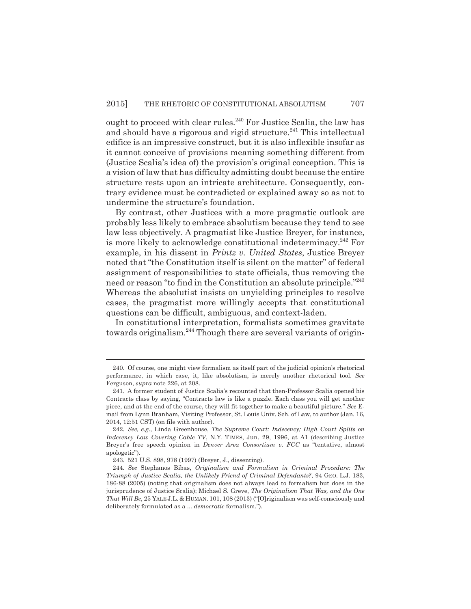ought to proceed with clear rules.<sup>240</sup> For Justice Scalia, the law has and should have a rigorous and rigid structure.<sup>241</sup> This intellectual edifice is an impressive construct, but it is also inflexible insofar as it cannot conceive of provisions meaning something different from (Justice Scalia's idea of) the provision's original conception. This is a vision of law that has difficulty admitting doubt because the entire structure rests upon an intricate architecture. Consequently, contrary evidence must be contradicted or explained away so as not to undermine the structure's foundation.

By contrast, other Justices with a more pragmatic outlook are probably less likely to embrace absolutism because they tend to see law less objectively. A pragmatist like Justice Breyer, for instance, is more likely to acknowledge constitutional indeterminacy.<sup>242</sup> For example, in his dissent in *Printz v. United States*, Justice Breyer noted that "the Constitution itself is silent on the matter" of federal assignment of responsibilities to state officials, thus removing the need or reason "to find in the Constitution an absolute principle."<sup>243</sup> Whereas the absolutist insists on unyielding principles to resolve cases, the pragmatist more willingly accepts that constitutional questions can be difficult, ambiguous, and context-laden.

In constitutional interpretation, formalists sometimes gravitate towards originalism.<sup>244</sup> Though there are several variants of origin-

<sup>240.</sup> Of course, one might view formalism as itself part of the judicial opinion's rhetorical performance, in which case, it, like absolutism, is merely another rhetorical tool. *See* Ferguson, *supra* note 226, at 208.

<sup>241.</sup> A former student of Justice Scalia's recounted that then-Professor Scalia opened his Contracts class by saying, "Contracts law is like a puzzle. Each class you will get another piece, and at the end of the course, they will fit together to make a beautiful picture." *See* Email from Lynn Branham, Visiting Professor, St. Louis Univ. Sch. of Law, to author (Jan. 16, 2014, 12:51 CST) (on file with author).

<sup>242.</sup> *See, e.g.*, Linda Greenhouse, *The Supreme Court: Indecency; High Court Splits on Indecency Law Covering Cable TV*, N.Y. TIMES, Jun. 29, 1996, at A1 (describing Justice Breyer's free speech opinion in *Denver Area Consortium v. FCC* as "tentative, almost apologetic").

<sup>243. 521</sup> U.S. 898, 978 (1997) (Breyer, J., dissenting).

<sup>244.</sup> *See* Stephanos Bibas, *Originalism and Formalism in Criminal Procedure: The Triumph of Justice Scalia, the Unlikely Friend of Criminal Defendants?*, 94 GEO. L.J. 183, 186-88 (2005) (noting that originalism does not always lead to formalism but does in the jurisprudence of Justice Scalia); Michael S. Greve, *The Originalism That Was, and the One That Will Be*, 25 YALE J.L. & HUMAN. 101, 108 (2013) ("[O]riginalism was self-consciously and deliberately formulated as a ... *democratic* formalism.").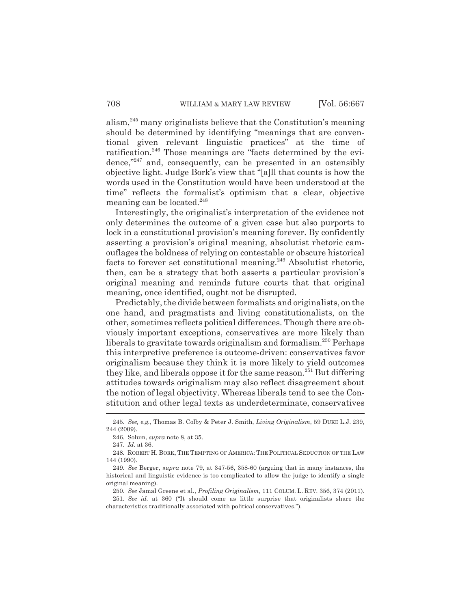alism,245 many originalists believe that the Constitution's meaning should be determined by identifying "meanings that are conventional given relevant linguistic practices" at the time of ratification.<sup>246</sup> Those meanings are "facts determined by the evidence,"<sup>247</sup> and, consequently, can be presented in an ostensibly objective light. Judge Bork's view that "[a]ll that counts is how the words used in the Constitution would have been understood at the time" reflects the formalist's optimism that a clear, objective meaning can be located.<sup>248</sup>

Interestingly, the originalist's interpretation of the evidence not only determines the outcome of a given case but also purports to lock in a constitutional provision's meaning forever. By confidently asserting a provision's original meaning, absolutist rhetoric camouflages the boldness of relying on contestable or obscure historical facts to forever set constitutional meaning.<sup>249</sup> Absolutist rhetoric, then, can be a strategy that both asserts a particular provision's original meaning and reminds future courts that that original meaning, once identified, ought not be disrupted.

Predictably, the divide between formalists and originalists, on the one hand, and pragmatists and living constitutionalists, on the other, sometimes reflects political differences. Though there are obviously important exceptions, conservatives are more likely than liberals to gravitate towards originalism and formalism.250 Perhaps this interpretive preference is outcome-driven: conservatives favor originalism because they think it is more likely to yield outcomes they like, and liberals oppose it for the same reason.<sup>251</sup> But differing attitudes towards originalism may also reflect disagreement about the notion of legal objectivity. Whereas liberals tend to see the Constitution and other legal texts as underdeterminate, conservatives

<sup>245.</sup> *See, e.g.*, Thomas B. Colby & Peter J. Smith, *Living Originalism*, 59 DUKE L.J. 239, 244 (2009).

<sup>246.</sup> Solum, *supra* note 8, at 35.

<sup>247.</sup> *Id.* at 36.

<sup>248.</sup> ROBERT H. BORK, THE TEMPTING OF AMERICA: THE POLITICAL SEDUCTION OF THE LAW 144 (1990).

<sup>249.</sup> *See* Berger, *supra* note 79, at 347-56, 358-60 (arguing that in many instances, the historical and linguistic evidence is too complicated to allow the judge to identify a single original meaning).

<sup>250.</sup> *See* Jamal Greene et al., *Profiling Originalism*, 111 COLUM. L. REV. 356, 374 (2011).

<sup>251.</sup> *See id.* at 360 ("It should come as little surprise that originalists share the characteristics traditionally associated with political conservatives.").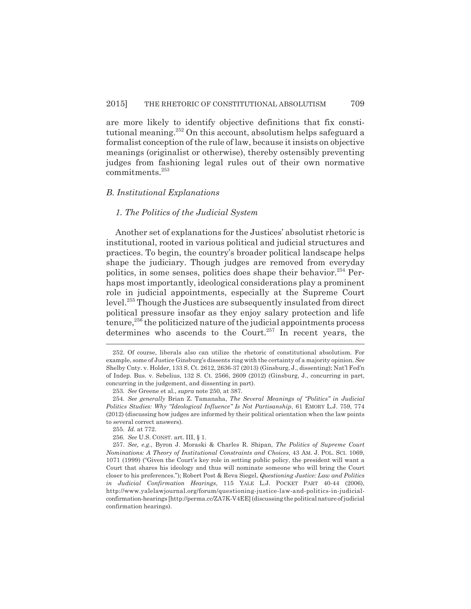are more likely to identify objective definitions that fix constitutional meaning.252 On this account, absolutism helps safeguard a formalist conception of the rule of law, because it insists on objective meanings (originalist or otherwise), thereby ostensibly preventing judges from fashioning legal rules out of their own normative commitments.253

#### *B. Institutional Explanations*

#### *1. The Politics of the Judicial System*

Another set of explanations for the Justices' absolutist rhetoric is institutional, rooted in various political and judicial structures and practices. To begin, the country's broader political landscape helps shape the judiciary. Though judges are removed from everyday politics, in some senses, politics does shape their behavior.<sup>254</sup> Perhaps most importantly, ideological considerations play a prominent role in judicial appointments, especially at the Supreme Court level.255 Though the Justices are subsequently insulated from direct political pressure insofar as they enjoy salary protection and life tenure,<sup>256</sup> the politicized nature of the judicial appointments process determines who ascends to the Court.<sup>257</sup> In recent years, the

<sup>252.</sup> Of course, liberals also can utilize the rhetoric of constitutional absolutism. For example, some of Justice Ginsburg's dissents ring with the certainty of a majority opinion. *See* Shelby Cnty. v. Holder, 133 S. Ct. 2612, 2636-37 (2013) (Ginsburg, J., dissenting); Nat'l Fed'n of Indep. Bus. v. Sebelius, 132 S. Ct. 2566, 2609 (2012) (Ginsburg, J., concurring in part, concurring in the judgement, and dissenting in part).

<sup>253.</sup> *See* Greene et al., *supra* note 250, at 387.

<sup>254.</sup> *See generally* Brian Z. Tamanaha, *The Several Meanings of "Politics" in Judicial Politics Studies: Why "Ideological Influence" Is Not Partisanship*, 61 EMORY L.J. 759, 774 (2012) (discussing how judges are informed by their political orientation when the law points to several correct answers).

<sup>255.</sup> *Id.* at 772.

<sup>256.</sup> *See* U.S. CONST. art. III, § 1.

<sup>257.</sup> *See, e.g.*, Byron J. Moraski & Charles R. Shipan, *The Politics of Supreme Court Nominations: A Theory of Institutional Constraints and Choices*, 43 AM. J. POL. SCI. 1069, 1071 (1999) ("Given the Court's key role in setting public policy, the president will want a Court that shares his ideology and thus will nominate someone who will bring the Court closer to his preferences."); Robert Post & Reva Siegel, *Questioning Justice: Law and Politics in Judicial Confirmation Hearings*, 115 YALE L.J. POCKET PART 40-44 (2006), http://www.yalelawjournal.org/forum/questioning-justice-law-and-politics-in-judicialconfirmation-hearings [http://perma.cc/ZA7K-V4EE] (discussing the political nature of judicial confirmation hearings).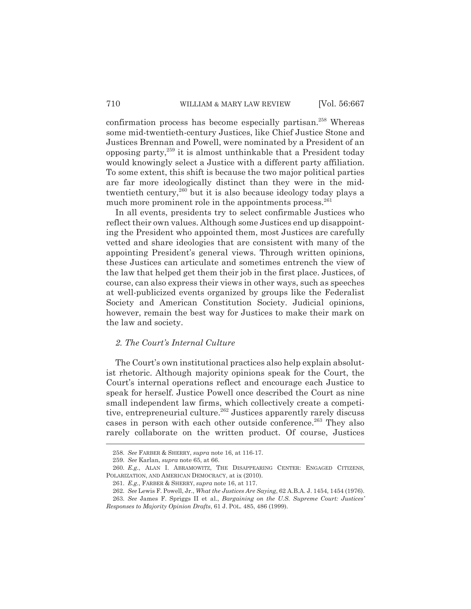confirmation process has become especially partisan.<sup>258</sup> Whereas some mid-twentieth-century Justices, like Chief Justice Stone and Justices Brennan and Powell, were nominated by a President of an opposing party, $^{259}$  it is almost unthinkable that a President today would knowingly select a Justice with a different party affiliation. To some extent, this shift is because the two major political parties are far more ideologically distinct than they were in the midtwentieth century,<sup>260</sup> but it is also because ideology today plays a much more prominent role in the appointments process.  $261$ 

In all events, presidents try to select confirmable Justices who reflect their own values. Although some Justices end up disappointing the President who appointed them, most Justices are carefully vetted and share ideologies that are consistent with many of the appointing President's general views. Through written opinions, these Justices can articulate and sometimes entrench the view of the law that helped get them their job in the first place. Justices, of course, can also express their views in other ways, such as speeches at well-publicized events organized by groups like the Federalist Society and American Constitution Society. Judicial opinions, however, remain the best way for Justices to make their mark on the law and society.

### *2. The Court's Internal Culture*

The Court's own institutional practices also help explain absolutist rhetoric. Although majority opinions speak for the Court, the Court's internal operations reflect and encourage each Justice to speak for herself. Justice Powell once described the Court as nine small independent law firms, which collectively create a competitive, entrepreneurial culture.<sup>262</sup> Justices apparently rarely discuss cases in person with each other outside conference.<sup>263</sup> They also rarely collaborate on the written product. Of course, Justices

<sup>258.</sup> *See* FARBER & SHERRY, *supra* note 16, at 116-17.

<sup>259.</sup> *See* Karlan, *supra* note 65, at 66.

<sup>260.</sup> *E.g.*, ALAN I. ABRAMOWITZ, THE DISAPPEARING CENTER: ENGAGED CITIZENS, POLARIZATION, AND AMERICAN DEMOCRACY, at ix (2010).

<sup>261.</sup> *E.g.*, FARBER & SHERRY, *supra* note 16, at 117.

<sup>262.</sup> *See* Lewis F. Powell, Jr., *What the Justices Are Saying*, 62 A.B.A. J. 1454, 1454 (1976).

<sup>263.</sup> *See* James F. Spriggs II et al., *Bargaining on the U.S. Supreme Court: Justices' Responses to Majority Opinion Drafts*, 61 J. POL. 485, 486 (1999).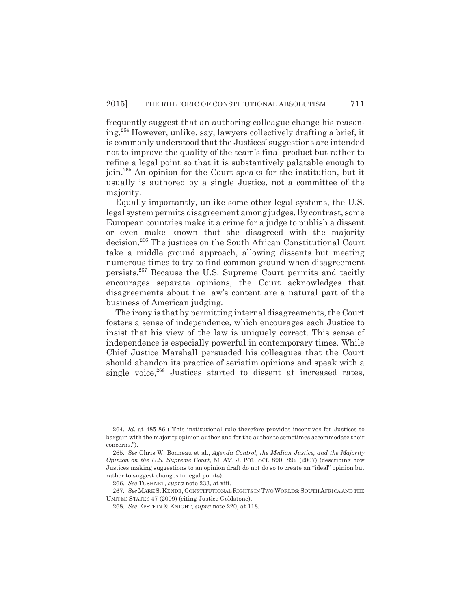frequently suggest that an authoring colleague change his reasoning.264 However, unlike, say, lawyers collectively drafting a brief, it is commonly understood that the Justices' suggestions are intended not to improve the quality of the team's final product but rather to refine a legal point so that it is substantively palatable enough to join.265 An opinion for the Court speaks for the institution, but it usually is authored by a single Justice, not a committee of the majority.

Equally importantly, unlike some other legal systems, the U.S. legal system permits disagreement among judges. By contrast, some European countries make it a crime for a judge to publish a dissent or even make known that she disagreed with the majority decision.266 The justices on the South African Constitutional Court take a middle ground approach, allowing dissents but meeting numerous times to try to find common ground when disagreement persists.267 Because the U.S. Supreme Court permits and tacitly encourages separate opinions, the Court acknowledges that disagreements about the law's content are a natural part of the business of American judging.

The irony is that by permitting internal disagreements, the Court fosters a sense of independence, which encourages each Justice to insist that his view of the law is uniquely correct. This sense of independence is especially powerful in contemporary times. While Chief Justice Marshall persuaded his colleagues that the Court should abandon its practice of seriatim opinions and speak with a single voice, $^{268}$  Justices started to dissent at increased rates,

<sup>264.</sup> *Id.* at 485-86 ("This institutional rule therefore provides incentives for Justices to bargain with the majority opinion author and for the author to sometimes accommodate their concerns.").

<sup>265.</sup> *See* Chris W. Bonneau et al., *Agenda Control, the Median Justice, and the Majority Opinion on the U.S. Supreme Court*, 51 AM. J. POL. SCI. 890, 892 (2007) (describing how Justices making suggestions to an opinion draft do not do so to create an "ideal" opinion but rather to suggest changes to legal points).

<sup>266.</sup> *See* TUSHNET, *supra* note 233, at xiii.

<sup>267.</sup> *See* MARK S. KENDE, CONSTITUTIONAL RIGHTS IN TWO WORLDS:SOUTH AFRICA AND THE UNITED STATES 47 (2009) (citing Justice Goldstone).

<sup>268.</sup> *See* EPSTEIN & KNIGHT, *supra* note 220, at 118.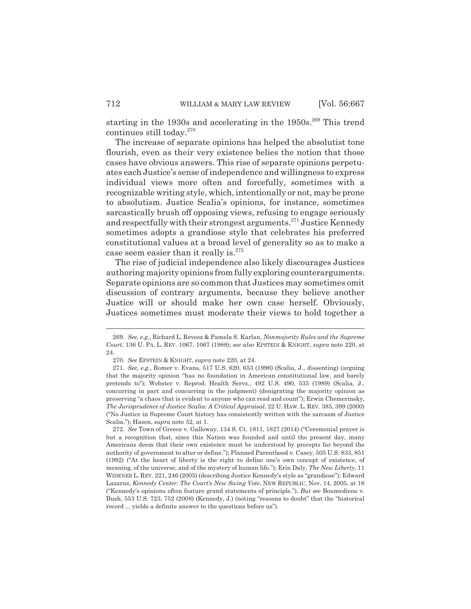starting in the 1930s and accelerating in the  $1950s$ <sup>269</sup> This trend continues still today.270

The increase of separate opinions has helped the absolutist tone flourish, even as their very existence belies the notion that those cases have obvious answers. This rise of separate opinions perpetuates each Justice's sense of independence and willingness to express individual views more often and forcefully, sometimes with a recognizable writing style, which, intentionally or not, may be prone to absolutism. Justice Scalia's opinions, for instance, sometimes sarcastically brush off opposing views, refusing to engage seriously and respectfully with their strongest arguments.<sup>271</sup> Justice Kennedy sometimes adopts a grandiose style that celebrates his preferred constitutional values at a broad level of generality so as to make a case seem easier than it really is. $272$ 

The rise of judicial independence also likely discourages Justices authoring majority opinions from fully exploring counterarguments. Separate opinions are so common that Justices may sometimes omit discussion of contrary arguments, because they believe another Justice will or should make her own case herself. Obviously, Justices sometimes must moderate their views to hold together a

<sup>269.</sup> *See, e.g.*, Richard L. Revesz & Pamela S. Karlan, *Nonmajority Rules and the Supreme Court*, 136 U. PA. L. REV. 1067, 1067 (1988); *see also* EPSTEIN & KNIGHT, *supra* note 220, at 24.

<sup>270.</sup> *See* EPSTEIN & KNIGHT, *supra* note 220, at 24.

<sup>271.</sup> *See, e.g.*, Romer v. Evans, 517 U.S. 620, 653 (1996) (Scalia, J., dissenting) (arguing that the majority opinion "has no foundation in American constitutional law, and barely pretends to"); Webster v. Reprod. Health Servs., 492 U.S. 490, 535 (1989) (Scalia, J., concurring in part and concurring in the judgment) (denigrating the majority opinion as preserving "a chaos that is evident to anyone who can read and count"); Erwin Chemerinsky, *The Jurisprudence of Justice Scalia: A Critical Appraisal*, 22 U. HAW. L. REV. 385, 399 (2000) ("No Justice in Supreme Court history has consistently written with the sarcasm of Justice Scalia."); Hasen, *supra* note 52, at 1.

<sup>272.</sup> *See* Town of Greece v. Galloway, 134 S. Ct. 1811, 1827 (2014) ("Ceremonial prayer is but a recognition that, since this Nation was founded and until the present day, many Americans deem that their own existence must be understood by precepts far beyond the authority of government to alter or define."); Planned Parenthood v. Casey, 505 U.S. 833, 851 (1992) ("At the heart of liberty is the right to define one's own concept of existence, of meaning, of the universe, and of the mystery of human life."); Erin Daly, *The New Liberty*, 11 WIDENER L. REV. 221, 246 (2005) (describing Justice Kennedy's style as "grandiose"); Edward Lazarus, *Kennedy Center: The Court's New Swing Vote*, NEW REPUBLIC, Nov. 14, 2005, at 16 ("Kennedy's opinions often feature grand statements of principle."). *But see* Boumediene v. Bush, 553 U.S. 723, 752 (2008) (Kennedy, J.) (noting "reasons to doubt" that the "historical record ... yields a definite answer to the questions before us").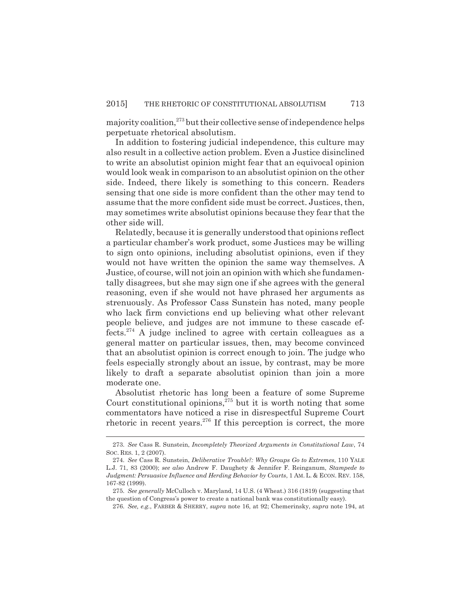majority coalition, $^{273}$  but their collective sense of independence helps perpetuate rhetorical absolutism.

In addition to fostering judicial independence, this culture may also result in a collective action problem. Even a Justice disinclined to write an absolutist opinion might fear that an equivocal opinion would look weak in comparison to an absolutist opinion on the other side. Indeed, there likely is something to this concern. Readers sensing that one side is more confident than the other may tend to assume that the more confident side must be correct. Justices, then, may sometimes write absolutist opinions because they fear that the other side will.

Relatedly, because it is generally understood that opinions reflect a particular chamber's work product, some Justices may be willing to sign onto opinions, including absolutist opinions, even if they would not have written the opinion the same way themselves. A Justice, of course, will not join an opinion with which she fundamentally disagrees, but she may sign one if she agrees with the general reasoning, even if she would not have phrased her arguments as strenuously. As Professor Cass Sunstein has noted, many people who lack firm convictions end up believing what other relevant people believe, and judges are not immune to these cascade effects.274 A judge inclined to agree with certain colleagues as a general matter on particular issues, then, may become convinced that an absolutist opinion is correct enough to join. The judge who feels especially strongly about an issue, by contrast, may be more likely to draft a separate absolutist opinion than join a more moderate one.

Absolutist rhetoric has long been a feature of some Supreme Court constitutional opinions,  $275$  but it is worth noting that some commentators have noticed a rise in disrespectful Supreme Court rhetoric in recent years. $276$  If this perception is correct, the more

<sup>273.</sup> *See* Cass R. Sunstein, *Incompletely Theorized Arguments in Constitutional Law*, 74 SOC. RES. 1, 2 (2007).

<sup>274.</sup> *See* Cass R. Sunstein, *Deliberative Trouble?: Why Groups Go to Extremes*, 110 YALE L.J. 71, 83 (2000); *see also* Andrew F. Daughety & Jennifer F. Reinganum, *Stampede to Judgment: Persuasive Influence and Herding Behavior by Courts*, 1 AM. L. & ECON. REV. 158, 167-82 (1999).

<sup>275.</sup> *See generally* McCulloch v. Maryland, 14 U.S. (4 Wheat.) 316 (1819) (suggesting that the question of Congress's power to create a national bank was constitutionally easy).

<sup>276.</sup> *See, e.g.*, FARBER & SHERRY, *supra* note 16, at 92; Chemerinsky, *supra* note 194, at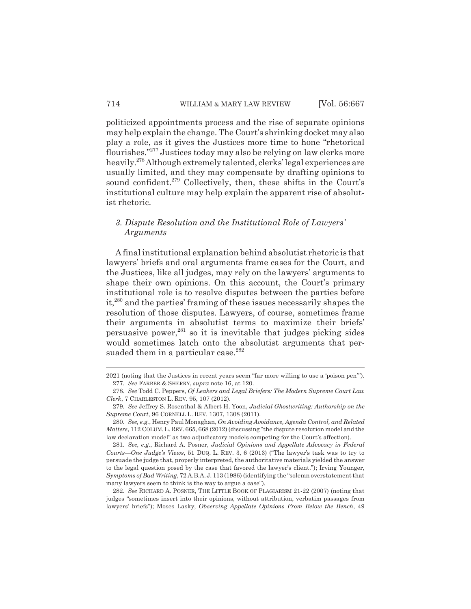politicized appointments process and the rise of separate opinions may help explain the change. The Court's shrinking docket may also play a role, as it gives the Justices more time to hone "rhetorical flourishes."277 Justices today may also be relying on law clerks more heavily.278 Although extremely talented, clerks' legal experiences are usually limited, and they may compensate by drafting opinions to sound confident.<sup>279</sup> Collectively, then, these shifts in the Court's institutional culture may help explain the apparent rise of absolutist rhetoric.

## *3. Dispute Resolution and the Institutional Role of Lawyers' Arguments*

A final institutional explanation behind absolutist rhetoric is that lawyers' briefs and oral arguments frame cases for the Court, and the Justices, like all judges, may rely on the lawyers' arguments to shape their own opinions. On this account, the Court's primary institutional role is to resolve disputes between the parties before it,280 and the parties' framing of these issues necessarily shapes the resolution of those disputes. Lawyers, of course, sometimes frame their arguments in absolutist terms to maximize their briefs' persuasive power,<sup>281</sup> so it is inevitable that judges picking sides would sometimes latch onto the absolutist arguments that persuaded them in a particular case.<sup>282</sup>

282. *See* RICHARD A. POSNER, THE LITTLE BOOK OF PLAGIARISM 21-22 (2007) (noting that judges "sometimes insert into their opinions, without attribution, verbatim passages from lawyers' briefs"); Moses Lasky, *Observing Appellate Opinions From Below the Bench*, 49

<sup>2021 (</sup>noting that the Justices in recent years seem "far more willing to use a 'poison pen'"). 277. *See* FARBER & SHERRY, *supra* note 16, at 120.

<sup>278.</sup> *See* Todd C. Peppers, *Of Leakers and Legal Briefers: The Modern Supreme Court Law Clerk*, 7 CHARLESTON L. REV. 95, 107 (2012).

<sup>279.</sup> *See* Jeffrey S. Rosenthal & Albert H. Yoon, *Judicial Ghostwriting: Authorship on the Supreme Court*, 96 CORNELL L. REV. 1307, 1308 (2011).

<sup>280.</sup> *See, e.g.*, Henry Paul Monaghan, *On Avoiding Avoidance, Agenda Control, and Related Matters*, 112 COLUM.L.REV. 665, 668 (2012) (discussing "the dispute resolution model and the law declaration model" as two adjudicatory models competing for the Court's affection).

<sup>281.</sup> *See, e.g.*, Richard A. Posner, *Judicial Opinions and Appellate Advocacy in Federal Courts—One Judge's Views*, 51 DUQ. L. REV. 3, 6 (2013) ("The lawyer's task was to try to persuade the judge that, properly interpreted, the authoritative materials yielded the answer to the legal question posed by the case that favored the lawyer's client."); Irving Younger, *Symptoms of Bad Writing*, 72 A.B.A.J. 113 (1986) (identifying the "solemn overstatement that many lawyers seem to think is the way to argue a case").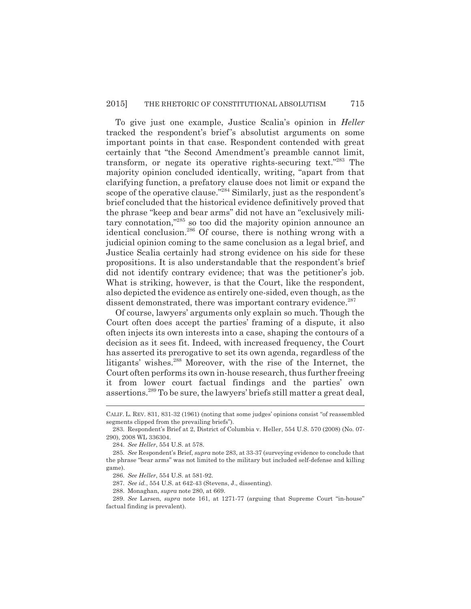To give just one example, Justice Scalia's opinion in *Heller* tracked the respondent's brief's absolutist arguments on some important points in that case. Respondent contended with great certainly that "the Second Amendment's preamble cannot limit, transform, or negate its operative rights-securing text."283 The majority opinion concluded identically, writing, "apart from that clarifying function, a prefatory clause does not limit or expand the scope of the operative clause."284 Similarly, just as the respondent's brief concluded that the historical evidence definitively proved that the phrase "keep and bear arms" did not have an "exclusively military connotation,"285 so too did the majority opinion announce an identical conclusion.286 Of course, there is nothing wrong with a judicial opinion coming to the same conclusion as a legal brief, and Justice Scalia certainly had strong evidence on his side for these propositions. It is also understandable that the respondent's brief did not identify contrary evidence; that was the petitioner's job. What is striking, however, is that the Court, like the respondent, also depicted the evidence as entirely one-sided, even though, as the dissent demonstrated, there was important contrary evidence.<sup>287</sup>

Of course, lawyers' arguments only explain so much. Though the Court often does accept the parties' framing of a dispute, it also often injects its own interests into a case, shaping the contours of a decision as it sees fit. Indeed, with increased frequency, the Court has asserted its prerogative to set its own agenda, regardless of the litigants' wishes.<sup>288</sup> Moreover, with the rise of the Internet, the Court often performs its own in-house research, thus further freeing it from lower court factual findings and the parties' own assertions.289 To be sure, the lawyers' briefs still matter a great deal,

CALIF. L. REV. 831, 831-32 (1961) (noting that some judges' opinions consist "of reassembled segments clipped from the prevailing briefs").

<sup>283.</sup> Respondent's Brief at 2, District of Columbia v. Heller, 554 U.S. 570 (2008) (No. 07- 290), 2008 WL 336304.

<sup>284.</sup> *See Heller*, 554 U.S. at 578.

<sup>285.</sup> *See* Respondent's Brief, *supra* note 283, at 33-37 (surveying evidence to conclude that the phrase "bear arms" was not limited to the military but included self-defense and killing game).

<sup>286.</sup> *See Heller*, 554 U.S. at 581-92.

<sup>287.</sup> *See id.*, 554 U.S. at 642-43 (Stevens, J., dissenting).

<sup>288.</sup> Monaghan, *supra* note 280, at 669.

<sup>289.</sup> *See* Larsen, *supra* note 161, at 1271-77 (arguing that Supreme Court "in-house" factual finding is prevalent).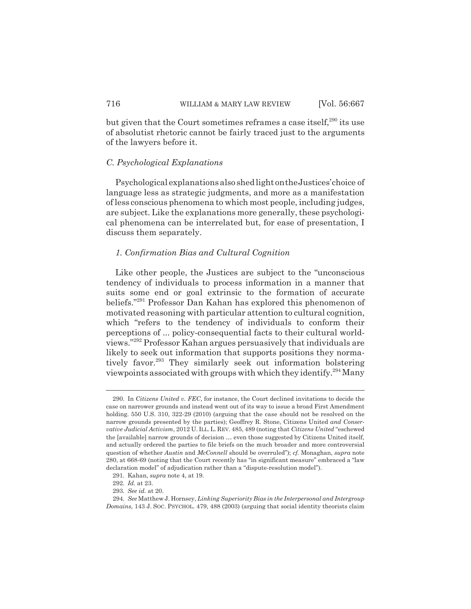but given that the Court sometimes reframes a case itself, $290$  its use of absolutist rhetoric cannot be fairly traced just to the arguments of the lawyers before it.

### *C. Psychological Explanations*

Psychological explanations also shed light on the Justices' choice of language less as strategic judgments, and more as a manifestation of less conscious phenomena to which most people, including judges, are subject. Like the explanations more generally, these psychological phenomena can be interrelated but, for ease of presentation, I discuss them separately.

#### *1. Confirmation Bias and Cultural Cognition*

Like other people, the Justices are subject to the "unconscious tendency of individuals to process information in a manner that suits some end or goal extrinsic to the formation of accurate beliefs."291 Professor Dan Kahan has explored this phenomenon of motivated reasoning with particular attention to cultural cognition, which "refers to the tendency of individuals to conform their perceptions of ... policy-consequential facts to their cultural worldviews."292 Professor Kahan argues persuasively that individuals are likely to seek out information that supports positions they normatively favor.<sup>293</sup> They similarly seek out information bolstering viewpoints associated with groups with which they identify.294 Many

<sup>290.</sup> In *Citizens United v. FEC*, for instance, the Court declined invitations to decide the case on narrower grounds and instead went out of its way to issue a broad First Amendment holding. 550 U.S. 310, 322-29 (2010) (arguing that the case should not be resolved on the narrow grounds presented by the parties); Geoffrey R. Stone, Citizens United *and Conservative Judicial Activism*, 2012 U. ILL.L. REV. 485, 489 (noting that *Citizens United* "eschewed the [available] narrow grounds of decision … even those suggested by Citizens United itself, and actually ordered the parties to file briefs on the much broader and more controversial question of whether *Austin* and *McConnell* should be overruled"); *cf.* Monaghan, *supra* note 280, at 668-69 (noting that the Court recently has "in significant measure" embraced a "law declaration model" of adjudication rather than a "dispute-resolution model").

<sup>291.</sup> Kahan, *supra* note 4, at 19.

<sup>292.</sup> *Id.* at 23.

<sup>293.</sup> *See id.* at 20.

<sup>294.</sup> *See* Matthew J. Hornsey, *Linking Superiority Bias in the Interpersonal and Intergroup Domains,* 143 J. SOC. PSYCHOL. 479, 488 (2003) (arguing that social identity theorists claim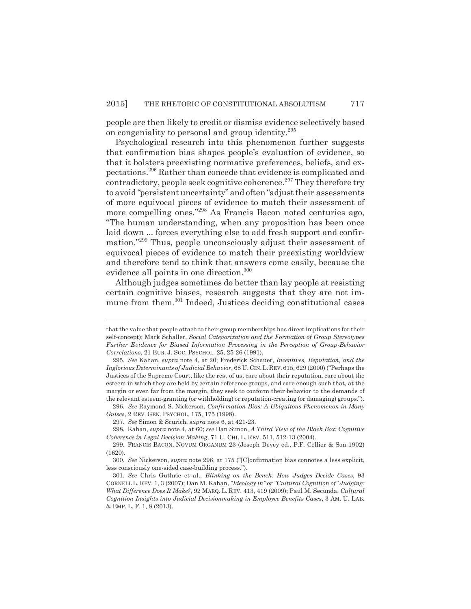people are then likely to credit or dismiss evidence selectively based on congeniality to personal and group identity.295

Psychological research into this phenomenon further suggests that confirmation bias shapes people's evaluation of evidence, so that it bolsters preexisting normative preferences, beliefs, and expectations.296 Rather than concede that evidence is complicated and contradictory, people seek cognitive coherence.<sup>297</sup> They therefore try to avoid "persistent uncertainty" and often "adjust their assessments of more equivocal pieces of evidence to match their assessment of more compelling ones."298 As Francis Bacon noted centuries ago, "The human understanding, when any proposition has been once laid down ... forces everything else to add fresh support and confirmation."299 Thus, people unconsciously adjust their assessment of equivocal pieces of evidence to match their preexisting worldview and therefore tend to think that answers come easily, because the evidence all points in one direction.300

Although judges sometimes do better than lay people at resisting certain cognitive biases, research suggests that they are not immune from them.<sup>301</sup> Indeed, Justices deciding constitutional cases

that the value that people attach to their group memberships has direct implications for their self-concept); Mark Schaller, *Social Categorization and the Formation of Group Stereotypes Further Evidence for Biased Information Processing in the Perception of Group-Behavior Correlations*, 21 EUR. J. SOC. PSYCHOL. 25, 25-26 (1991).

<sup>295.</sup> *See* Kahan, *supra* note 4, at 20; Frederick Schauer, *Incentives, Reputation, and the Inglorious Determinants of Judicial Behavior*, 68 U. CIN.L.REV.615, 629 (2000) ("Perhaps the Justices of the Supreme Court, like the rest of us, care about their reputation, care about the esteem in which they are held by certain reference groups, and care enough such that, at the margin or even far from the margin, they seek to conform their behavior to the demands of the relevant esteem-granting (or withholding) or reputation-creating (or damaging) groups.").

<sup>296.</sup> *See* Raymond S. Nickerson, *Confirmation Bias: A Ubiquitous Phenomenon in Many Guises*, 2 REV. GEN. PSYCHOL. 175, 175 (1998).

<sup>297.</sup> *See* Simon & Scurich, *supra* note 6, at 421-23.

<sup>298.</sup> Kahan, *supra* note 4, at 60; *see* Dan Simon, *A Third View of the Black Box: Cognitive Coherence in Legal Decision Making*, 71 U. CHI. L. REV. 511, 512-13 (2004).

<sup>299.</sup> FRANCIS BACON, NOVUM ORGANUM 23 (Joseph Devey ed., P.F. Collier & Son 1902) (1620).

<sup>300.</sup> *See* Nickerson, *supra* note 296, at 175 ("[C]onfirmation bias connotes a less explicit, less consciously one-sided case-building process.").

<sup>301.</sup> *See* Chris Guthrie et al., *Blinking on the Bench: How Judges Decide Cases*, 93 CORNELL L. REV. 1, 3 (2007); Dan M. Kahan, *"Ideology in" or "Cultural Cognition of" Judging: What Difference Does It Make?*, 92 MARQ. L. REV. 413, 419 (2009); Paul M. Secunda, *Cultural Cognition Insights into Judicial Decisionmaking in Employee Benefits Cases*, 3 AM. U. LAB. & EMP. L. F. 1, 8 (2013).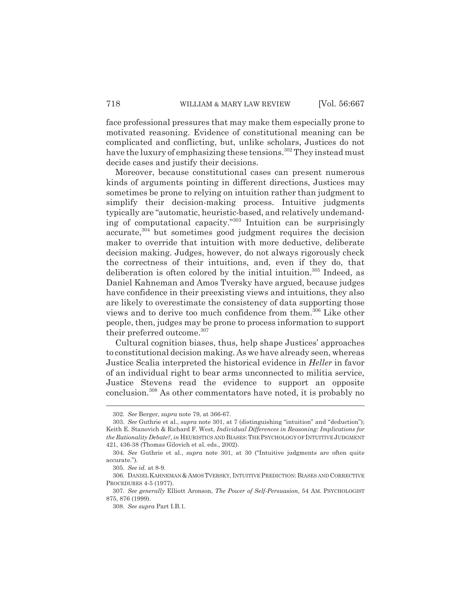face professional pressures that may make them especially prone to motivated reasoning. Evidence of constitutional meaning can be complicated and conflicting, but, unlike scholars, Justices do not have the luxury of emphasizing these tensions.<sup>302</sup> They instead must decide cases and justify their decisions.

Moreover, because constitutional cases can present numerous kinds of arguments pointing in different directions, Justices may sometimes be prone to relying on intuition rather than judgment to simplify their decision-making process. Intuitive judgments typically are "automatic, heuristic-based, and relatively undemanding of computational capacity."303 Intuition can be surprisingly accurate,304 but sometimes good judgment requires the decision maker to override that intuition with more deductive, deliberate decision making. Judges, however, do not always rigorously check the correctness of their intuitions, and, even if they do, that deliberation is often colored by the initial intuition.<sup>305</sup> Indeed, as Daniel Kahneman and Amos Tversky have argued, because judges have confidence in their preexisting views and intuitions, they also are likely to overestimate the consistency of data supporting those views and to derive too much confidence from them.306 Like other people, then, judges may be prone to process information to support their preferred outcome.<sup>307</sup>

Cultural cognition biases, thus, help shape Justices' approaches to constitutional decision making. As we have already seen, whereas Justice Scalia interpreted the historical evidence in *Heller* in favor of an individual right to bear arms unconnected to militia service, Justice Stevens read the evidence to support an opposite conclusion.308 As other commentators have noted, it is probably no

<sup>302.</sup> *See* Berger, *supra* note 79, at 366-67.

<sup>303.</sup> *See* Guthrie et al., *supra* note 301, at 7 (distinguishing "intuition" and "deduction"); Keith E. Stanovich & Richard F. West, *Individual Differences in Reasoning: Implications for the Rationality Debate?*, *in* HEURISTICS AND BIASES:THE PSYCHOLOGY OF INTUITIVE JUDGMENT 421, 436-38 (Thomas Gilovich et al. eds., 2002).

<sup>304.</sup> *See* Guthrie et al., *supra* note 301, at 30 ("Intuitive judgments are often quite accurate.").

<sup>305.</sup> *See id.* at 8-9.

<sup>306.</sup> DANIEL KAHNEMAN & AMOS TVERSKY, INTUITIVE PREDICTION: BIASES AND CORRECTIVE PROCEDURES 4-5 (1977).

<sup>307.</sup> *See generally* Elliott Aronson, *The Power of Self-Persuasion*, 54 AM. PSYCHOLOGIST 875, 876 (1999).

<sup>308.</sup> *See supra* Part I.B.1.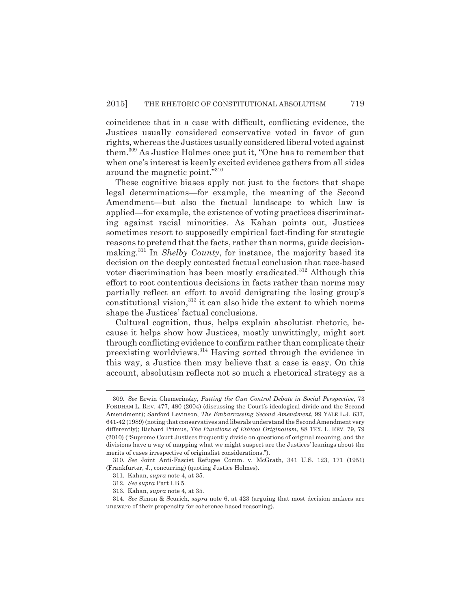coincidence that in a case with difficult, conflicting evidence, the Justices usually considered conservative voted in favor of gun rights, whereas the Justices usually considered liberal voted against them.309 As Justice Holmes once put it, "One has to remember that when one's interest is keenly excited evidence gathers from all sides around the magnetic point."310

These cognitive biases apply not just to the factors that shape legal determinations—for example, the meaning of the Second Amendment—but also the factual landscape to which law is applied—for example, the existence of voting practices discriminating against racial minorities. As Kahan points out, Justices sometimes resort to supposedly empirical fact-finding for strategic reasons to pretend that the facts, rather than norms, guide decisionmaking.311 In *Shelby County*, for instance, the majority based its decision on the deeply contested factual conclusion that race-based voter discrimination has been mostly eradicated.<sup>312</sup> Although this effort to root contentious decisions in facts rather than norms may partially reflect an effort to avoid denigrating the losing group's constitutional vision, $313$  it can also hide the extent to which norms shape the Justices' factual conclusions.

Cultural cognition, thus, helps explain absolutist rhetoric, because it helps show how Justices, mostly unwittingly, might sort through conflicting evidence to confirm rather than complicate their preexisting worldviews.<sup>314</sup> Having sorted through the evidence in this way, a Justice then may believe that a case is easy. On this account, absolutism reflects not so much a rhetorical strategy as a

<sup>309.</sup> *See* Erwin Chemerinsky, *Putting the Gun Control Debate in Social Perspective*, 73 FORDHAM L. REV. 477, 480 (2004) (discussing the Court's ideological divide and the Second Amendment); Sanford Levinson, *The Embarrassing Second Amendment*, 99 YALE L.J. 637, 641-42 (1989) (noting that conservatives and liberals understand the Second Amendment very differently); Richard Primus, *The Functions of Ethical Originalism*, 88 TEX. L. REV. 79, 79 (2010) ("Supreme Court Justices frequently divide on questions of original meaning, and the divisions have a way of mapping what we might suspect are the Justices' leanings about the merits of cases irrespective of originalist considerations.").

<sup>310.</sup> *See* Joint Anti-Fascist Refugee Comm. v. McGrath, 341 U.S. 123, 171 (1951) (Frankfurter, J., concurring) (quoting Justice Holmes).

<sup>311.</sup> Kahan, *supra* note 4, at 35.

<sup>312.</sup> *See supra* Part I.B.5.

<sup>313.</sup> Kahan, *supra* note 4, at 35.

<sup>314.</sup> *See* Simon & Scurich, *supra* note 6, at 423 (arguing that most decision makers are unaware of their propensity for coherence-based reasoning).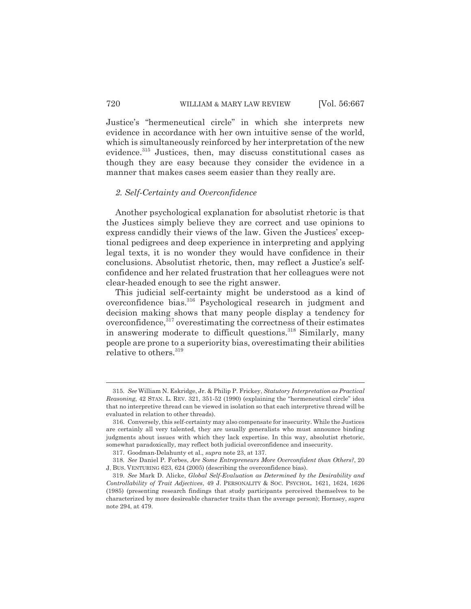Justice's "hermeneutical circle" in which she interprets new evidence in accordance with her own intuitive sense of the world, which is simultaneously reinforced by her interpretation of the new evidence.<sup>315</sup> Justices, then, may discuss constitutional cases as though they are easy because they consider the evidence in a manner that makes cases seem easier than they really are.

#### *2. Self-Certainty and Overconfidence*

Another psychological explanation for absolutist rhetoric is that the Justices simply believe they are correct and use opinions to express candidly their views of the law. Given the Justices' exceptional pedigrees and deep experience in interpreting and applying legal texts, it is no wonder they would have confidence in their conclusions. Absolutist rhetoric, then, may reflect a Justice's selfconfidence and her related frustration that her colleagues were not clear-headed enough to see the right answer.

This judicial self-certainty might be understood as a kind of overconfidence bias.316 Psychological research in judgment and decision making shows that many people display a tendency for overconfidence, $317$  overestimating the correctness of their estimates in answering moderate to difficult questions.<sup>318</sup> Similarly, many people are prone to a superiority bias, overestimating their abilities relative to others.<sup>319</sup>

<sup>315.</sup> *See* William N. Eskridge, Jr. & Philip P. Frickey, *Statutory Interpretation as Practical Reasoning*, 42 STAN. L. REV. 321, 351-52 (1990) (explaining the "hermeneutical circle" idea that no interpretive thread can be viewed in isolation so that each interpretive thread will be evaluated in relation to other threads).

<sup>316.</sup> Conversely, this self-certainty may also compensate for insecurity. While the Justices are certainly all very talented, they are usually generalists who must announce binding judgments about issues with which they lack expertise. In this way, absolutist rhetoric, somewhat paradoxically, may reflect both judicial overconfidence and insecurity.

<sup>317.</sup> Goodman-Delahunty et al., *supra* note 23, at 137.

<sup>318.</sup> *See* Daniel P. Forbes, *Are Some Entrepreneurs More Overconfident than Others?*, 20 J. BUS. VENTURING 623, 624 (2005) (describing the overconfidence bias).

<sup>319.</sup> *See* Mark D. Alicke, *Global Self-Evaluation as Determined by the Desirability and Controllability of Trait Adjectives*, 49 J. PERSONALITY & SOC. PSYCHOL. 1621, 1624, 1626 (1985) (presenting research findings that study participants perceived themselves to be characterized by more desireable character traits than the average person); Hornsey, *supra* note 294, at 479.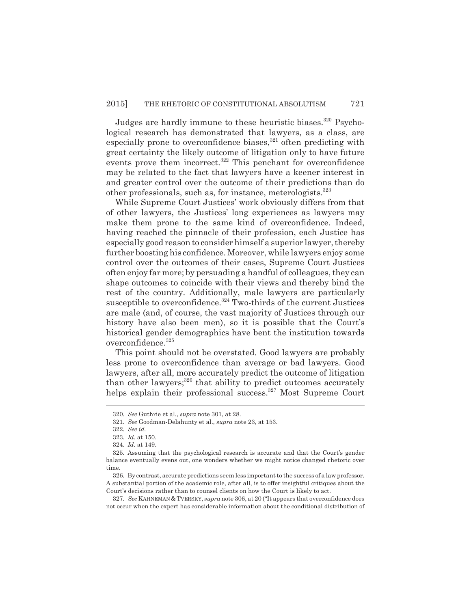Judges are hardly immune to these heuristic biases.<sup>320</sup> Psychological research has demonstrated that lawyers, as a class, are especially prone to overconfidence biases, $321$  often predicting with great certainty the likely outcome of litigation only to have future events prove them incorrect.<sup>322</sup> This penchant for overconfidence may be related to the fact that lawyers have a keener interest in and greater control over the outcome of their predictions than do other professionals, such as, for instance, meterologists.323

While Supreme Court Justices' work obviously differs from that of other lawyers, the Justices' long experiences as lawyers may make them prone to the same kind of overconfidence. Indeed, having reached the pinnacle of their profession, each Justice has especially good reason to consider himself a superior lawyer, thereby further boosting his confidence. Moreover, while lawyers enjoy some control over the outcomes of their cases, Supreme Court Justices often enjoy far more; by persuading a handful of colleagues, they can shape outcomes to coincide with their views and thereby bind the rest of the country. Additionally, male lawyers are particularly susceptible to overconfidence.<sup>324</sup> Two-thirds of the current Justices are male (and, of course, the vast majority of Justices through our history have also been men), so it is possible that the Court's historical gender demographics have bent the institution towards overconfidence.325

This point should not be overstated. Good lawyers are probably less prone to overconfidence than average or bad lawyers. Good lawyers, after all, more accurately predict the outcome of litigation than other lawyers; $326$  that ability to predict outcomes accurately helps explain their professional success.<sup>327</sup> Most Supreme Court

<sup>320.</sup> *See* Guthrie et al., *supra* note 301, at 28.

<sup>321.</sup> *See* Goodman-Delahunty et al., *supra* note 23, at 153.

<sup>322.</sup> *See id.*

<sup>323.</sup> *Id.* at 150.

<sup>324.</sup> *Id.* at 149.

<sup>325.</sup> Assuming that the psychological research is accurate and that the Court's gender balance eventually evens out, one wonders whether we might notice changed rhetoric over time.

<sup>326.</sup> By contrast, accurate predictions seem less important to the success of a law professor. A substantial portion of the academic role, after all, is to offer insightful critiques about the Court's decisions rather than to counsel clients on how the Court is likely to act.

<sup>327.</sup> *See* KAHNEMAN & TVERSKY, *supra* note 306, at 20 ("It appears that overconfidence does not occur when the expert has considerable information about the conditional distribution of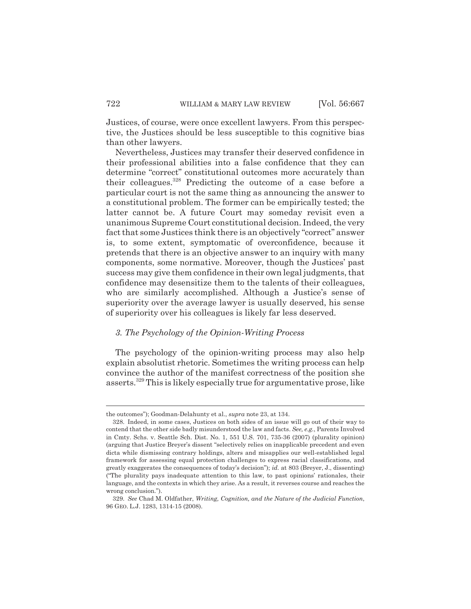Justices, of course, were once excellent lawyers. From this perspective, the Justices should be less susceptible to this cognitive bias than other lawyers.

Nevertheless, Justices may transfer their deserved confidence in their professional abilities into a false confidence that they can determine "correct" constitutional outcomes more accurately than their colleagues.328 Predicting the outcome of a case before a particular court is not the same thing as announcing the answer to a constitutional problem. The former can be empirically tested; the latter cannot be. A future Court may someday revisit even a unanimous Supreme Court constitutional decision. Indeed, the very fact that some Justices think there is an objectively "correct" answer is, to some extent, symptomatic of overconfidence, because it pretends that there is an objective answer to an inquiry with many components, some normative. Moreover, though the Justices' past success may give them confidence in their own legal judgments, that confidence may desensitize them to the talents of their colleagues, who are similarly accomplished. Although a Justice's sense of superiority over the average lawyer is usually deserved, his sense of superiority over his colleagues is likely far less deserved.

#### *3. The Psychology of the Opinion-Writing Process*

The psychology of the opinion-writing process may also help explain absolutist rhetoric. Sometimes the writing process can help convince the author of the manifest correctness of the position she asserts.329 This is likely especially true for argumentative prose, like

the outcomes"); Goodman-Delahunty et al., *supra* note 23, at 134.

<sup>328.</sup> Indeed, in some cases, Justices on both sides of an issue will go out of their way to contend that the other side badly misunderstood the law and facts. *See, e.g.*, Parents Involved in Cmty. Schs. v. Seattle Sch. Dist. No. 1, 551 U.S. 701, 735-36 (2007) (plurality opinion) (arguing that Justice Breyer's dissent "selectively relies on inapplicable precedent and even dicta while dismissing contrary holdings, alters and misapplies our well-established legal framework for assessing equal protection challenges to express racial classifications, and greatly exaggerates the consequences of today's decision"); *id.* at 803 (Breyer, J., dissenting) ("The plurality pays inadequate attention to this law, to past opinions' rationales, their language, and the contexts in which they arise. As a result, it reverses course and reaches the wrong conclusion.").

<sup>329.</sup> *See* Chad M. Oldfather, *Writing, Cognition, and the Nature of the Judicial Function*, 96 GEO. L.J. 1283, 1314-15 (2008).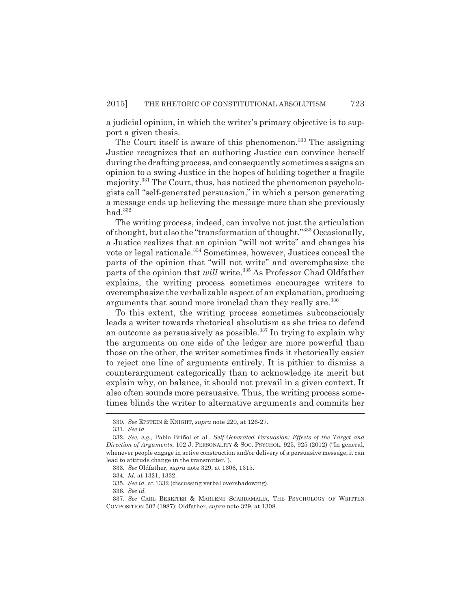a judicial opinion, in which the writer's primary objective is to support a given thesis.

The Court itself is aware of this phenomenon.<sup>330</sup> The assigning Justice recognizes that an authoring Justice can convince herself during the drafting process, and consequently sometimes assigns an opinion to a swing Justice in the hopes of holding together a fragile majority.331 The Court, thus, has noticed the phenomenon psychologists call "self-generated persuasion," in which a person generating a message ends up believing the message more than she previously  $had.<sup>332</sup>$ 

The writing process, indeed, can involve not just the articulation of thought, but also the "transformation of thought."333 Occasionally, a Justice realizes that an opinion "will not write" and changes his vote or legal rationale.<sup>334</sup> Sometimes, however, Justices conceal the parts of the opinion that "will not write" and overemphasize the parts of the opinion that *will* write.<sup>335</sup> As Professor Chad Oldfather explains, the writing process sometimes encourages writers to overemphasize the verbalizable aspect of an explanation, producing arguments that sound more ironclad than they really are.<sup>336</sup>

To this extent, the writing process sometimes subconsciously leads a writer towards rhetorical absolutism as she tries to defend an outcome as persuasively as possible.<sup>337</sup> In trying to explain why the arguments on one side of the ledger are more powerful than those on the other, the writer sometimes finds it rhetorically easier to reject one line of arguments entirely. It is pithier to dismiss a counterargument categorically than to acknowledge its merit but explain why, on balance, it should not prevail in a given context. It also often sounds more persuasive. Thus, the writing process sometimes blinds the writer to alternative arguments and commits her

<sup>330.</sup> *See* EPSTEIN & KNIGHT, *supra* note 220, at 126-27.

<sup>331.</sup> *See id.*

<sup>332.</sup> *See, e.g.*, Pablo Briñol et al., *Self-Generated Persuasion: Effects of the Target and Direction of Arguments*, 102 J. PERSONALITY & SOC. PSYCHOL. 925, 925 (2012) ("In general, whenever people engage in active construction and/or delivery of a persuasive message, it can lead to attitude change in the transmitter.").

<sup>333.</sup> *See* Oldfather, *supra* note 329, at 1306, 1315.

<sup>334.</sup> *Id.* at 1321, 1332.

<sup>335.</sup> *See id.* at 1332 (discussing verbal overshadowing).

<sup>336.</sup> *See id.*

<sup>337.</sup> *See* CARL BEREITER & MARLENE SCARDAMALIA, THE PSYCHOLOGY OF WRITTEN COMPOSITION 302 (1987); Oldfather, *supra* note 329, at 1308.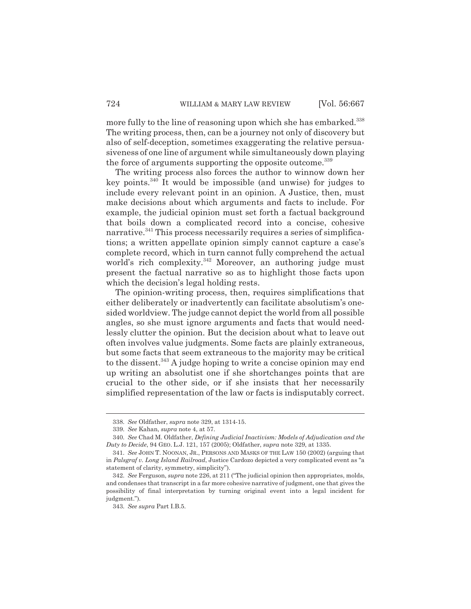more fully to the line of reasoning upon which she has embarked.<sup>338</sup> The writing process, then, can be a journey not only of discovery but also of self-deception, sometimes exaggerating the relative persuasiveness of one line of argument while simultaneously down playing the force of arguments supporting the opposite outcome.<sup>339</sup>

The writing process also forces the author to winnow down her key points.340 It would be impossible (and unwise) for judges to include every relevant point in an opinion. A Justice, then, must make decisions about which arguments and facts to include. For example, the judicial opinion must set forth a factual background that boils down a complicated record into a concise, cohesive narrative.<sup>341</sup> This process necessarily requires a series of simplifications; a written appellate opinion simply cannot capture a case's complete record, which in turn cannot fully comprehend the actual world's rich complexity.<sup>342</sup> Moreover, an authoring judge must present the factual narrative so as to highlight those facts upon which the decision's legal holding rests.

The opinion-writing process, then, requires simplifications that either deliberately or inadvertently can facilitate absolutism's onesided worldview. The judge cannot depict the world from all possible angles, so she must ignore arguments and facts that would needlessly clutter the opinion. But the decision about what to leave out often involves value judgments. Some facts are plainly extraneous, but some facts that seem extraneous to the majority may be critical to the dissent.<sup>343</sup> A judge hoping to write a concise opinion may end up writing an absolutist one if she shortchanges points that are crucial to the other side, or if she insists that her necessarily simplified representation of the law or facts is indisputably correct.

<sup>338.</sup> *See* Oldfather, *supra* note 329, at 1314-15.

<sup>339.</sup> *See* Kahan, *supra* note 4, at 57.

<sup>340.</sup> *See* Chad M. Oldfather, *Defining Judicial Inactivism: Models of Adjudication and the Duty to Decide*, 94 GEO. L.J. 121, 157 (2005); Oldfather, *supra* note 329, at 1335.

<sup>341.</sup> *See* JOHN T. NOONAN, JR., PERSONS AND MASKS OF THE LAW 150 (2002) (arguing that in *Palsgraf v. Long Island Railroad*, Justice Cardozo depicted a very complicated event as "a statement of clarity, symmetry, simplicity").

<sup>342.</sup> *See* Ferguson, *supra* note 226, at 211 ("The judicial opinion then appropriates, molds, and condenses that transcript in a far more cohesive narrative of judgment, one that gives the possibility of final interpretation by turning original event into a legal incident for judgment.").

<sup>343.</sup> *See supra* Part I.B.5.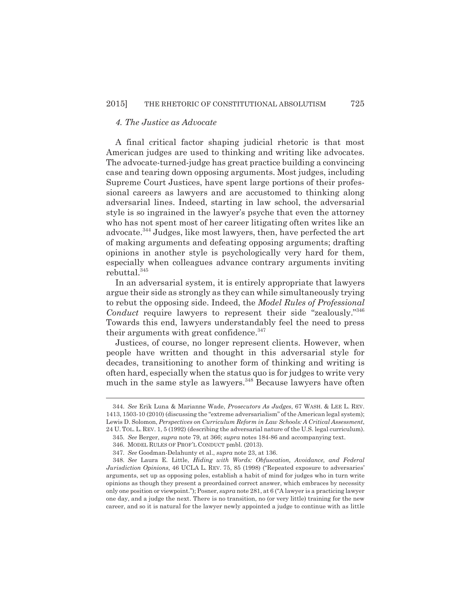### *4. The Justice as Advocate*

A final critical factor shaping judicial rhetoric is that most American judges are used to thinking and writing like advocates. The advocate-turned-judge has great practice building a convincing case and tearing down opposing arguments. Most judges, including Supreme Court Justices, have spent large portions of their professional careers as lawyers and are accustomed to thinking along adversarial lines. Indeed, starting in law school, the adversarial style is so ingrained in the lawyer's psyche that even the attorney who has not spent most of her career litigating often writes like an advocate.344 Judges, like most lawyers, then, have perfected the art of making arguments and defeating opposing arguments; drafting opinions in another style is psychologically very hard for them, especially when colleagues advance contrary arguments inviting  ${\rm \bf rebuttal.}^{345}$ 

In an adversarial system, it is entirely appropriate that lawyers argue their side as strongly as they can while simultaneously trying to rebut the opposing side. Indeed, the *Model Rules of Professional Conduct* require lawyers to represent their side "zealously."346 Towards this end, lawyers understandably feel the need to press their arguments with great confidence.<sup>347</sup>

Justices, of course, no longer represent clients. However, when people have written and thought in this adversarial style for decades, transitioning to another form of thinking and writing is often hard, especially when the status quo is for judges to write very much in the same style as lawyers.<sup>348</sup> Because lawyers have often

<sup>344.</sup> *See* Erik Luna & Marianne Wade, *Prosecutors As Judges*, 67 WASH. & LEE L. REV. 1413, 1503-10 (2010) (discussing the "extreme adversarialism" of the American legal system); Lewis D. Solomon, *Perspectives on Curriculum Reform in Law Schools: A Critical Assessment*, 24 U. TOL. L. REV. 1, 5 (1992) (describing the adversarial nature of the U.S. legal curriculum).

<sup>345.</sup> *See* Berger, *supra* note 79, at 366; *supra* notes 184-86 and accompanying text.

<sup>346.</sup> MODEL RULES OF PROF'L CONDUCT pmbl. (2013).

<sup>347.</sup> *See* Goodman-Delahunty et al., *supra* note 23, at 136.

<sup>348.</sup> *See* Laura E. Little, *Hiding with Words: Obfuscation, Avoidance, and Federal Jurisdiction Opinions*, 46 UCLA L. REV. 75, 85 (1998) ("Repeated exposure to adversaries' arguments, set up as opposing poles, establish a habit of mind for judges who in turn write opinions as though they present a preordained correct answer, which embraces by necessity only one position or viewpoint."); Posner, *supra* note 281, at 6 ("A lawyer is a practicing lawyer one day, and a judge the next. There is no transition, no (or very little) training for the new career, and so it is natural for the lawyer newly appointed a judge to continue with as little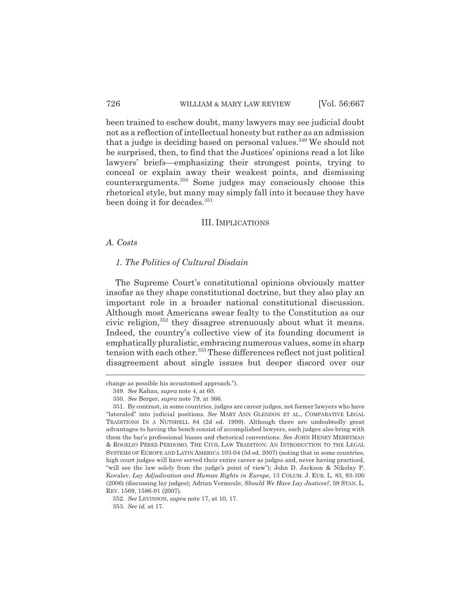been trained to eschew doubt, many lawyers may see judicial doubt not as a reflection of intellectual honesty but rather as an admission that a judge is deciding based on personal values.<sup>349</sup> We should not be surprised, then, to find that the Justices' opinions read a lot like lawyers' briefs—emphasizing their strongest points, trying to conceal or explain away their weakest points, and dismissing counterarguments.350 Some judges may consciously choose this rhetorical style, but many may simply fall into it because they have been doing it for decades.<sup>351</sup>

#### III. IMPLICATIONS

#### *A. Costs*

### *1. The Politics of Cultural Disdain*

The Supreme Court's constitutional opinions obviously matter insofar as they shape constitutional doctrine, but they also play an important role in a broader national constitutional discussion. Although most Americans swear fealty to the Constitution as our civic religion,<sup>352</sup> they disagree strenuously about what it means. Indeed, the country's collective view of its founding document is emphatically pluralistic, embracing numerous values, some in sharp tension with each other.<sup>353</sup> These differences reflect not just political disagreement about single issues but deeper discord over our

change as possible his accustomed approach.").

<sup>349.</sup> *See* Kahan, *supra* note 4, at 60.

<sup>350.</sup> *See* Berger, *supra* note 79, at 366.

<sup>351.</sup> By contrast, in some countries, judges are career judges, not former lawyers who have "lateraled" into judicial positions. *See* MARY ANN GLENDON ET AL., COMPARATIVE LEGAL TRADITIONS IN A NUTSHELL 84 (2d ed. 1999). Although there are undoubtedly great advantages to having the bench consist of accomplished lawyers, such judges also bring with them the bar's professional biases and rhetorical conventions. *See* JOHN HENRY MERRYMAN & ROGELIO PÉREZ-PERDOMO, THE CIVIL LAW TRADITION: AN INTRODUCTION TO THE LEGAL SYSTEMS OF EUROPE AND LATIN AMERICA 103-04 (3d ed. 2007) (noting that in some countries, high court judges will have served their entire career as judges and, never having practiced, "will see the law solely from the judge's point of view"); John D. Jackson & Nikolay P. Kovalev, *Lay Adjudication and Human Rights in Europe*, 13 COLUM. J. EUR. L. 83, 93-100 (2006) (discussing lay judges); Adrian Vermeule, *Should We Have Lay Justices?*, 59 STAN. L. REV. 1569, 1586-91 (2007).

<sup>352.</sup> *See* LEVINSON, *supra* note 17, at 10, 17.

<sup>353.</sup> *See id.* at 17.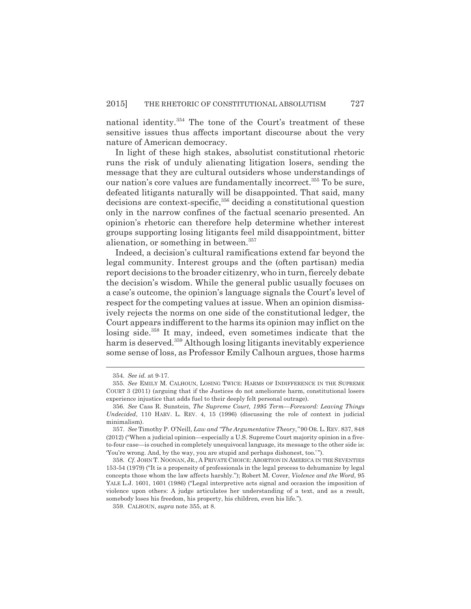national identity.354 The tone of the Court's treatment of these sensitive issues thus affects important discourse about the very nature of American democracy.

In light of these high stakes, absolutist constitutional rhetoric runs the risk of unduly alienating litigation losers, sending the message that they are cultural outsiders whose understandings of our nation's core values are fundamentally incorrect.<sup>355</sup> To be sure, defeated litigants naturally will be disappointed. That said, many decisions are context-specific,<sup>356</sup> deciding a constitutional question only in the narrow confines of the factual scenario presented. An opinion's rhetoric can therefore help determine whether interest groups supporting losing litigants feel mild disappointment, bitter alienation, or something in between.<sup>357</sup>

Indeed, a decision's cultural ramifications extend far beyond the legal community. Interest groups and the (often partisan) media report decisions to the broader citizenry, who in turn, fiercely debate the decision's wisdom. While the general public usually focuses on a case's outcome, the opinion's language signals the Court's level of respect for the competing values at issue. When an opinion dismissively rejects the norms on one side of the constitutional ledger, the Court appears indifferent to the harms its opinion may inflict on the losing side.<sup>358</sup> It may, indeed, even sometimes indicate that the harm is deserved.359 Although losing litigants inevitably experience some sense of loss, as Professor Emily Calhoun argues, those harms

<sup>354.</sup> *See id.* at 9-17.

<sup>355.</sup> *See* EMILY M. CALHOUN, LOSING TWICE: HARMS OF INDIFFERENCE IN THE SUPREME COURT 3 (2011) (arguing that if the Justices do not ameliorate harm, constitutional losers experience injustice that adds fuel to their deeply felt personal outrage).

<sup>356.</sup> *See* Cass R. Sunstein, *The Supreme Court, 1995 Term—Foreword: Leaving Things Undecided*, 110 HARV. L. REV. 4, 15 (1996) (discussing the role of context in judicial minimalism).

<sup>357.</sup> *See* Timothy P. O'Neill, *Law and "The Argumentative Theory*,*"* 90 OR. L. REV. 837, 848 (2012) ("When a judicial opinion—especially a U.S. Supreme Court majority opinion in a fiveto-four case—is couched in completely unequivocal language, its message to the other side is: 'You're wrong. And, by the way, you are stupid and perhaps dishonest, too.' ").

<sup>358.</sup> *Cf.* JOHN T. NOONAN, JR., A PRIVATE CHOICE: ABORTION IN AMERICA IN THE SEVENTIES 153-54 (1979) ("It is a propensity of professionals in the legal process to dehumanize by legal concepts those whom the law affects harshly."); Robert M. Cover, *Violence and the Word*, 95 YALE L.J. 1601, 1601 (1986) ("Legal interpretive acts signal and occasion the imposition of violence upon others: A judge articulates her understanding of a text, and as a result, somebody loses his freedom, his property, his children, even his life.").

<sup>359.</sup> CALHOUN, *supra* note 355, at 8.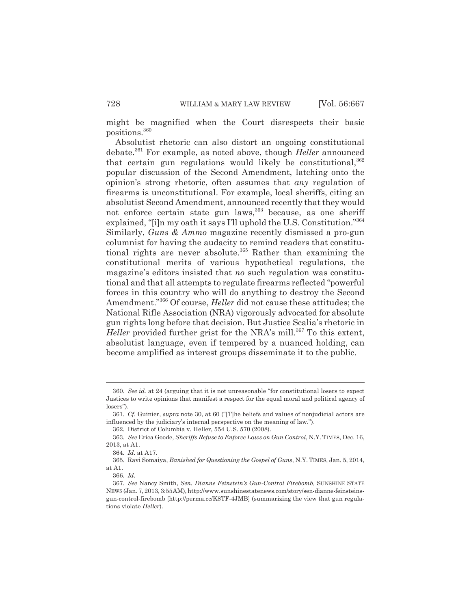might be magnified when the Court disrespects their basic positions.360

Absolutist rhetoric can also distort an ongoing constitutional debate.361 For example, as noted above, though *Heller* announced that certain gun regulations would likely be constitutional, 362 popular discussion of the Second Amendment, latching onto the opinion's strong rhetoric, often assumes that *any* regulation of firearms is unconstitutional. For example, local sheriffs, citing an absolutist Second Amendment, announced recently that they would not enforce certain state gun laws, <sup>363</sup> because, as one sheriff explained, "[i]n my oath it says I'll uphold the U.S. Constitution."364 Similarly, *Guns & Ammo* magazine recently dismissed a pro-gun columnist for having the audacity to remind readers that constitutional rights are never absolute.<sup>365</sup> Rather than examining the constitutional merits of various hypothetical regulations, the magazine's editors insisted that *no* such regulation was constitutional and that all attempts to regulate firearms reflected "powerful forces in this country who will do anything to destroy the Second Amendment."366 Of course, *Heller* did not cause these attitudes; the National Rifle Association (NRA) vigorously advocated for absolute gun rights long before that decision. But Justice Scalia's rhetoric in *Heller* provided further grist for the NRA's mill.<sup>367</sup> To this extent, absolutist language, even if tempered by a nuanced holding, can become amplified as interest groups disseminate it to the public.

<sup>360.</sup> *See id.* at 24 (arguing that it is not unreasonable "for constitutional losers to expect Justices to write opinions that manifest a respect for the equal moral and political agency of losers").

<sup>361.</sup> *Cf.* Guinier, *supra* note 30, at 60 ("[T]he beliefs and values of nonjudicial actors are influenced by the judiciary's internal perspective on the meaning of law.").

<sup>362.</sup> District of Columbia v. Heller, 554 U.S. 570 (2008).

<sup>363.</sup> *See* Erica Goode, *Sheriffs Refuse to Enforce Laws on Gun Control*, N.Y.TIMES, Dec. 16, 2013, at A1.

<sup>364.</sup> *Id.* at A17.

<sup>365.</sup> Ravi Somaiya, *Banished for Questioning the Gospel of Guns*, N.Y. TIMES, Jan. 5, 2014, at A1.

<sup>366.</sup> *Id.*

<sup>367.</sup> *See* Nancy Smith, *Sen. Dianne Feinstein's Gun-Control Firebomb,* SUNSHINE STATE NEWS (Jan. 7, 2013, 3:55 AM), http://www.sunshinestatenews.com/story/sen-dianne-feinsteinsgun-control-firebomb [http://perma.cc/K8TF-4JMB] (summarizing the view that gun regulations violate *Heller*).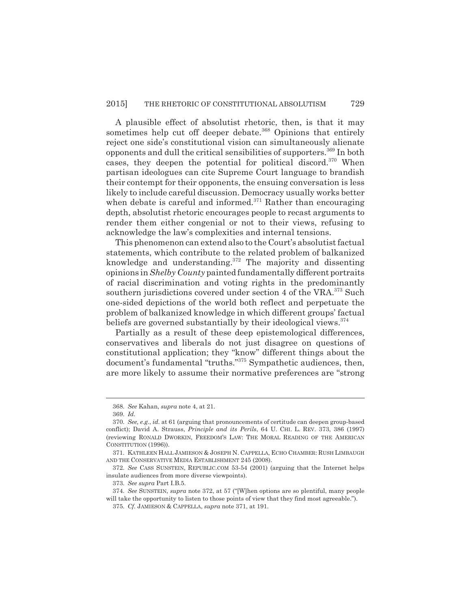A plausible effect of absolutist rhetoric, then, is that it may sometimes help cut off deeper debate.<sup>368</sup> Opinions that entirely reject one side's constitutional vision can simultaneously alienate opponents and dull the critical sensibilities of supporters.369 In both cases, they deepen the potential for political discord.<sup>370</sup> When partisan ideologues can cite Supreme Court language to brandish their contempt for their opponents, the ensuing conversation is less likely to include careful discussion. Democracy usually works better when debate is careful and informed. $371$  Rather than encouraging depth, absolutist rhetoric encourages people to recast arguments to render them either congenial or not to their views, refusing to acknowledge the law's complexities and internal tensions.

This phenomenon can extend also to the Court's absolutist factual statements, which contribute to the related problem of balkanized knowledge and understanding. $372$  The majority and dissenting opinions in *Shelby County* painted fundamentally different portraits of racial discrimination and voting rights in the predominantly southern jurisdictions covered under section 4 of the VRA.<sup>373</sup> Such one-sided depictions of the world both reflect and perpetuate the problem of balkanized knowledge in which different groups' factual beliefs are governed substantially by their ideological views.<sup>374</sup>

Partially as a result of these deep epistemological differences, conservatives and liberals do not just disagree on questions of constitutional application; they "know" different things about the document's fundamental "truths."<sup>375</sup> Sympathetic audiences, then, are more likely to assume their normative preferences are "strong

<sup>368.</sup> *See* Kahan, *supra* note 4, at 21.

<sup>369.</sup> *Id.*

<sup>370.</sup> *See, e.g.*, *id.* at 61 (arguing that pronouncements of certitude can deepen group-based conflict); David A. Strauss, *Principle and its Perils*, 64 U. CHI. L. REV. 373, 386 (1997) (reviewing RONALD DWORKIN, FREEDOM'S LAW: THE MORAL READING OF THE AMERICAN CONSTITUTION (1996)).

<sup>371.</sup> KATHLEEN HALL JAMIESON & JOSEPH N. CAPPELLA, ECHO CHAMBER: RUSH LIMBAUGH AND THE CONSERVATIVE MEDIA ESTABLISHMENT 245 (2008).

<sup>372.</sup> *See* CASS SUNSTEIN, REPUBLIC.COM 53-54 (2001) (arguing that the Internet helps insulate audiences from more diverse viewpoints).

<sup>373.</sup> *See supra* Part I.B.5.

<sup>374.</sup> *See* SUNSTEIN, *supra* note 372, at 57 ("[W]hen options are so plentiful, many people will take the opportunity to listen to those points of view that they find most agreeable.").

<sup>375.</sup> *Cf.* JAMIESON & CAPPELLA, *supra* note 371, at 191.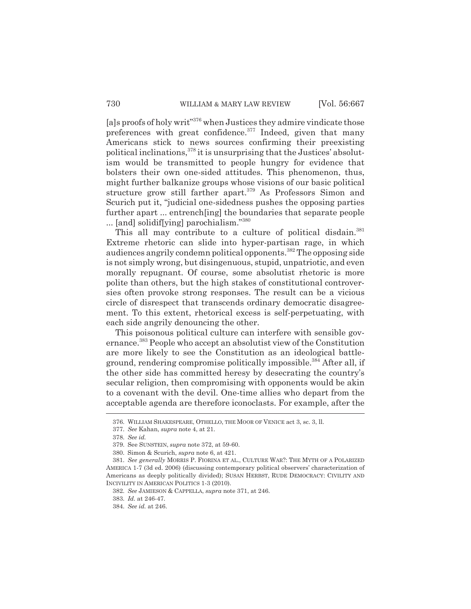[a]s proofs of holy writ"<sup>376</sup> when Justices they admire vindicate those preferences with great confidence. $377$  Indeed, given that many Americans stick to news sources confirming their preexisting political inclinations,378 it is unsurprising that the Justices' absolutism would be transmitted to people hungry for evidence that bolsters their own one-sided attitudes. This phenomenon, thus, might further balkanize groups whose visions of our basic political structure grow still farther apart.<sup>379</sup> As Professors Simon and Scurich put it, "judicial one-sidedness pushes the opposing parties further apart ... entrench [ing] the boundaries that separate people ... [and] solidif[ying] parochialism."380

This all may contribute to a culture of political disdain.<sup>381</sup> Extreme rhetoric can slide into hyper-partisan rage, in which audiences angrily condemn political opponents.382 The opposing side is not simply wrong, but disingenuous, stupid, unpatriotic, and even morally repugnant. Of course, some absolutist rhetoric is more polite than others, but the high stakes of constitutional controversies often provoke strong responses. The result can be a vicious circle of disrespect that transcends ordinary democratic disagreement. To this extent, rhetorical excess is self-perpetuating, with each side angrily denouncing the other.

This poisonous political culture can interfere with sensible governance.<sup>383</sup> People who accept an absolutist view of the Constitution are more likely to see the Constitution as an ideological battleground, rendering compromise politically impossible.<sup>384</sup> After all, if the other side has committed heresy by desecrating the country's secular religion, then compromising with opponents would be akin to a covenant with the devil. One-time allies who depart from the acceptable agenda are therefore iconoclasts. For example, after the

<sup>376.</sup> WILLIAM SHAKESPEARE, OTHELLO, THE MOOR OF VENICE act 3, sc. 3, ll.

<sup>377.</sup> *See* Kahan, *supra* note 4, at 21.

<sup>378.</sup> *See id.*

<sup>379.</sup> See SUNSTEIN, *supra* note 372, at 59-60.

<sup>380.</sup> Simon & Scurich, *supra* note 6, at 421.

<sup>381.</sup> *See generally* MORRIS P. FIORINA ET AL., CULTURE WAR?: THE MYTH OF A POLARIZED AMERICA 1-7 (3d ed. 2006) (discussing contemporary political observers' characterization of Americans as deeply politically divided); SUSAN HERBST, RUDE DEMOCRACY: CIVILITY AND INCIVILITY IN AMERICAN POLITICS 1-3 (2010).

<sup>382.</sup> *See* JAMIESON & CAPPELLA, *supra* note 371, at 246.

<sup>383.</sup> *Id.* at 246-47.

<sup>384.</sup> *See id.* at 246.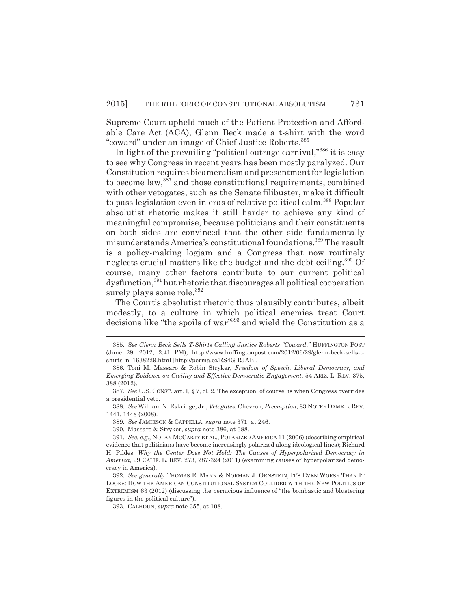Supreme Court upheld much of the Patient Protection and Affordable Care Act (ACA), Glenn Beck made a t-shirt with the word "coward" under an image of Chief Justice Roberts.385

In light of the prevailing "political outrage carnival,"386 it is easy to see why Congress in recent years has been mostly paralyzed. Our Constitution requires bicameralism and presentment for legislation to become law,<sup>387</sup> and those constitutional requirements, combined with other vetogates, such as the Senate filibuster, make it difficult to pass legislation even in eras of relative political calm.<sup>388</sup> Popular absolutist rhetoric makes it still harder to achieve any kind of meaningful compromise, because politicians and their constituents on both sides are convinced that the other side fundamentally misunderstands America's constitutional foundations.<sup>389</sup> The result is a policy-making logjam and a Congress that now routinely neglects crucial matters like the budget and the debt ceiling.<sup>390</sup> Of course, many other factors contribute to our current political dysfunction,391 but rhetoric that discourages all political cooperation surely plays some role.<sup>392</sup>

The Court's absolutist rhetoric thus plausibly contributes, albeit modestly, to a culture in which political enemies treat Court decisions like "the spoils of war"393 and wield the Constitution as a

<sup>385.</sup> *See Glenn Beck Sells T-Shirts Calling Justice Roberts "Coward*,*"* HUFFINGTON POST (June 29, 2012, 2:41 PM), http://www.huffingtonpost.com/2012/06/29/glenn-beck-sells-tshirts\_n\_1638229.html [http://perma.cc/RS4G-RJAB].

<sup>386.</sup> Toni M. Massaro & Robin Stryker, *Freedom of Speech, Liberal Democracy, and Emerging Evidence on Civility and Effective Democratic Engagement*, 54 ARIZ. L. REV. 375, 388 (2012).

<sup>387.</sup> *See* U.S. CONST. art. I, § 7, cl. 2. The exception, of course, is when Congress overrides a presidential veto.

<sup>388.</sup> *See* William N. Eskridge, Jr., *Vetogates,* Chevron*, Preemption*, 83 NOTRE DAME L. REV. 1441, 1448 (2008).

<sup>389.</sup> *See* JAMIESON & CAPPELLA, *supra* note 371, at 246.

<sup>390.</sup> Massaro & Stryker, *supra* note 386, at 388.

<sup>391.</sup> *See, e.g.*, NOLAN MCCARTY ET AL., POLARIZED AMERICA 11 (2006) (describing empirical evidence that politicians have become increasingly polarized along ideological lines); Richard H. Pildes, *Why the Center Does Not Hold: The Causes of Hyperpolarized Democracy in America*, 99 CALIF. L. REV. 273, 287-324 (2011) (examining causes of hyperpolarized democracy in America).

<sup>392.</sup> *See generally* THOMAS E. MANN & NORMAN J. ORNSTEIN, IT'S EVEN WORSE THAN IT LOOKS: HOW THE AMERICAN CONSTITUTIONAL SYSTEM COLLIDED WITH THE NEW POLITICS OF EXTREMISM 63 (2012) (discussing the pernicious influence of "the bombastic and blustering figures in the political culture").

<sup>393.</sup> CALHOUN, *supra* note 355, at 108.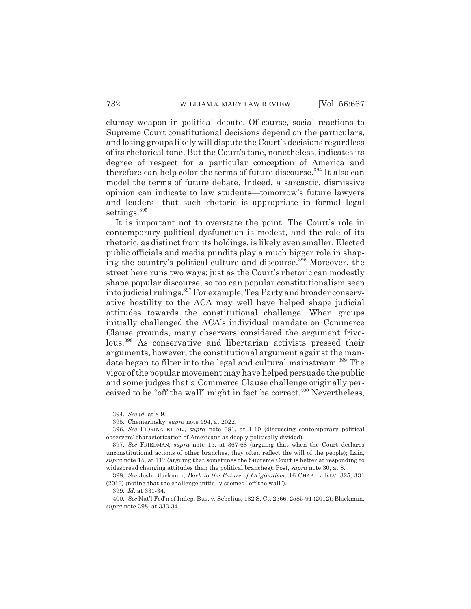clumsy weapon in political debate. Of course, social reactions to Supreme Court constitutional decisions depend on the particulars, and losing groups likely will dispute the Court's decisions regardless of its rhetorical tone. But the Court's tone, nonetheless, indicates its degree of respect for a particular conception of America and therefore can help color the terms of future discourse.<sup>394</sup> It also can model the terms of future debate. Indeed, a sarcastic, dismissive opinion can indicate to law students—tomorrow's future lawyers and leaders—that such rhetoric is appropriate in formal legal settings.<sup>395</sup>

It is important not to overstate the point. The Court's role in contemporary political dysfunction is modest, and the role of its rhetoric, as distinct from its holdings, is likely even smaller. Elected public officials and media pundits play a much bigger role in shaping the country's political culture and discourse.<sup>396</sup> Moreover, the street here runs two ways; just as the Court's rhetoric can modestly shape popular discourse, so too can popular constitutionalism seep into judicial rulings.<sup>397</sup> For example, Tea Party and broader conservative hostility to the ACA may well have helped shape judicial attitudes towards the constitutional challenge. When groups initially challenged the ACA's individual mandate on Commerce Clause grounds, many observers considered the argument frivolous.398 As conservative and libertarian activists pressed their arguments, however, the constitutional argument against the mandate began to filter into the legal and cultural mainstream.<sup>399</sup> The vigor of the popular movement may have helped persuade the public and some judges that a Commerce Clause challenge originally perceived to be "off the wall" might in fact be correct.<sup>400</sup> Nevertheless,

<sup>394.</sup> *See id.* at 8-9.

<sup>395.</sup> Chemerinsky, *supra* note 194, at 2022.

<sup>396.</sup> *See* FIORINA ET AL., *supra* note 381, at 1-10 (discussing contemporary political observers' characterization of Americans as deeply politically divided).

<sup>397.</sup> *See* FRIEDMAN, *supra* note 15, at 367-68 (arguing that when the Court declares unconstitutional actions of other branches, they often reflect the will of the people); Lain, *supra* note 15, at 117 (arguing that sometimes the Supreme Court is better at responding to widespread changing attitudes than the political branches); Post, *supra* note 30, at 8.

<sup>398.</sup> *See* Josh Blackman, *Back to the Future of Originalism*, 16 CHAP. L. REV. 325, 331 (2013) (noting that the challenge initially seemed "off the wall").

<sup>399.</sup> *Id.* at 331-34.

<sup>400.</sup> *See* Nat'l Fed'n of Indep. Bus. v. Sebelius, 132 S. Ct. 2566, 2585-91 (2012); Blackman, *supra* note 398, at 333-34.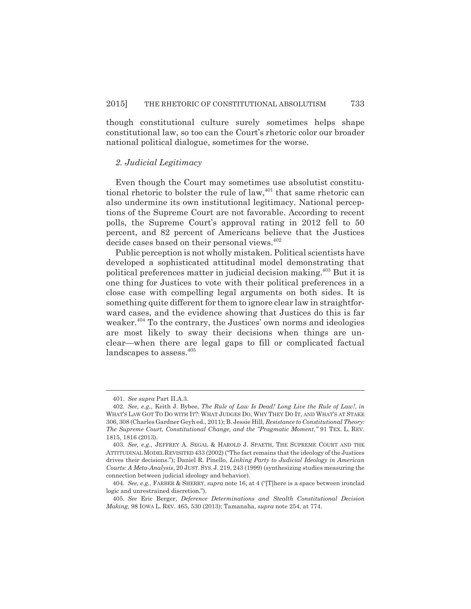though constitutional culture surely sometimes helps shape constitutional law, so too can the Court's rhetoric color our broader national political dialogue, sometimes for the worse.

#### *2. Judicial Legitimacy*

Even though the Court may sometimes use absolutist constitutional rhetoric to bolster the rule of law,<sup>401</sup> that same rhetoric can also undermine its own institutional legitimacy. National perceptions of the Supreme Court are not favorable. According to recent polls, the Supreme Court's approval rating in 2012 fell to 50 percent, and 82 percent of Americans believe that the Justices decide cases based on their personal views.<sup>402</sup>

Public perception is not wholly mistaken. Political scientists have developed a sophisticated attitudinal model demonstrating that political preferences matter in judicial decision making.403 But it is one thing for Justices to vote with their political preferences in a close case with compelling legal arguments on both sides. It is something quite different for them to ignore clear law in straightforward cases, and the evidence showing that Justices do this is far weaker.<sup>404</sup> To the contrary, the Justices' own norms and ideologies are most likely to sway their decisions when things are unclear—when there are legal gaps to fill or complicated factual landscapes to assess.<sup>405</sup>

<sup>401.</sup> *See supra* Part II.A.3.

<sup>402.</sup> *See, e.g.*, Keith J. Bybee, *The Rule of Law Is Dead! Long Live the Rule of Law!*, *in* WHAT'S LAW GOT TO DO WITH IT?: WHAT JUDGES DO, WHY THEY DO IT, AND WHAT'S AT STAKE 306, 308 (Charles Gardner Geyh ed., 2011); B. Jessie Hill, *Resistance to Constitutional Theory: The Supreme Court, Constitutional Change, and the "Pragmatic Moment*,*"* 91 TEX. L. REV. 1815, 1816 (2013).

<sup>403.</sup> *See, e.g.*, JEFFREY A. SEGAL & HAROLD J. SPAETH, THE SUPREME COURT AND THE ATTITUDINAL MODEL REVISITED 433 (2002) ("The fact remains that the ideology of the Justices drives their decisions."); Daniel R. Pinello, *Linking Party to Judicial Ideology in American Courts: A Meta-Analysis*, 20 JUST. SYS. J. 219, 243 (1999) (synthesizing studies measuring the connection between judicial ideology and behavior).

<sup>404.</sup> *See, e.g.*, FARBER & SHERRY, *supra* note 16, at 4 ("[T]here is a space between ironclad logic and unrestrained discretion.").

<sup>405.</sup> *See* Eric Berger, *Deference Determinations and Stealth Constitutional Decision Making*, 98 IOWA L. REV. 465, 530 (2013); Tamanaha, *supra* note 254, at 774.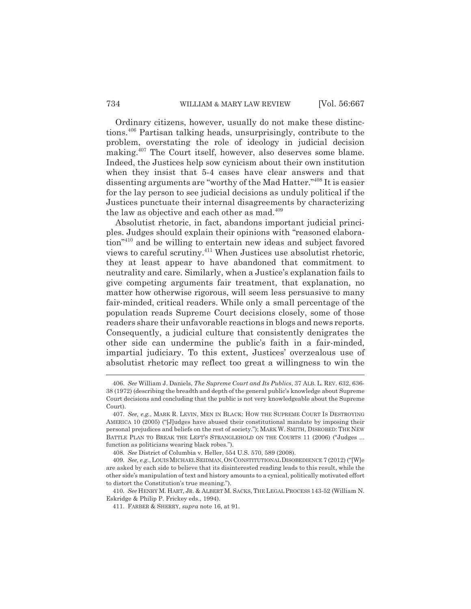Ordinary citizens, however, usually do not make these distinctions.406 Partisan talking heads, unsurprisingly, contribute to the problem, overstating the role of ideology in judicial decision making.407 The Court itself, however, also deserves some blame. Indeed, the Justices help sow cynicism about their own institution when they insist that 5-4 cases have clear answers and that dissenting arguments are "worthy of the Mad Hatter."408 It is easier for the lay person to see judicial decisions as unduly political if the Justices punctuate their internal disagreements by characterizing the law as objective and each other as mad.<sup>409</sup>

Absolutist rhetoric, in fact, abandons important judicial principles. Judges should explain their opinions with "reasoned elaboration"410 and be willing to entertain new ideas and subject favored views to careful scrutiny.411 When Justices use absolutist rhetoric, they at least appear to have abandoned that commitment to neutrality and care. Similarly, when a Justice's explanation fails to give competing arguments fair treatment, that explanation, no matter how otherwise rigorous, will seem less persuasive to many fair-minded, critical readers. While only a small percentage of the population reads Supreme Court decisions closely, some of those readers share their unfavorable reactions in blogs and news reports. Consequently, a judicial culture that consistently denigrates the other side can undermine the public's faith in a fair-minded, impartial judiciary. To this extent, Justices' overzealous use of absolutist rhetoric may reflect too great a willingness to win the

410. *See* HENRY M. HART, JR. & ALBERT M. SACKS, THE LEGAL PROCESS 143-52 (William N. Eskridge & Philip P. Frickey eds., 1994).

<sup>406.</sup> *See* William J. Daniels, *The Supreme Court and Its Publics*, 37 ALB. L. REV. 632, 636- 38 (1972) (describing the breadth and depth of the general public's knowledge about Supreme Court decisions and concluding that the public is not very knowledgeable about the Supreme Court).

<sup>407.</sup> *See, e.g.*, MARK R. LEVIN, MEN IN BLACK: HOW THE SUPREME COURT IS DESTROYING AMERICA 10 (2005) ("[J]udges have abused their constitutional mandate by imposing their personal prejudices and beliefs on the rest of society."); MARK W. SMITH, DISROBED: THE NEW BATTLE PLAN TO BREAK THE LEFT'S STRANGLEHOLD ON THE COURTS 11 (2006) ("Judges ... function as politicians wearing black robes.").

<sup>408.</sup> *See* District of Columbia v. Heller, 554 U.S. 570, 589 (2008).

<sup>409.</sup> *See, e.g.*, LOUIS MICHAEL SEIDMAN,ON CONSTITUTIONAL DISOBEDIENCE 7 (2012) ("[W]e are asked by each side to believe that its disinterested reading leads to this result, while the other side's manipulation of text and history amounts to a cynical, politically motivated effort to distort the Constitution's true meaning.").

<sup>411.</sup> FARBER & SHERRY, *supra* note 16, at 91.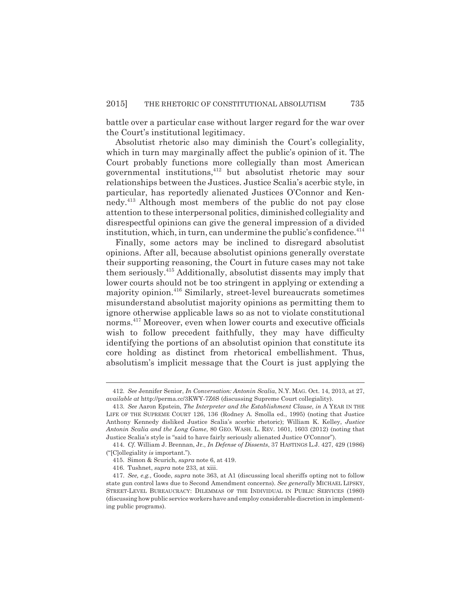battle over a particular case without larger regard for the war over the Court's institutional legitimacy.

Absolutist rhetoric also may diminish the Court's collegiality, which in turn may marginally affect the public's opinion of it. The Court probably functions more collegially than most American governmental institutions,412 but absolutist rhetoric may sour relationships between the Justices. Justice Scalia's acerbic style, in particular, has reportedly alienated Justices O'Connor and Kennedy.413 Although most members of the public do not pay close attention to these interpersonal politics, diminished collegiality and disrespectful opinions can give the general impression of a divided institution, which, in turn, can undermine the public's confidence. $414$ 

Finally, some actors may be inclined to disregard absolutist opinions. After all, because absolutist opinions generally overstate their supporting reasoning, the Court in future cases may not take them seriously.415 Additionally, absolutist dissents may imply that lower courts should not be too stringent in applying or extending a majority opinion.416 Similarly, street-level bureaucrats sometimes misunderstand absolutist majority opinions as permitting them to ignore otherwise applicable laws so as not to violate constitutional norms.417 Moreover, even when lower courts and executive officials wish to follow precedent faithfully, they may have difficulty identifying the portions of an absolutist opinion that constitute its core holding as distinct from rhetorical embellishment. Thus, absolutism's implicit message that the Court is just applying the

<sup>412.</sup> *See* Jennifer Senior, *In Conversation: Antonin Scalia*, N.Y. MAG. Oct. 14, 2013, at 27, *available at* http://perma.cc/3KWY-7Z6S (discussing Supreme Court collegiality).

<sup>413.</sup> *See* Aaron Epstein, *The Interpreter and the Establishment Clause*, *in* A YEAR IN THE LIFE OF THE SUPREME COURT 126, 136 (Rodney A. Smolla ed., 1995) (noting that Justice Anthony Kennedy disliked Justice Scalia's acerbic rhetoric); William K. Kelley, *Justice Antonin Scalia and the Long Game*, 80 GEO. WASH. L. REV. 1601, 1603 (2012) (noting that Justice Scalia's style is "said to have fairly seriously alienated Justice O'Connor").

<sup>414.</sup> *Cf.* William J. Brennan, Jr., *In Defense of Dissents*, 37 HASTINGS L.J. 427, 429 (1986) ("[C]ollegiality *is* important.").

<sup>415.</sup> Simon & Scurich, *supra* note 6, at 419.

<sup>416.</sup> Tushnet, *supra* note 233, at xiii.

<sup>417.</sup> *See, e.g.*, Goode, *supra* note 363, at A1 (discussing local sheriffs opting not to follow state gun control laws due to Second Amendment concerns). *See generally* MICHAEL LIPSKY, STREET-LEVEL BUREAUCRACY: DILEMMAS OF THE INDIVIDUAL IN PUBLIC SERVICES (1980) (discussing how public service workers have and employ considerable discretion in implementing public programs).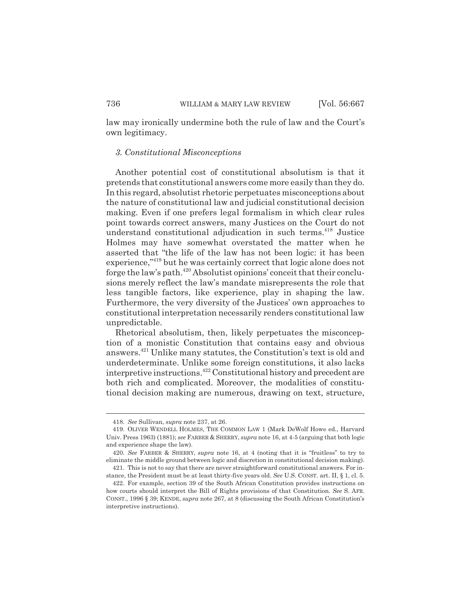law may ironically undermine both the rule of law and the Court's own legitimacy.

#### *3. Constitutional Misconceptions*

Another potential cost of constitutional absolutism is that it pretends that constitutional answers come more easily than they do. In this regard, absolutist rhetoric perpetuates misconceptions about the nature of constitutional law and judicial constitutional decision making. Even if one prefers legal formalism in which clear rules point towards correct answers, many Justices on the Court do not understand constitutional adjudication in such terms.418 Justice Holmes may have somewhat overstated the matter when he asserted that "the life of the law has not been logic: it has been experience,"419 but he was certainly correct that logic alone does not forge the law's path.420 Absolutist opinions' conceit that their conclusions merely reflect the law's mandate misrepresents the role that less tangible factors, like experience, play in shaping the law. Furthermore, the very diversity of the Justices' own approaches to constitutional interpretation necessarily renders constitutional law unpredictable.

Rhetorical absolutism, then, likely perpetuates the misconception of a monistic Constitution that contains easy and obvious answers.421 Unlike many statutes, the Constitution's text is old and underdeterminate. Unlike some foreign constitutions, it also lacks interpretive instructions.422 Constitutional history and precedent are both rich and complicated. Moreover, the modalities of constitutional decision making are numerous, drawing on text, structure,

<sup>418.</sup> *See* Sullivan, *supra* note 237, at 26.

<sup>419.</sup> OLIVER WENDELL HOLMES, THE COMMON LAW 1 (Mark DeWolf Howe ed., Harvard Univ. Press 1963) (1881); *see* FARBER & SHERRY, *supra* note 16, at 4-5 (arguing that both logic and experience shape the law).

<sup>420.</sup> *See* FARBER & SHERRY, *supra* note 16, at 4 (noting that it is "fruitless" to try to eliminate the middle ground between logic and discretion in constitutional decision making).

<sup>421.</sup> This is not to say that there are never straightforward constitutional answers. For instance, the President must be at least thirty-five years old. *See* U.S. CONST. art. II, § 1, cl. 5.

<sup>422.</sup> For example, section 39 of the South African Constitution provides instructions on how courts should interpret the Bill of Rights provisions of that Constitution. *See* S. AFR. CONST., 1996 § 39; KENDE, *supra* note 267, at 8 (discussing the South African Constitution's interpretive instructions).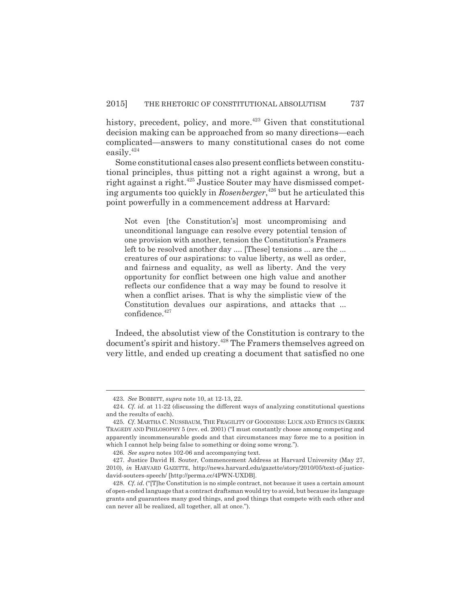history, precedent, policy, and more.<sup> $423$ </sup> Given that constitutional decision making can be approached from so many directions—each complicated—answers to many constitutional cases do not come easily.424

Some constitutional cases also present conflicts between constitutional principles, thus pitting not a right against a wrong, but a right against a right.425 Justice Souter may have dismissed competing arguments too quickly in *Rosenberger*, 426 but he articulated this point powerfully in a commencement address at Harvard:

Not even [the Constitution's] most uncompromising and unconditional language can resolve every potential tension of one provision with another, tension the Constitution's Framers left to be resolved another day .... [These] tensions ... are the ... creatures of our aspirations: to value liberty, as well as order, and fairness and equality, as well as liberty. And the very opportunity for conflict between one high value and another reflects our confidence that a way may be found to resolve it when a conflict arises. That is why the simplistic view of the Constitution devalues our aspirations, and attacks that ... confidence.<sup>427</sup>

Indeed, the absolutist view of the Constitution is contrary to the document's spirit and history.428 The Framers themselves agreed on very little, and ended up creating a document that satisfied no one

<sup>423.</sup> *See* BOBBITT, *supra* note 10, at 12-13, 22.

<sup>424.</sup> *Cf. id.* at 11-22 (discussing the different ways of analyzing constitutional questions and the results of each).

<sup>425.</sup> *Cf.* MARTHA C. NUSSBAUM, THE FRAGILITY OF GOODNESS: LUCK AND ETHICS IN GREEK TRAGEDY AND PHILOSOPHY 5 (rev. ed. 2001) ("I must constantly choose among competing and apparently incommensurable goods and that circumstances may force me to a position in which I cannot help being false to something or doing some wrong.").

<sup>426.</sup> *See supra* notes 102-06 and accompanying text.

<sup>427.</sup> Justice David H. Souter, Commencement Address at Harvard University (May 27, 2010), *in* HARVARD GAZETTE, http://news.harvard.edu/gazette/story/2010/05/text-of-justicedavid-souters-speech/ [http://perma.cc/4PWN-UXDB].

<sup>428.</sup> *Cf. id.* ("[T]he Constitution is no simple contract, not because it uses a certain amount of open-ended language that a contract draftsman would try to avoid, but because its language grants and guarantees many good things, and good things that compete with each other and can never all be realized, all together, all at once.").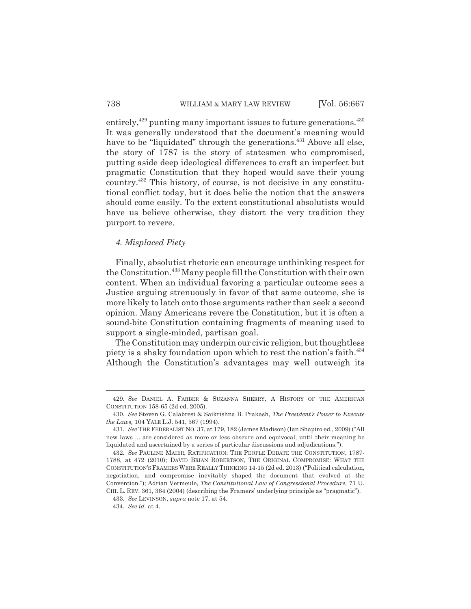entirely, $429$  punting many important issues to future generations. $430$ It was generally understood that the document's meaning would have to be "liquidated" through the generations.<sup>431</sup> Above all else, the story of 1787 is the story of statesmen who compromised, putting aside deep ideological differences to craft an imperfect but pragmatic Constitution that they hoped would save their young country.432 This history, of course, is not decisive in any constitutional conflict today, but it does belie the notion that the answers should come easily. To the extent constitutional absolutists would have us believe otherwise, they distort the very tradition they purport to revere.

### *4. Misplaced Piety*

Finally, absolutist rhetoric can encourage unthinking respect for the Constitution.433 Many people fill the Constitution with their own content. When an individual favoring a particular outcome sees a Justice arguing strenuously in favor of that same outcome, she is more likely to latch onto those arguments rather than seek a second opinion. Many Americans revere the Constitution, but it is often a sound-bite Constitution containing fragments of meaning used to support a single-minded, partisan goal.

The Constitution may underpin our civic religion, but thoughtless piety is a shaky foundation upon which to rest the nation's faith. $^{434}$ Although the Constitution's advantages may well outweigh its

<sup>429.</sup> *See* DANIEL A. FARBER & SUZANNA SHERRY, A HISTORY OF THE AMERICAN CONSTITUTION 158-65 (2d ed. 2005).

<sup>430.</sup> *See* Steven G. Calabresi & Saikrishna B. Prakash, *The President's Power to Execute the Laws,* 104 YALE L.J. 541, 567 (1994).

<sup>431.</sup> *See* THE FEDERALIST NO. 37, at 179, 182 (James Madison) (Ian Shapiro ed., 2009) ("All new laws ... are considered as more or less obscure and equivocal, until their meaning be liquidated and ascertained by a series of particular discussions and adjudications.").

<sup>432.</sup> *See* PAULINE MAIER, RATIFICATION: THE PEOPLE DEBATE THE CONSTITUTION, 1787- 1788, at 472 (2010); DAVID BRIAN ROBERTSON, THE ORIGINAL COMPROMISE: WHAT THE CONSTITUTION'S FRAMERS WERE REALLY THINKING 14-15 (2d ed. 2013) ("Political calculation, negotiation, and compromise inevitably shaped the document that evolved at the Convention."); Adrian Vermeule, *The Constitutional Law of Congressional Procedure,* 71 U. CHI. L. REV. 361, 364 (2004) (describing the Framers' underlying principle as "pragmatic").

<sup>433.</sup> *See* LEVINSON, *supra* note 17, at 54.

<sup>434.</sup> *See id.* at 4.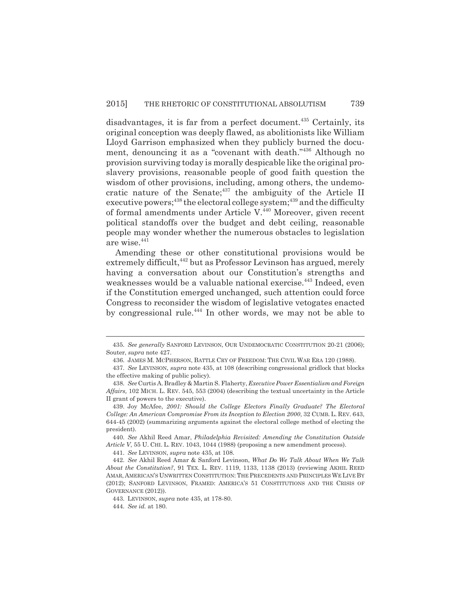disadvantages, it is far from a perfect document.<sup>435</sup> Certainly, its original conception was deeply flawed, as abolitionists like William Lloyd Garrison emphasized when they publicly burned the document, denouncing it as a "covenant with death."436 Although no provision surviving today is morally despicable like the original proslavery provisions, reasonable people of good faith question the wisdom of other provisions, including, among others, the undemocratic nature of the Senate; $437$  the ambiguity of the Article II executive powers;<sup>438</sup> the electoral college system;<sup>439</sup> and the difficulty of formal amendments under Article V.<sup>440</sup> Moreover, given recent political standoffs over the budget and debt ceiling, reasonable people may wonder whether the numerous obstacles to legislation are wise.441

Amending these or other constitutional provisions would be extremely difficult,<sup>442</sup> but as Professor Levinson has argued, merely having a conversation about our Constitution's strengths and weaknesses would be a valuable national exercise.<sup>443</sup> Indeed, even if the Constitution emerged unchanged, such attention could force Congress to reconsider the wisdom of legislative vetogates enacted by congressional rule.<sup>444</sup> In other words, we may not be able to

<sup>435.</sup> *See generally* SANFORD LEVINSON, OUR UNDEMOCRATIC CONSTITUTION 20-21 (2006); Souter, *supra* note 427.

<sup>436.</sup> JAMES M. MCPHERSON, BATTLE CRY OF FREEDOM: THE CIVIL WAR ERA 120 (1988).

<sup>437.</sup> *See* LEVINSON, *supra* note 435, at 108 (describing congressional gridlock that blocks the effective making of public policy).

<sup>438.</sup> *See* Curtis A. Bradley & Martin S. Flaherty, *Executive Power Essentialism and Foreign Affairs,* 102 MICH. L. REV. 545, 553 (2004) (describing the textual uncertainty in the Article II grant of powers to the executive).

<sup>439.</sup> Joy McAfee, *2001: Should the College Electors Finally Graduate? The Electoral College: An American Compromise From its Inception to Election 2000*, 32 CUMB. L. REV. 643, 644-45 (2002) (summarizing arguments against the electoral college method of electing the president).

<sup>440.</sup> *See* Akhil Reed Amar, *Philadelphia Revisited: Amending the Constitution Outside Article V*, 55 U. CHI. L. REV. 1043, 1044 (1988) (proposing a new amendment process).

<sup>441.</sup> *See* LEVINSON, *supra* note 435, at 108.

<sup>442.</sup> *See* Akhil Reed Amar & Sanford Levinson, *What Do We Talk About When We Talk About the Constitution?*, 91 TEX. L. REV. 1119, 1133, 1138 (2013) (reviewing AKHIL REED AMAR, AMERICAN'S UNWRITTEN CONSTITUTION: THE PRECEDENTS AND PRINCIPLES WE LIVE BY (2012); SANFORD LEVINSON, FRAMED: AMERICA'S 51 CONSTITUTIONS AND THE CRISIS OF GOVERNANCE (2012)).

<sup>443.</sup> LEVINSON, *supra* note 435, at 178-80.

<sup>444.</sup> *See id.* at 180.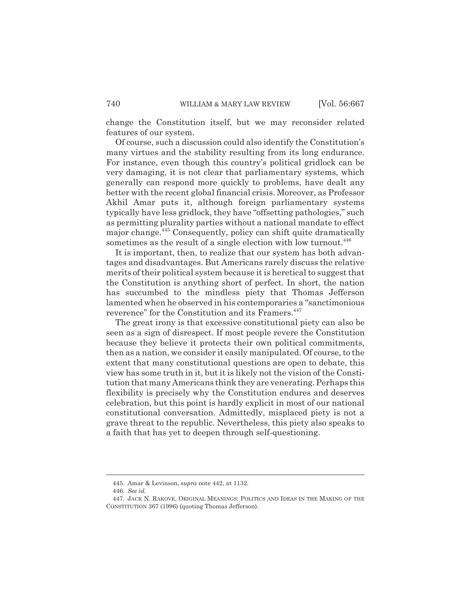change the Constitution itself, but we may reconsider related features of our system.

Of course, such a discussion could also identify the Constitution's many virtues and the stability resulting from its long endurance. For instance, even though this country's political gridlock can be very damaging, it is not clear that parliamentary systems, which generally can respond more quickly to problems, have dealt any better with the recent global financial crisis. Moreover, as Professor Akhil Amar puts it, although foreign parliamentary systems typically have less gridlock, they have "offsetting pathologies," such as permitting plurality parties without a national mandate to effect major change.<sup>445</sup> Consequently, policy can shift quite dramatically sometimes as the result of a single election with low turnout.<sup>446</sup>

It is important, then, to realize that our system has both advantages and disadvantages. But Americans rarely discuss the relative merits of their political system because it is heretical to suggest that the Constitution is anything short of perfect. In short, the nation has succumbed to the mindless piety that Thomas Jefferson lamented when he observed in his contemporaries a "sanctimonious reverence" for the Constitution and its Framers.<sup>447</sup>

The great irony is that excessive constitutional piety can also be seen as a sign of disrespect. If most people revere the Constitution because they believe it protects their own political commitments, then as a nation, we consider it easily manipulated. Of course, to the extent that many constitutional questions are open to debate, this view has some truth in it, but it is likely not the vision of the Constitution that many Americans think they are venerating. Perhaps this flexibility is precisely why the Constitution endures and deserves celebration, but this point is hardly explicit in most of our national constitutional conversation. Admittedly, misplaced piety is not a grave threat to the republic. Nevertheless, this piety also speaks to a faith that has yet to deepen through self-questioning.

<sup>445.</sup> Amar & Levinson, *supra* note 442, at 1132.

<sup>446.</sup> *See id.*

<sup>447.</sup> JACK N. RAKOVE, ORIGINAL MEANINGS: POLITICS AND IDEAS IN THE MAKING OF THE CONSTITUTION 367 (1996) (quoting Thomas Jefferson).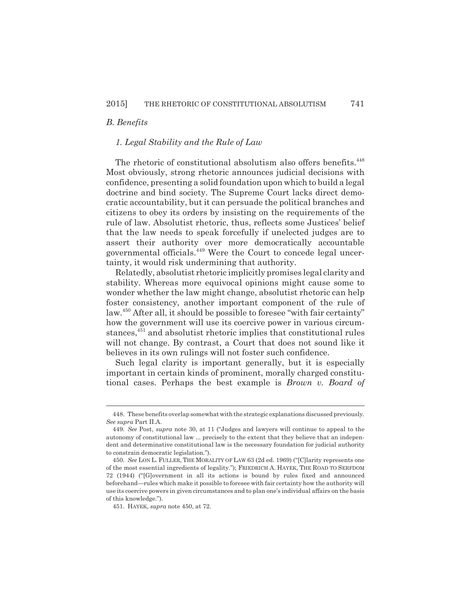### *B. Benefits*

#### *1. Legal Stability and the Rule of Law*

The rhetoric of constitutional absolutism also offers benefits.<sup>448</sup> Most obviously, strong rhetoric announces judicial decisions with confidence, presenting a solid foundation upon which to build a legal doctrine and bind society. The Supreme Court lacks direct democratic accountability, but it can persuade the political branches and citizens to obey its orders by insisting on the requirements of the rule of law. Absolutist rhetoric, thus, reflects some Justices' belief that the law needs to speak forcefully if unelected judges are to assert their authority over more democratically accountable governmental officials.449 Were the Court to concede legal uncertainty, it would risk undermining that authority.

Relatedly, absolutist rhetoric implicitly promises legal clarity and stability. Whereas more equivocal opinions might cause some to wonder whether the law might change, absolutist rhetoric can help foster consistency, another important component of the rule of law.450 After all, it should be possible to foresee "with fair certainty" how the government will use its coercive power in various circumstances,451 and absolutist rhetoric implies that constitutional rules will not change. By contrast, a Court that does not sound like it believes in its own rulings will not foster such confidence.

Such legal clarity is important generally, but it is especially important in certain kinds of prominent, morally charged constitutional cases. Perhaps the best example is *Brown v. Board of*

<sup>448.</sup> These benefits overlap somewhat with the strategic explanations discussed previously. *See supra* Part II.A.

<sup>449.</sup> *See* Post, *supra* note 30, at 11 ("Judges and lawyers will continue to appeal to the autonomy of constitutional law ... precisely to the extent that they believe that an independent and determinative constitutional law is the necessary foundation for judicial authority to constrain democratic legislation.").

<sup>450.</sup> *See* LON L. FULLER, THE MORALITY OF LAW 63 (2d ed. 1969) ("[C]larity represents one of the most essential ingredients of legality."); FRIEDRICH A. HAYEK, THE ROAD TO SERFDOM 72 (1944) ("[G]overnment in all its actions is bound by rules fixed and announced beforehand—rules which make it possible to foresee with fair certainty how the authority will use its coercive powers in given circumstances and to plan one's individual affairs on the basis of this knowledge.").

<sup>451.</sup> HAYEK, *supra* note 450, at 72.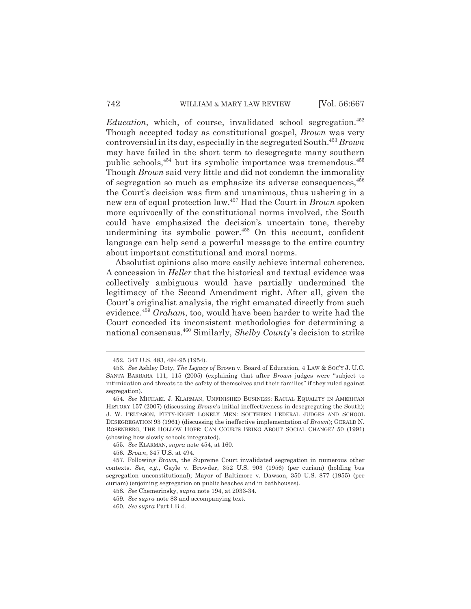*Education*, which, of course, invalidated school segregation.<sup>452</sup> Though accepted today as constitutional gospel, *Brown* was very controversial in its day, especially in the segregated South.453 *Brown* may have failed in the short term to desegregate many southern public schools,<sup>454</sup> but its symbolic importance was tremendous.<sup>455</sup> Though *Brown* said very little and did not condemn the immorality of segregation so much as emphasize its adverse consequences,  $456$ the Court's decision was firm and unanimous, thus ushering in a new era of equal protection law.457 Had the Court in *Brown* spoken more equivocally of the constitutional norms involved, the South could have emphasized the decision's uncertain tone, thereby undermining its symbolic power. $458$  On this account, confident language can help send a powerful message to the entire country about important constitutional and moral norms.

Absolutist opinions also more easily achieve internal coherence. A concession in *Heller* that the historical and textual evidence was collectively ambiguous would have partially undermined the legitimacy of the Second Amendment right. After all, given the Court's originalist analysis, the right emanated directly from such evidence.459 *Graham*, too, would have been harder to write had the Court conceded its inconsistent methodologies for determining a national consensus.460 Similarly, *Shelby County*'s decision to strike

455. *See* KLARMAN, *supra* note 454, at 160.

<sup>452. 347</sup> U.S. 483, 494-95 (1954).

<sup>453.</sup> *See* Ashley Doty, *The Legacy of* Brown v. Board of Education, 4 LAW & SOC'Y J. U.C. SANTA BARBARA 111, 115 (2005) (explaining that after *Brown* judges were "subject to intimidation and threats to the safety of themselves and their families" if they ruled against segregation).

<sup>454.</sup> *See* MICHAEL J. KLARMAN, UNFINISHED BUSINESS: RACIAL EQUALITY IN AMERICAN HISTORY 157 (2007) (discussing *Brown*'s initial ineffectiveness in desegregating the South); J. W. PELTASON, FIFTY-EIGHT LONELY MEN: SOUTHERN FEDERAL JUDGES AND SCHOOL DESEGREGATION 93 (1961) (discussing the ineffective implementation of *Brown*); GERALD N. ROSENBERG, THE HOLLOW HOPE: CAN COURTS BRING ABOUT SOCIAL CHANGE? 50 (1991) (showing how slowly schools integrated).

<sup>456.</sup> *Brown*, 347 U.S. at 494.

<sup>457.</sup> Following *Brown*, the Supreme Court invalidated segregation in numerous other contexts. *See, e.g.*, Gayle v. Browder, 352 U.S. 903 (1956) (per curiam) (holding bus segregation unconstitutional); Mayor of Baltimore v. Dawson, 350 U.S. 877 (1955) (per curiam) (enjoining segregation on public beaches and in bathhouses).

<sup>458.</sup> *See* Chemerinsky, *supra* note 194, at 2033-34.

<sup>459.</sup> *See supra* note 83 and accompanying text.

<sup>460.</sup> *See supra* Part I.B.4.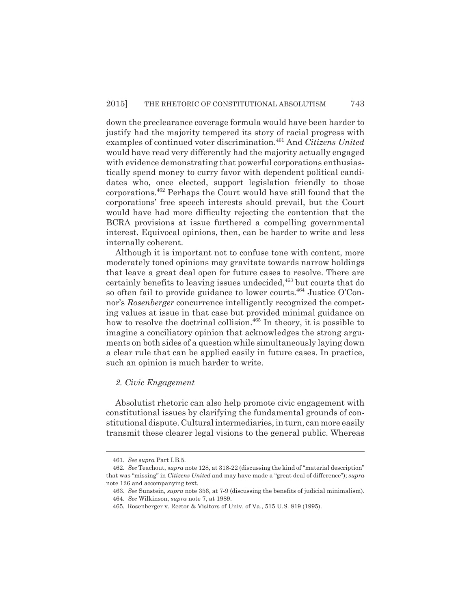down the preclearance coverage formula would have been harder to justify had the majority tempered its story of racial progress with examples of continued voter discrimination.461 And *Citizens United* would have read very differently had the majority actually engaged with evidence demonstrating that powerful corporations enthusiastically spend money to curry favor with dependent political candidates who, once elected, support legislation friendly to those corporations.462 Perhaps the Court would have still found that the corporations' free speech interests should prevail, but the Court would have had more difficulty rejecting the contention that the BCRA provisions at issue furthered a compelling governmental interest. Equivocal opinions, then, can be harder to write and less internally coherent.

Although it is important not to confuse tone with content, more moderately toned opinions may gravitate towards narrow holdings that leave a great deal open for future cases to resolve. There are certainly benefits to leaving issues undecided,<sup>463</sup> but courts that do so often fail to provide guidance to lower courts.<sup>464</sup> Justice O'Connor's *Rosenberger* concurrence intelligently recognized the competing values at issue in that case but provided minimal guidance on how to resolve the doctrinal collision.<sup>465</sup> In theory, it is possible to imagine a conciliatory opinion that acknowledges the strong arguments on both sides of a question while simultaneously laying down a clear rule that can be applied easily in future cases. In practice, such an opinion is much harder to write.

#### *2. Civic Engagement*

Absolutist rhetoric can also help promote civic engagement with constitutional issues by clarifying the fundamental grounds of constitutional dispute. Cultural intermediaries, in turn, can more easily transmit these clearer legal visions to the general public. Whereas

<sup>461.</sup> *See supra* Part I.B.5.

<sup>462.</sup> *See* Teachout, *supra* note 128, at 318-22 (discussing the kind of "material description" that was "missing" in *Citizens United* and may have made a "great deal of difference"); *supra* note 126 and accompanying text.

<sup>463.</sup> *See* Sunstein, *supra* note 356, at 7-9 (discussing the benefits of judicial minimalism).

<sup>464.</sup> *See* Wilkinson, *supra* note 7, at 1989.

<sup>465.</sup> Rosenberger v. Rector & Visitors of Univ. of Va., 515 U.S. 819 (1995).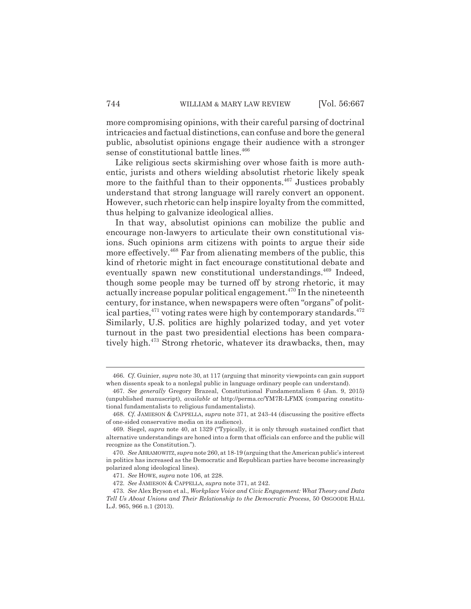more compromising opinions, with their careful parsing of doctrinal intricacies and factual distinctions, can confuse and bore the general public, absolutist opinions engage their audience with a stronger sense of constitutional battle lines.<sup>466</sup>

Like religious sects skirmishing over whose faith is more authentic, jurists and others wielding absolutist rhetoric likely speak more to the faithful than to their opponents. $467$  Justices probably understand that strong language will rarely convert an opponent. However, such rhetoric can help inspire loyalty from the committed, thus helping to galvanize ideological allies.

In that way, absolutist opinions can mobilize the public and encourage non-lawyers to articulate their own constitutional visions. Such opinions arm citizens with points to argue their side more effectively.<sup>468</sup> Far from alienating members of the public, this kind of rhetoric might in fact encourage constitutional debate and eventually spawn new constitutional understandings.<sup>469</sup> Indeed, though some people may be turned off by strong rhetoric, it may actually increase popular political engagement.<sup> $470$ </sup> In the nineteenth century, for instance, when newspapers were often "organs" of political parties,  $471$  voting rates were high by contemporary standards.  $472$ Similarly, U.S. politics are highly polarized today, and yet voter turnout in the past two presidential elections has been comparatively high.473 Strong rhetoric, whatever its drawbacks, then, may

<sup>466.</sup> *Cf.* Guinier, *supra* note 30, at 117 (arguing that minority viewpoints can gain support when dissents speak to a nonlegal public in language ordinary people can understand).

<sup>467.</sup> *See generally* Gregory Brazeal, Constitutional Fundamentalism 6 (Jan. 9, 2015) (unpublished manuscript), *available at* http://perma.cc/YM7R-LFMX (comparing constitutional fundamentalists to religious fundamentalists).

<sup>468.</sup> *Cf.* JAMIESON & CAPPELLA, *supra* note 371, at 243-44 (discussing the positive effects of one-sided conservative media on its audience).

<sup>469.</sup> Siegel, *supra* note 40, at 1329 ("Typically, it is only through sustained conflict that alternative understandings are honed into a form that officials can enforce and the public will recognize as the Constitution.").

<sup>470.</sup> *See* ABRAMOWITZ, *supra* note 260, at 18-19 (arguing that the American public's interest in politics has increased as the Democratic and Republican parties have become increasingly polarized along ideological lines).

<sup>471.</sup> *See* HOWE, *supra* note 106, at 228.

<sup>472.</sup> *See* JAMIESON & CAPPELLA, *supra* note 371, at 242.

<sup>473.</sup> *See* Alex Bryson et al., *Workplace Voice and Civic Engagement: What Theory and Data Tell Us About Unions and Their Relationship to the Democratic Process*, 50 OSGOODE HALL L.J. 965, 966 n.1 (2013).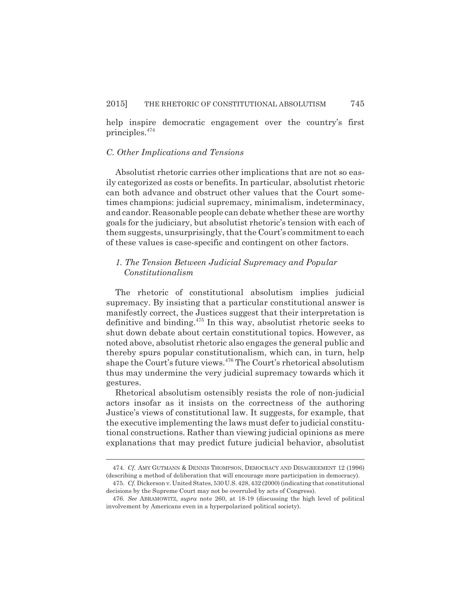help inspire democratic engagement over the country's first principles.474

#### *C. Other Implications and Tensions*

Absolutist rhetoric carries other implications that are not so easily categorized as costs or benefits. In particular, absolutist rhetoric can both advance and obstruct other values that the Court sometimes champions: judicial supremacy, minimalism, indeterminacy, and candor. Reasonable people can debate whether these are worthy goals for the judiciary, but absolutist rhetoric's tension with each of them suggests, unsurprisingly, that the Court's commitment to each of these values is case-specific and contingent on other factors.

# *1. The Tension Between Judicial Supremacy and Popular Constitutionalism*

The rhetoric of constitutional absolutism implies judicial supremacy. By insisting that a particular constitutional answer is manifestly correct, the Justices suggest that their interpretation is definitive and binding.475 In this way, absolutist rhetoric seeks to shut down debate about certain constitutional topics. However, as noted above, absolutist rhetoric also engages the general public and thereby spurs popular constitutionalism, which can, in turn, help shape the Court's future views.  $476$  The Court's rhetorical absolutism thus may undermine the very judicial supremacy towards which it gestures.

Rhetorical absolutism ostensibly resists the role of non-judicial actors insofar as it insists on the correctness of the authoring Justice's views of constitutional law. It suggests, for example, that the executive implementing the laws must defer to judicial constitutional constructions. Rather than viewing judicial opinions as mere explanations that may predict future judicial behavior, absolutist

<sup>474.</sup> *Cf.* AMY GUTMANN & DENNIS THOMPSON, DEMOCRACY AND DISAGREEMENT 12 (1996) (describing a method of deliberation that will encourage more participation in democracy).

<sup>475.</sup> *Cf.* Dickerson v. United States, 530 U.S. 428, 432 (2000) (indicating that constitutional decisions by the Supreme Court may not be overruled by acts of Congress).

<sup>476.</sup> *See* ABRAMOWITZ, *supra* note 260, at 18-19 (discussing the high level of political involvement by Americans even in a hyperpolarized political society).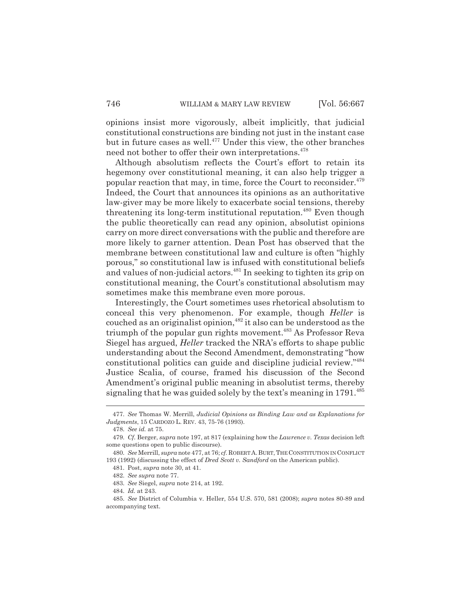opinions insist more vigorously, albeit implicitly, that judicial constitutional constructions are binding not just in the instant case but in future cases as well.<sup>477</sup> Under this view, the other branches need not bother to offer their own interpretations.<sup>478</sup>

Although absolutism reflects the Court's effort to retain its hegemony over constitutional meaning, it can also help trigger a popular reaction that may, in time, force the Court to reconsider.<sup>479</sup> Indeed, the Court that announces its opinions as an authoritative law-giver may be more likely to exacerbate social tensions, thereby threatening its long-term institutional reputation.<sup> $480$ </sup> Even though the public theoretically can read any opinion, absolutist opinions carry on more direct conversations with the public and therefore are more likely to garner attention. Dean Post has observed that the membrane between constitutional law and culture is often "highly porous," so constitutional law is infused with constitutional beliefs and values of non-judicial actors.<sup>481</sup> In seeking to tighten its grip on constitutional meaning, the Court's constitutional absolutism may sometimes make this membrane even more porous.

Interestingly, the Court sometimes uses rhetorical absolutism to conceal this very phenomenon. For example, though *Heller* is couched as an originalist opinion,  $482$  it also can be understood as the triumph of the popular gun rights movement.<sup>483</sup> As Professor Reva Siegel has argued, *Heller* tracked the NRA's efforts to shape public understanding about the Second Amendment, demonstrating "how constitutional politics can guide and discipline judicial review."484 Justice Scalia, of course, framed his discussion of the Second Amendment's original public meaning in absolutist terms, thereby signaling that he was guided solely by the text's meaning in 1791.<sup>485</sup>

483. *See* Siegel, *supra* note 214, at 192.

484. *Id.* at 243.

<sup>477.</sup> *See* Thomas W. Merrill, *Judicial Opinions as Binding Law and as Explanations for Judgments*, 15 CARDOZO L. REV. 43, 75-76 (1993).

<sup>478.</sup> *See id.* at 75.

<sup>479.</sup> *Cf.* Berger, *supra* note 197, at 817 (explaining how the *Lawrence v. Texas* decision left some questions open to public discourse).

<sup>480.</sup> *See* Merrill, *supra* note 477, at 76; *cf.* ROBERT A. BURT,THE CONSTITUTION IN CONFLICT 193 (1992) (discussing the effect of *Dred Scott v. Sandford* on the American public).

<sup>481.</sup> Post, *supra* note 30, at 41.

<sup>482.</sup> *See supra* note 77.

<sup>485.</sup> *See* District of Columbia v. Heller, 554 U.S. 570, 581 (2008); *supra* notes 80-89 and accompanying text.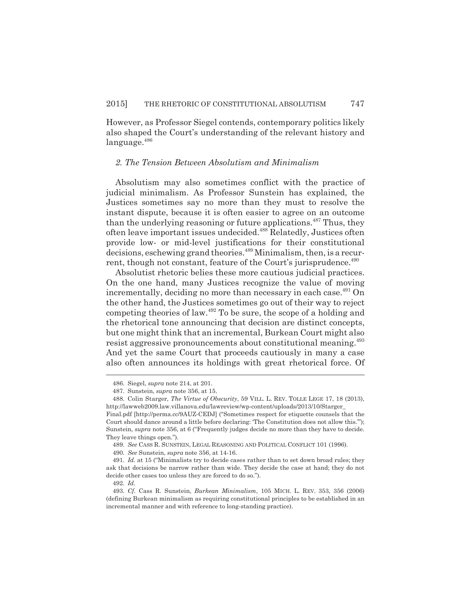However, as Professor Siegel contends, contemporary politics likely also shaped the Court's understanding of the relevant history and  $language.<sup>486</sup>$ 

#### *2. The Tension Between Absolutism and Minimalism*

Absolutism may also sometimes conflict with the practice of judicial minimalism. As Professor Sunstein has explained, the Justices sometimes say no more than they must to resolve the instant dispute, because it is often easier to agree on an outcome than the underlying reasoning or future applications.<sup>487</sup> Thus, they often leave important issues undecided.488 Relatedly, Justices often provide low- or mid-level justifications for their constitutional decisions, eschewing grand theories.<sup>489</sup> Minimalism, then, is a recurrent, though not constant, feature of the Court's jurisprudence.<sup>490</sup>

Absolutist rhetoric belies these more cautious judicial practices. On the one hand, many Justices recognize the value of moving incrementally, deciding no more than necessary in each case.<sup>491</sup> On the other hand, the Justices sometimes go out of their way to reject competing theories of law.492 To be sure, the scope of a holding and the rhetorical tone announcing that decision are distinct concepts, but one might think that an incremental, Burkean Court might also resist aggressive pronouncements about constitutional meaning.<sup>493</sup> And yet the same Court that proceeds cautiously in many a case also often announces its holdings with great rhetorical force. Of

<sup>486.</sup> Siegel, *supra* note 214, at 201.

<sup>487.</sup> Sunstein, *supra* note 356, at 15.

<sup>488.</sup> Colin Starger, *The Virtue of Obscurity*, 59 VILL. L. REV. TOLLE LEGE 17, 18 (2013), http://lawweb2009.law.villanova.edu/lawreview/wp-content/uploads/2013/10/Starger\_

Final.pdf [http://perma.cc/9AUZ-CEDJ] ("Sometimes respect for etiquette counsels that the Court should dance around a little before declaring: 'The Constitution does not allow this.'"); Sunstein, *supra* note 356, at 6 ("Frequently judges decide no more than they have to decide. They leave things open.").

<sup>489.</sup> *See* CASS R. SUNSTEIN, LEGAL REASONING AND POLITICAL CONFLICT 101 (1996).

<sup>490.</sup> *See* Sunstein, *supra* note 356, at 14-16.

<sup>491.</sup> *Id.* at 15 ("Minimalists try to decide cases rather than to set down broad rules; they ask that decisions be narrow rather than wide. They decide the case at hand; they do not decide other cases too unless they are forced to do so.").

<sup>492.</sup> *Id.*

<sup>493.</sup> *Cf.* Cass R. Sunstein, *Burkean Minimalism*, 105 MICH. L. REV. 353, 356 (2006) (defining Burkean minimalism as requiring constitutional principles to be established in an incremental manner and with reference to long-standing practice).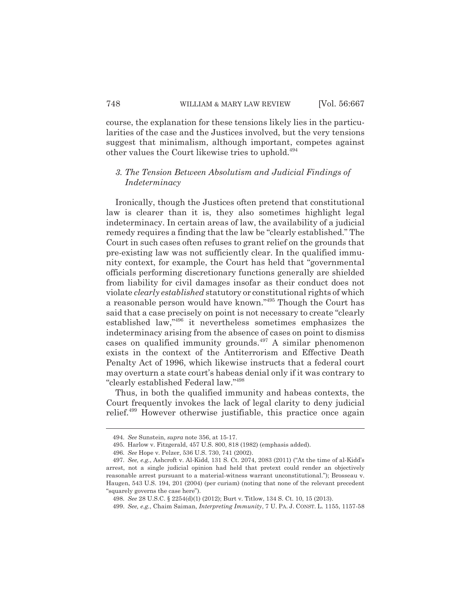course, the explanation for these tensions likely lies in the particularities of the case and the Justices involved, but the very tensions suggest that minimalism, although important, competes against other values the Court likewise tries to uphold.<sup>494</sup>

## *3. The Tension Between Absolutism and Judicial Findings of Indeterminacy*

Ironically, though the Justices often pretend that constitutional law is clearer than it is, they also sometimes highlight legal indeterminacy. In certain areas of law, the availability of a judicial remedy requires a finding that the law be "clearly established." The Court in such cases often refuses to grant relief on the grounds that pre-existing law was not sufficiently clear. In the qualified immunity context, for example, the Court has held that "governmental officials performing discretionary functions generally are shielded from liability for civil damages insofar as their conduct does not violate *clearly established* statutory or constitutional rights of which a reasonable person would have known."495 Though the Court has said that a case precisely on point is not necessary to create "clearly established law,"496 it nevertheless sometimes emphasizes the indeterminacy arising from the absence of cases on point to dismiss cases on qualified immunity grounds. $497$  A similar phenomenon exists in the context of the Antiterrorism and Effective Death Penalty Act of 1996, which likewise instructs that a federal court may overturn a state court's habeas denial only if it was contrary to "clearly established Federal law."498

Thus, in both the qualified immunity and habeas contexts, the Court frequently invokes the lack of legal clarity to deny judicial relief.499 However otherwise justifiable, this practice once again

<sup>494.</sup> *See* Sunstein, *supra* note 356, at 15-17.

<sup>495.</sup> Harlow v. Fitzgerald, 457 U.S. 800, 818 (1982) (emphasis added).

<sup>496.</sup> *See* Hope v. Pelzer, 536 U.S. 730, 741 (2002).

<sup>497.</sup> *See, e.g.*, Ashcroft v. Al-Kidd, 131 S. Ct. 2074, 2083 (2011) ("At the time of al-Kidd's arrest, not a single judicial opinion had held that pretext could render an objectively reasonable arrest pursuant to a material-witness warrant unconstitutional."); Brosseau v. Haugen, 543 U.S. 194, 201 (2004) (per curiam) (noting that none of the relevant precedent "squarely governs the case here").

<sup>498.</sup> *See* 28 U.S.C. § 2254(d)(1) (2012); Burt v. Titlow, 134 S. Ct. 10, 15 (2013).

<sup>499.</sup> *See, e.g.*, Chaim Saiman, *Interpreting Immunity*, 7 U. PA. J. CONST. L. 1155, 1157-58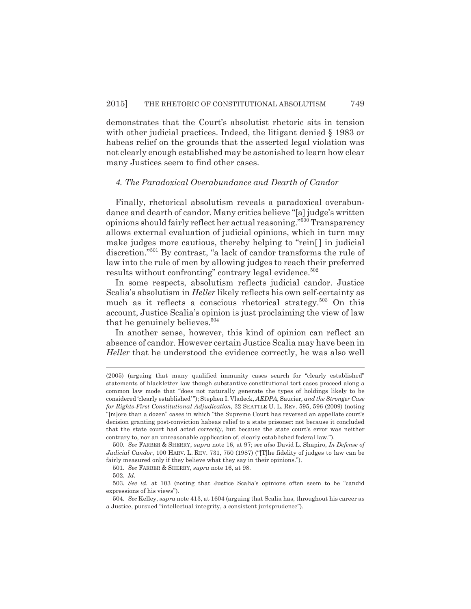demonstrates that the Court's absolutist rhetoric sits in tension with other judicial practices. Indeed, the litigant denied § 1983 or habeas relief on the grounds that the asserted legal violation was not clearly enough established may be astonished to learn how clear many Justices seem to find other cases.

#### *4. The Paradoxical Overabundance and Dearth of Candor*

Finally, rhetorical absolutism reveals a paradoxical overabundance and dearth of candor. Many critics believe "[a] judge's written opinions should fairly reflect her actual reasoning."500 Transparency allows external evaluation of judicial opinions, which in turn may make judges more cautious, thereby helping to "rein[ ] in judicial discretion."501 By contrast, "a lack of candor transforms the rule of law into the rule of men by allowing judges to reach their preferred results without confronting" contrary legal evidence.<sup>502</sup>

In some respects, absolutism reflects judicial candor. Justice Scalia's absolutism in *Heller* likely reflects his own self-certainty as much as it reflects a conscious rhetorical strategy.<sup>503</sup> On this account, Justice Scalia's opinion is just proclaiming the view of law that he genuinely believes.<sup>504</sup>

In another sense, however, this kind of opinion can reflect an absence of candor. However certain Justice Scalia may have been in *Heller* that he understood the evidence correctly, he was also well

<sup>(2005) (</sup>arguing that many qualified immunity cases search for "clearly established" statements of blackletter law though substantive constitutional tort cases proceed along a common law mode that "does not naturally generate the types of holdings likely to be considered 'clearly established' "); Stephen I. Vladeck, *AEDPA,* Saucier*, and the Stronger Case for Rights-First Constitutional Adjudication*, 32 SEATTLE U. L. REV. 595, 596 (2009) (noting "[m]ore than a dozen" cases in which "the Supreme Court has reversed an appellate court's decision granting post-conviction habeas relief to a state prisoner: not because it concluded that the state court had acted *correctly*, but because the state court's error was neither contrary to, nor an unreasonable application of, clearly established federal law.").

<sup>500.</sup> *See* FARBER & SHERRY, *supra* note 16, at 97; *see also* David L. Shapiro, *In Defense of Judicial Candor*, 100 HARV. L. REV. 731, 750 (1987) ("[T]he fidelity of judges to law can be fairly measured only if they believe what they say in their opinions.").

<sup>501.</sup> *See* FARBER & SHERRY, *supra* note 16, at 98.

<sup>502.</sup> *Id.*

<sup>503.</sup> *See id.* at 103 (noting that Justice Scalia's opinions often seem to be "candid expressions of his views").

<sup>504.</sup> *See* Kelley, *supra* note 413, at 1604 (arguing that Scalia has, throughout his career as a Justice, pursued "intellectual integrity, a consistent jurisprudence").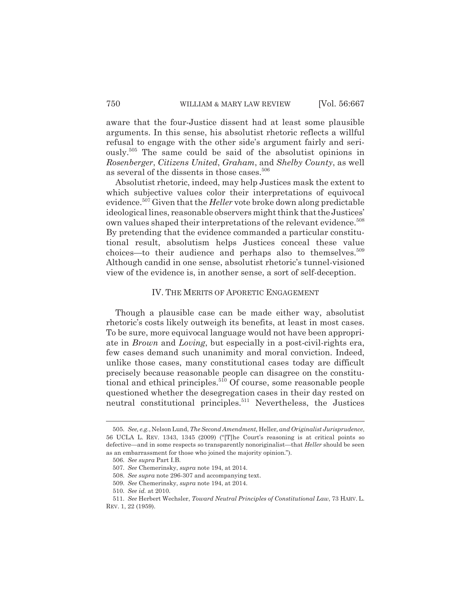aware that the four-Justice dissent had at least some plausible arguments. In this sense, his absolutist rhetoric reflects a willful refusal to engage with the other side's argument fairly and seriously.505 The same could be said of the absolutist opinions in *Rosenberger*, *Citizens United*, *Graham*, and *Shelby County*, as well as several of the dissents in those cases.<sup>506</sup>

Absolutist rhetoric, indeed, may help Justices mask the extent to which subjective values color their interpretations of equivocal evidence.507 Given that the *Heller* vote broke down along predictable ideological lines, reasonable observers might think that the Justices' own values shaped their interpretations of the relevant evidence.<sup>508</sup> By pretending that the evidence commanded a particular constitutional result, absolutism helps Justices conceal these value choices—to their audience and perhaps also to themselves.<sup>509</sup> Although candid in one sense, absolutist rhetoric's tunnel-visioned view of the evidence is, in another sense, a sort of self-deception.

#### IV. THE MERITS OF APORETIC ENGAGEMENT

Though a plausible case can be made either way, absolutist rhetoric's costs likely outweigh its benefits, at least in most cases. To be sure, more equivocal language would not have been appropriate in *Brown* and *Loving*, but especially in a post-civil-rights era, few cases demand such unanimity and moral conviction. Indeed, unlike those cases, many constitutional cases today are difficult precisely because reasonable people can disagree on the constitutional and ethical principles.<sup>510</sup> Of course, some reasonable people questioned whether the desegregation cases in their day rested on neutral constitutional principles.<sup>511</sup> Nevertheless, the Justices

<sup>505.</sup> *See, e.g.*, Nelson Lund, *The Second Amendment,* Heller*, and Originalist Jurisprudence*, 56 UCLA L. REV. 1343, 1345 (2009) ("[T]he Court's reasoning is at critical points so defective—and in some respects so transparently nonoriginalist—that *Heller* should be seen as an embarrassment for those who joined the majority opinion.").

<sup>506.</sup> *See supra* Part I.B.

<sup>507.</sup> *See* Chemerinsky, *supra* note 194, at 2014.

<sup>508.</sup> *See supra* note 296-307 and accompanying text.

<sup>509.</sup> *See* Chemerinsky, *supra* note 194, at 2014.

<sup>510.</sup> *See id.* at 2010.

<sup>511.</sup> *See* Herbert Wechsler, *Toward Neutral Principles of Constitutional Law*, 73 HARV. L. REV. 1, 22 (1959).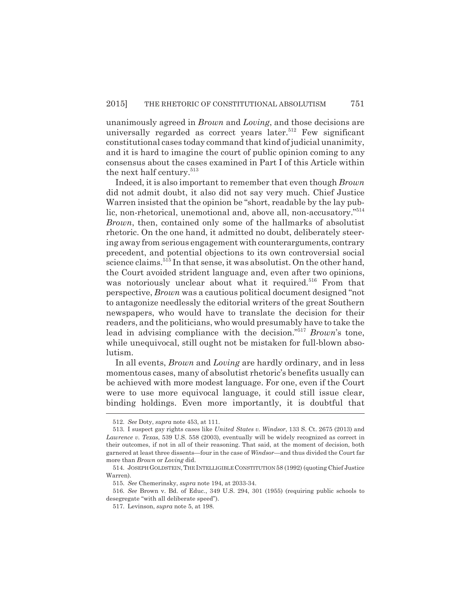unanimously agreed in *Brown* and *Loving*, and those decisions are universally regarded as correct years later.<sup>512</sup> Few significant constitutional cases today command that kind of judicial unanimity, and it is hard to imagine the court of public opinion coming to any consensus about the cases examined in Part I of this Article within the next half century.<sup>513</sup>

Indeed, it is also important to remember that even though *Brown* did not admit doubt, it also did not say very much. Chief Justice Warren insisted that the opinion be "short, readable by the lay public, non-rhetorical, unemotional and, above all, non-accusatory."<sup>514</sup> *Brown*, then, contained only some of the hallmarks of absolutist rhetoric. On the one hand, it admitted no doubt, deliberately steering away from serious engagement with counterarguments, contrary precedent, and potential objections to its own controversial social science claims.<sup>515</sup> In that sense, it was absolutist. On the other hand, the Court avoided strident language and, even after two opinions, was notoriously unclear about what it required.<sup>516</sup> From that perspective, *Brown* was a cautious political document designed "not to antagonize needlessly the editorial writers of the great Southern newspapers, who would have to translate the decision for their readers, and the politicians, who would presumably have to take the lead in advising compliance with the decision."517 *Brown*'s tone, while unequivocal, still ought not be mistaken for full-blown absolutism.

In all events, *Brown* and *Loving* are hardly ordinary, and in less momentous cases, many of absolutist rhetoric's benefits usually can be achieved with more modest language. For one, even if the Court were to use more equivocal language, it could still issue clear, binding holdings. Even more importantly, it is doubtful that

<sup>512.</sup> *See* Doty, *supra* note 453, at 111.

<sup>513.</sup> I suspect gay rights cases like *United States v. Windsor*, 133 S. Ct. 2675 (2013) and *Lawrence v. Texas*, 539 U.S. 558 (2003), eventually will be widely recognized as correct in their outcomes, if not in all of their reasoning. That said, at the moment of decision, both garnered at least three dissents—four in the case of *Windsor—*and thus divided the Court far more than *Brown* or *Loving* did.

<sup>514.</sup> JOSEPH GOLDSTEIN,THE INTELLIGIBLE CONSTITUTION 58 (1992) (quoting Chief Justice Warren).

<sup>515.</sup> *See* Chemerinsky, *supra* note 194, at 2033-34.

<sup>516.</sup> *See* Brown v. Bd. of Educ., 349 U.S. 294, 301 (1955) (requiring public schools to desegregate "with all deliberate speed").

<sup>517.</sup> Levinson, *supra* note 5, at 198.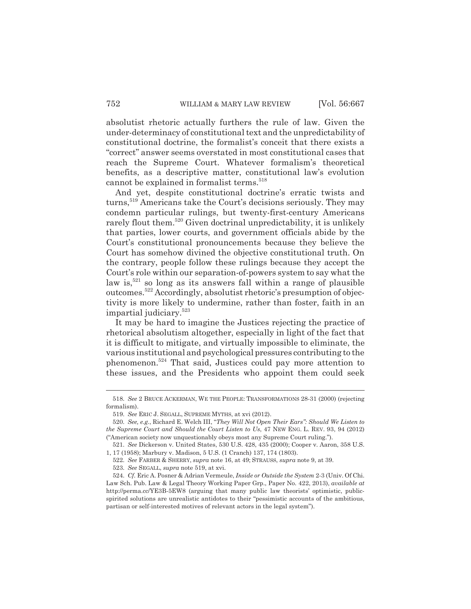absolutist rhetoric actually furthers the rule of law. Given the under-determinacy of constitutional text and the unpredictability of constitutional doctrine, the formalist's conceit that there exists a "correct" answer seems overstated in most constitutional cases that reach the Supreme Court. Whatever formalism's theoretical benefits, as a descriptive matter, constitutional law's evolution cannot be explained in formalist terms.<sup>518</sup>

And yet, despite constitutional doctrine's erratic twists and turns,<sup>519</sup> Americans take the Court's decisions seriously. They may condemn particular rulings, but twenty-first-century Americans rarely flout them.<sup>520</sup> Given doctrinal unpredictability, it is unlikely that parties, lower courts, and government officials abide by the Court's constitutional pronouncements because they believe the Court has somehow divined the objective constitutional truth. On the contrary, people follow these rulings because they accept the Court's role within our separation-of-powers system to say what the law is, $521$  so long as its answers fall within a range of plausible outcomes.522 Accordingly, absolutist rhetoric's presumption of objectivity is more likely to undermine, rather than foster, faith in an impartial judiciary.523

It may be hard to imagine the Justices rejecting the practice of rhetorical absolutism altogether, especially in light of the fact that it is difficult to mitigate, and virtually impossible to eliminate, the various institutional and psychological pressures contributing to the phenomenon.524 That said, Justices could pay more attention to these issues, and the Presidents who appoint them could seek

<sup>518.</sup> *See* 2 BRUCE ACKERMAN, WE THE PEOPLE: TRANSFORMATIONS 28-31 (2000) (rejecting formalism).

<sup>519.</sup> *See* ERIC J. SEGALL, SUPREME MYTHS, at xvi (2012).

<sup>520.</sup> *See, e.g.*, Richard E. Welch III, "*They Will Not Open Their Ears": Should We Listen to the Supreme Court and Should the Court Listen to Us*, 47 NEW ENG. L. REV. 93, 94 (2012) ("American society now unquestionably obeys most any Supreme Court ruling.").

<sup>521.</sup> *See* Dickerson v. United States, 530 U.S. 428, 435 (2000); Cooper v. Aaron, 358 U.S. 1, 17 (1958); Marbury v. Madison, 5 U.S. (1 Cranch) 137, 174 (1803).

<sup>522.</sup> *See* FARBER & SHERRY, *supra* note 16, at 49; STRAUSS, *supra* note 9, at 39. 523. *See* SEGALL, *supra* note 519, at xvi.

<sup>524.</sup> *Cf.* Eric A. Posner & Adrian Vermeule, *Inside or Outside the System* 2-3 (Univ. Of Chi. Law Sch. Pub. Law & Legal Theory Working Paper Grp., Paper No. 422, 2013), *available at* http://perma.cc/YE3B-5EW8 (arguing that many public law theorists' optimistic, publicspirited solutions are unrealistic antidotes to their "pessimistic accounts of the ambitious, partisan or self-interested motives of relevant actors in the legal system").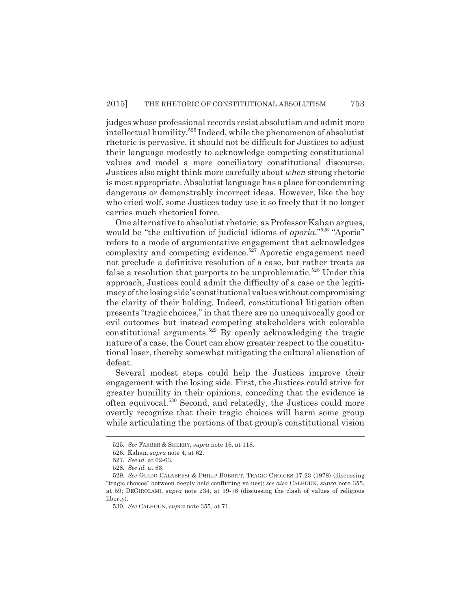judges whose professional records resist absolutism and admit more intellectual humility.525 Indeed, while the phenomenon of absolutist rhetoric is pervasive, it should not be difficult for Justices to adjust their language modestly to acknowledge competing constitutional values and model a more conciliatory constitutional discourse. Justices also might think more carefully about *when* strong rhetoric is most appropriate. Absolutist language has a place for condemning dangerous or demonstrably incorrect ideas. However, like the boy who cried wolf, some Justices today use it so freely that it no longer carries much rhetorical force.

One alternative to absolutist rhetoric, as Professor Kahan argues, would be "the cultivation of judicial idioms of *aporia*."526 "Aporia" refers to a mode of argumentative engagement that acknowledges complexity and competing evidence.<sup>527</sup> Aporetic engagement need not preclude a definitive resolution of a case, but rather treats as false a resolution that purports to be unproblematic.<sup>528</sup> Under this approach, Justices could admit the difficulty of a case or the legitimacy of the losing side's constitutional values without compromising the clarity of their holding. Indeed, constitutional litigation often presents "tragic choices," in that there are no unequivocally good or evil outcomes but instead competing stakeholders with colorable constitutional arguments.529 By openly acknowledging the tragic nature of a case, the Court can show greater respect to the constitutional loser, thereby somewhat mitigating the cultural alienation of defeat.

Several modest steps could help the Justices improve their engagement with the losing side. First, the Justices could strive for greater humility in their opinions, conceding that the evidence is often equivocal.530 Second, and relatedly, the Justices could more overtly recognize that their tragic choices will harm some group while articulating the portions of that group's constitutional vision

<sup>525.</sup> *See* FARBER & SHERRY, *supra* note 16, at 118.

<sup>526.</sup> Kahan, *supra* note 4, at 62.

<sup>527.</sup> *See id.* at 62-63.

<sup>528.</sup> *See id.* at 63.

<sup>529.</sup> *See* GUIDO CALABRESI & PHILIP BOBBITT, TRAGIC CHOICES 17-23 (1978) (discussing "tragic choices" between deeply held conflicting values); *see also* CALHOUN, *supra* note 355, at 59; DEGIROLAMI, *supra* note 234, at 59-78 (discussing the clash of values of religious liberty).

<sup>530.</sup> *See* CALHOUN, *supra* note 355, at 71.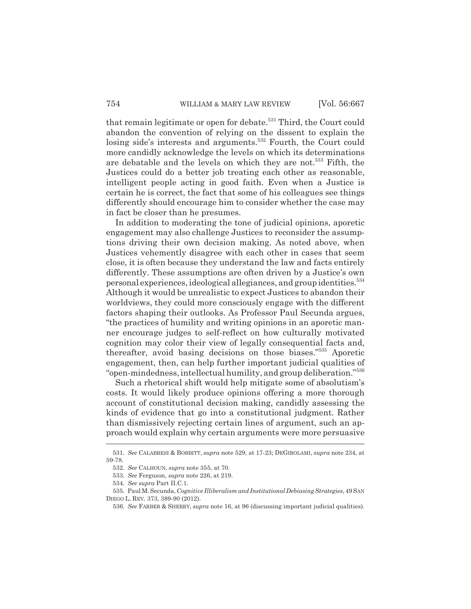that remain legitimate or open for debate.<sup>531</sup> Third, the Court could abandon the convention of relying on the dissent to explain the losing side's interests and arguments.<sup>532</sup> Fourth, the Court could more candidly acknowledge the levels on which its determinations are debatable and the levels on which they are not.<sup>533</sup> Fifth, the Justices could do a better job treating each other as reasonable, intelligent people acting in good faith. Even when a Justice is certain he is correct, the fact that some of his colleagues see things differently should encourage him to consider whether the case may in fact be closer than he presumes.

In addition to moderating the tone of judicial opinions, aporetic engagement may also challenge Justices to reconsider the assumptions driving their own decision making. As noted above, when Justices vehemently disagree with each other in cases that seem close, it is often because they understand the law and facts entirely differently. These assumptions are often driven by a Justice's own personal experiences, ideological allegiances, and group identities.<sup>534</sup> Although it would be unrealistic to expect Justices to abandon their worldviews, they could more consciously engage with the different factors shaping their outlooks. As Professor Paul Secunda argues, "the practices of humility and writing opinions in an aporetic manner encourage judges to self-reflect on how culturally motivated cognition may color their view of legally consequential facts and, thereafter, avoid basing decisions on those biases."535 Aporetic engagement, then, can help further important judicial qualities of "open-mindedness, intellectual humility, and group deliberation."536

Such a rhetorical shift would help mitigate some of absolutism's costs. It would likely produce opinions offering a more thorough account of constitutional decision making, candidly assessing the kinds of evidence that go into a constitutional judgment. Rather than dismissively rejecting certain lines of argument, such an approach would explain why certain arguments were more persuasive

<sup>531.</sup> *See* CALABRESI & BOBBITT, *supra* note 529, at 17-23; DEGIROLAMI, *supra* note 234, at 59-78.

<sup>532.</sup> *See* CALHOUN, *supra* note 355, at 70.

<sup>533.</sup> *See* Ferguson, *supra* note 226, at 219.

<sup>534.</sup> *See supra* Part II.C.1.

<sup>535.</sup> Paul M. Secunda, *Cognitive Illiberalism and Institutional Debiasing Strategies*, 49 SAN DIEGO L. REV. 373, 389-90 (2012).

<sup>536.</sup> *See* FARBER & SHERRY, *supra* note 16, at 96 (discussing important judicial qualities).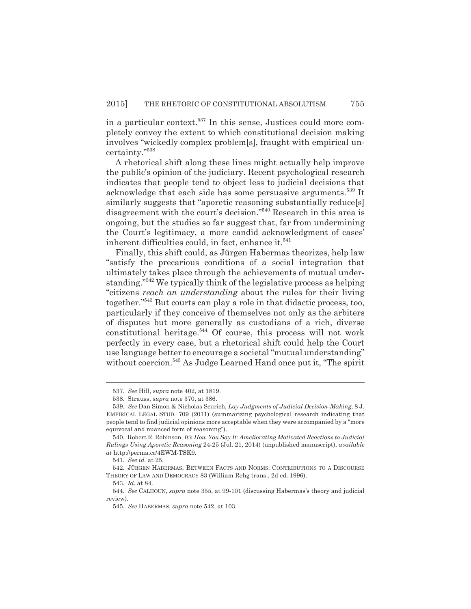in a particular context.<sup>537</sup> In this sense, Justices could more completely convey the extent to which constitutional decision making involves "wickedly complex problem[s], fraught with empirical uncertainty."538

A rhetorical shift along these lines might actually help improve the public's opinion of the judiciary. Recent psychological research indicates that people tend to object less to judicial decisions that acknowledge that each side has some persuasive arguments.539 It similarly suggests that "aporetic reasoning substantially reduce[s] disagreement with the court's decision."540 Research in this area is ongoing, but the studies so far suggest that, far from undermining the Court's legitimacy, a more candid acknowledgment of cases' inherent difficulties could, in fact, enhance it.<sup>541</sup>

Finally, this shift could, as Jürgen Habermas theorizes, help law "satisfy the precarious conditions of a social integration that ultimately takes place through the achievements of mutual understanding."542 We typically think of the legislative process as helping "citizens *reach an understanding* about the rules for their living together."543 But courts can play a role in that didactic process, too, particularly if they conceive of themselves not only as the arbiters of disputes but more generally as custodians of a rich, diverse constitutional heritage. $544$  Of course, this process will not work perfectly in every case, but a rhetorical shift could help the Court use language better to encourage a societal "mutual understanding" without coercion.<sup>545</sup> As Judge Learned Hand once put it, "The spirit

<sup>537.</sup> *See* Hill, *supra* note 402, at 1819.

<sup>538.</sup> Strauss, *supra* note 370, at 386.

<sup>539.</sup> *See* Dan Simon & Nicholas Scurich, *Lay Judgments of Judicial Decision-Making*, 8 J. EMPIRICAL LEGAL STUD. 709 (2011) (summarizing psychological research indicating that people tend to find judicial opinions more acceptable when they were accompanied by a "more equivocal and nuanced form of reasoning").

<sup>540.</sup> Robert R. Robinson, *It's How You Say It: Ameliorating Motivated Reactions to Judicial Rulings Using Aporetic Reasoning* 24-25 (Jul. 21, 2014) (unpublished manuscript), *available at* http://perma.cc/4EWM-TSK9.

<sup>541.</sup> *See id.* at 25.

<sup>542.</sup> JÜRGEN HABERMAS, BETWEEN FACTS AND NORMS: CONTRIBUTIONS TO A DISCOURSE THEORY OF LAW AND DEMOCRACY 83 (William Rehg trans., 2d ed. 1996).

<sup>543.</sup> *Id.* at 84.

<sup>544.</sup> *See* CALHOUN, *supra* note 355, at 99-101 (discussing Habermas's theory and judicial review).

<sup>545.</sup> *See* HABERMAS, *supra* note 542, at 103.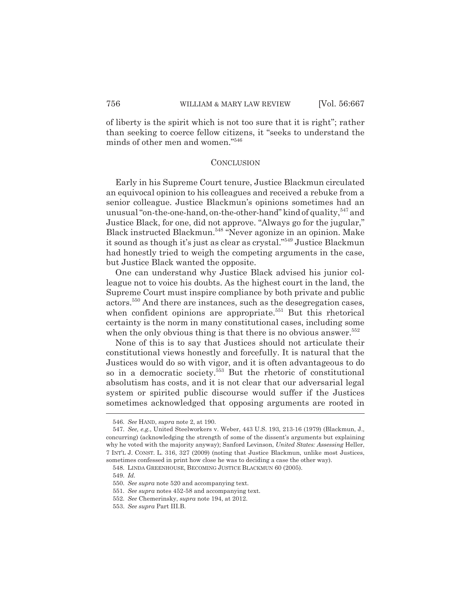of liberty is the spirit which is not too sure that it is right"; rather than seeking to coerce fellow citizens, it "seeks to understand the minds of other men and women."546

#### **CONCLUSION**

Early in his Supreme Court tenure, Justice Blackmun circulated an equivocal opinion to his colleagues and received a rebuke from a senior colleague. Justice Blackmun's opinions sometimes had an unusual "on-the-one-hand, on-the-other-hand" kind of quality,  $547$  and Justice Black, for one, did not approve. "Always go for the jugular," Black instructed Blackmun.548 "Never agonize in an opinion. Make it sound as though it's just as clear as crystal."549 Justice Blackmun had honestly tried to weigh the competing arguments in the case, but Justice Black wanted the opposite.

One can understand why Justice Black advised his junior colleague not to voice his doubts. As the highest court in the land, the Supreme Court must inspire compliance by both private and public actors.550 And there are instances, such as the desegregation cases, when confident opinions are appropriate.<sup>551</sup> But this rhetorical certainty is the norm in many constitutional cases, including some when the only obvious thing is that there is no obvious answer.<sup>552</sup>

None of this is to say that Justices should not articulate their constitutional views honestly and forcefully. It is natural that the Justices would do so with vigor, and it is often advantageous to do so in a democratic society.553 But the rhetoric of constitutional absolutism has costs, and it is not clear that our adversarial legal system or spirited public discourse would suffer if the Justices sometimes acknowledged that opposing arguments are rooted in

<sup>546.</sup> *See* HAND, *supra* note 2, at 190.

<sup>547.</sup> *See, e.g.*, United Steelworkers v. Weber, 443 U.S. 193, 213-16 (1979) (Blackmun, J., concurring) (acknowledging the strength of some of the dissent's arguments but explaining why he voted with the majority anyway); Sanford Levinson, *United States: Assessing* Heller, 7 INT'L J. CONST. L. 316, 327 (2009) (noting that Justice Blackmun, unlike most Justices, sometimes confessed in print how close he was to deciding a case the other way).

<sup>548.</sup> LINDA GREENHOUSE, BECOMING JUSTICE BLACKMUN 60 (2005).

<sup>549.</sup> *Id.*

<sup>550.</sup> *See supra* note 520 and accompanying text.

<sup>551.</sup> *See supra* notes 452-58 and accompanying text.

<sup>552.</sup> *See* Chemerinsky, *supra* note 194, at 2012.

<sup>553.</sup> *See supra* Part III.B.